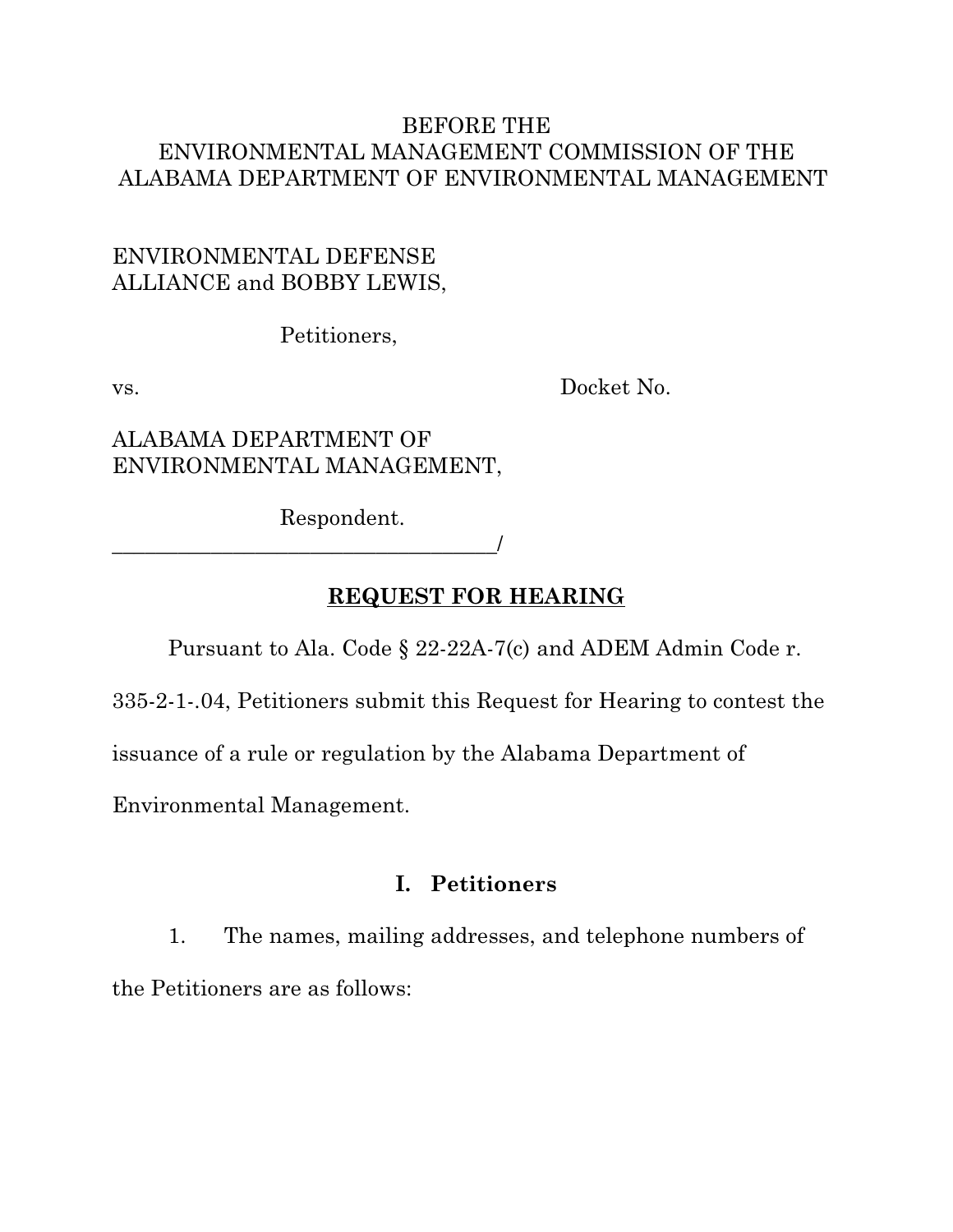#### BEFORE THE ENVIRONMENTAL MANAGEMENT COMMISSION OF THE ALABAMA DEPARTMENT OF ENVIRONMENTAL MANAGEMENT

#### ENVIRONMENTAL DEFENSE ALLIANCE and BOBBY LEWIS,

Petitioners,

vs. Docket No.

#### ALABAMA DEPARTMENT OF ENVIRONMENTAL MANAGEMENT,

\_\_\_\_\_\_\_\_\_\_\_\_\_\_\_\_\_\_\_\_\_\_\_\_\_\_\_\_\_\_\_\_\_\_\_/

Respondent.

**REQUEST FOR HEARING**

Pursuant to Ala. Code § 22-22A-7(c) and ADEM Admin Code r.

335-2-1-.04, Petitioners submit this Request for Hearing to contest the

issuance of a rule or regulation by the Alabama Department of

Environmental Management.

#### **I. Petitioners**

1. The names, mailing addresses, and telephone numbers of the Petitioners are as follows: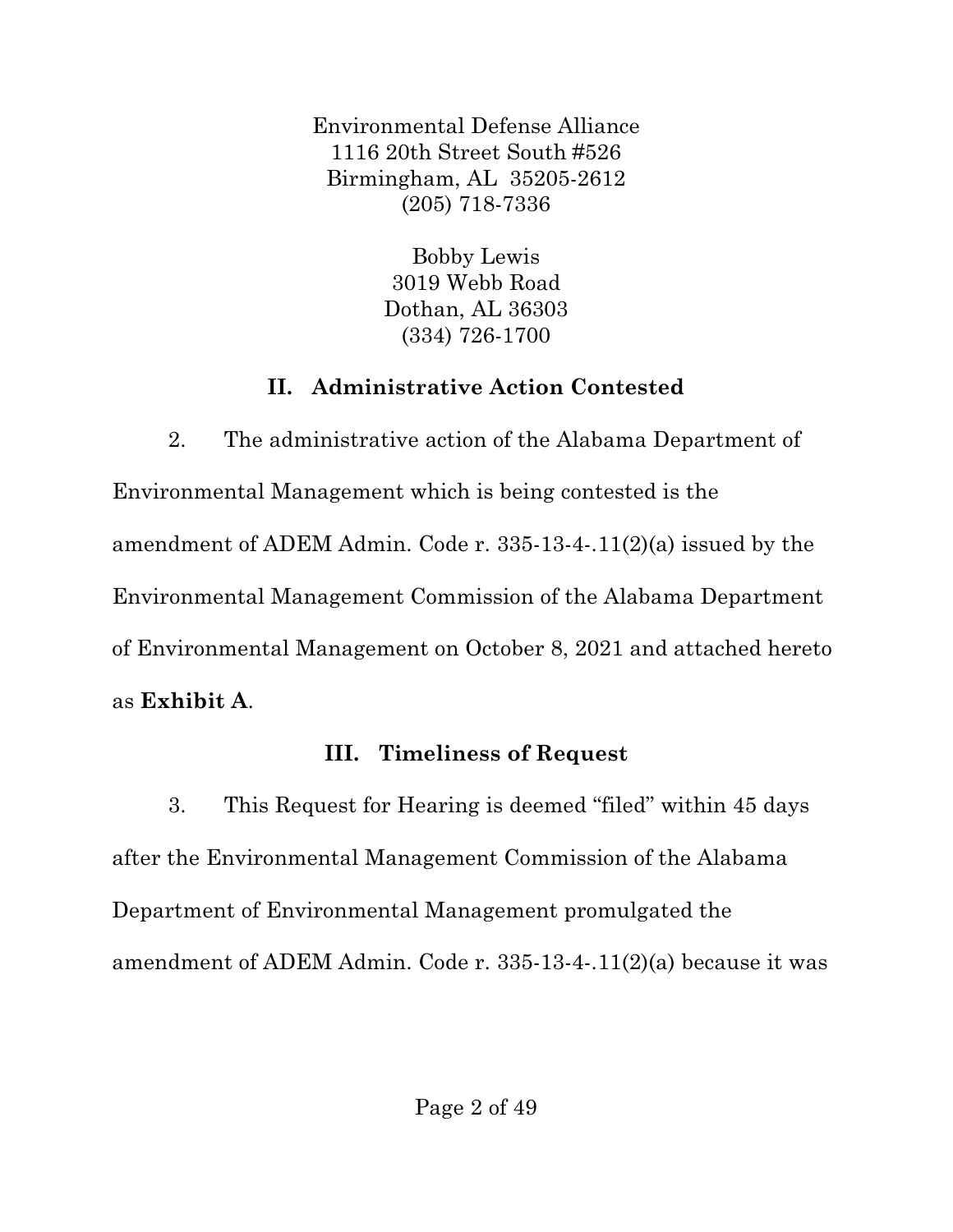Environmental Defense Alliance 1116 20th Street South #526 Birmingham, AL 35205-2612 (205) 718-7336

> Bobby Lewis 3019 Webb Road Dothan, AL 36303 (334) 726-1700

# **II. Administrative Action Contested**

2. The administrative action of the Alabama Department of Environmental Management which is being contested is the amendment of ADEM Admin. Code r. 335-13-4-.11(2)(a) issued by the Environmental Management Commission of the Alabama Department of Environmental Management on October 8, 2021 and attached hereto as **Exhibit A**.

# **III. Timeliness of Request**

3. This Request for Hearing is deemed "filed" within 45 days after the Environmental Management Commission of the Alabama Department of Environmental Management promulgated the amendment of ADEM Admin. Code r. 335-13-4-.11(2)(a) because it was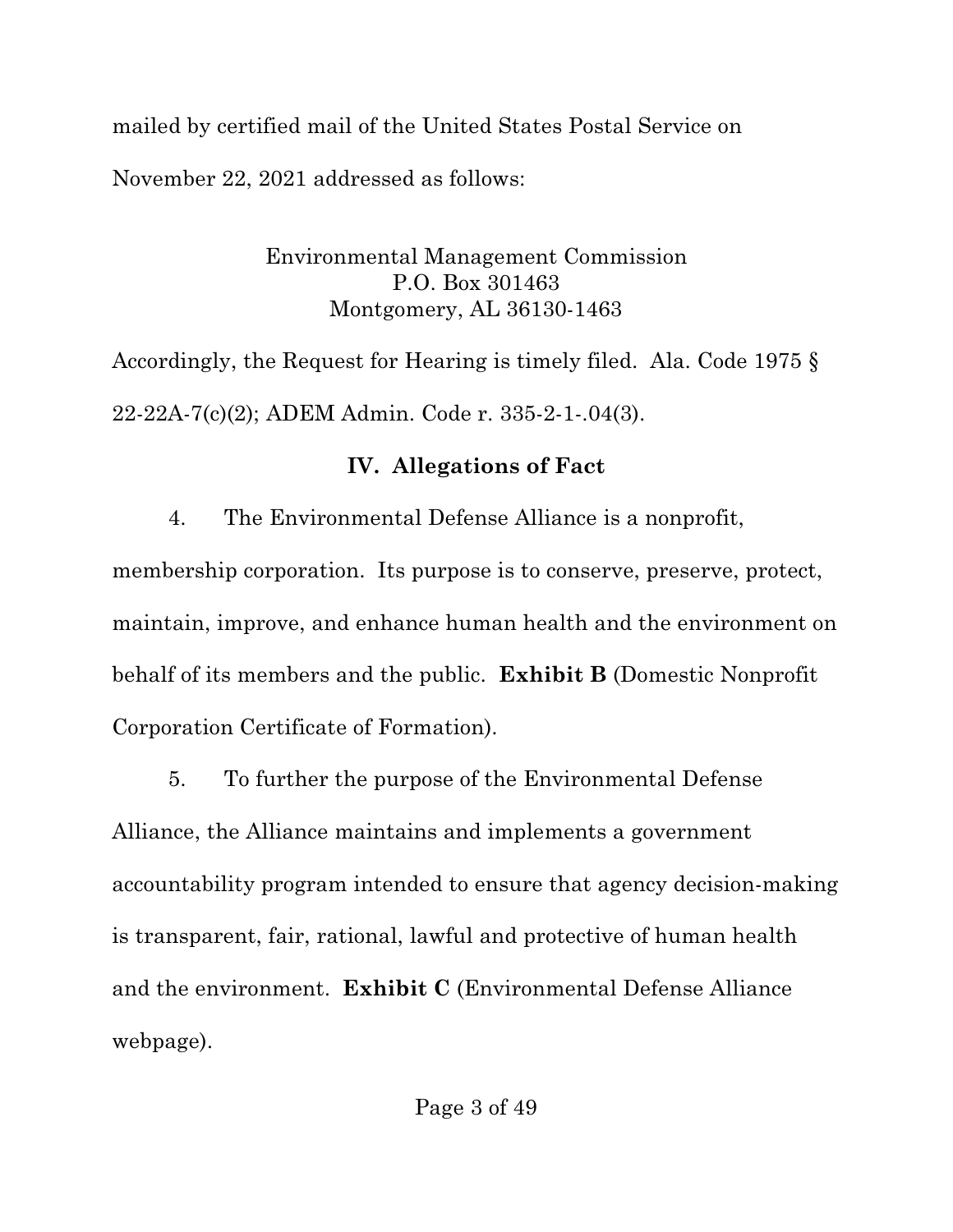mailed by certified mail of the United States Postal Service on November 22, 2021 addressed as follows:

> Environmental Management Commission P.O. Box 301463 Montgomery, AL 36130-1463

Accordingly, the Request for Hearing is timely filed. Ala. Code 1975 § 22-22A-7(c)(2); ADEM Admin. Code r. 335-2-1-.04(3).

### **IV. Allegations of Fact**

4. The Environmental Defense Alliance is a nonprofit, membership corporation. Its purpose is to conserve, preserve, protect, maintain, improve, and enhance human health and the environment on behalf of its members and the public. **Exhibit B** (Domestic Nonprofit Corporation Certificate of Formation).

5. To further the purpose of the Environmental Defense Alliance, the Alliance maintains and implements a government accountability program intended to ensure that agency decision-making is transparent, fair, rational, lawful and protective of human health and the environment. **Exhibit C** (Environmental Defense Alliance webpage).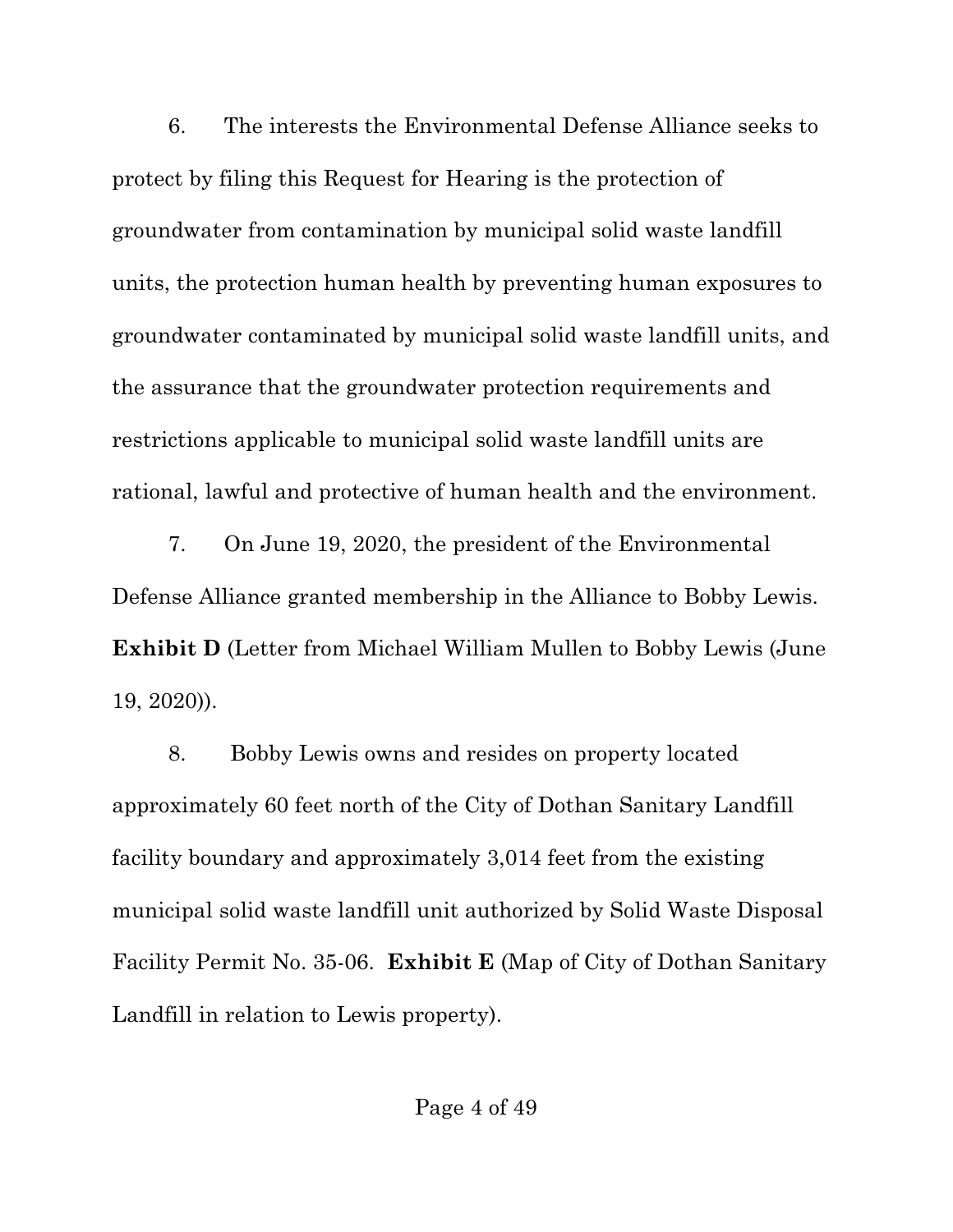6. The interests the Environmental Defense Alliance seeks to protect by filing this Request for Hearing is the protection of groundwater from contamination by municipal solid waste landfill units, the protection human health by preventing human exposures to groundwater contaminated by municipal solid waste landfill units, and the assurance that the groundwater protection requirements and restrictions applicable to municipal solid waste landfill units are rational, lawful and protective of human health and the environment.

7. On June 19, 2020, the president of the Environmental Defense Alliance granted membership in the Alliance to Bobby Lewis. **Exhibit D** (Letter from Michael William Mullen to Bobby Lewis (June 19, 2020)).

8. Bobby Lewis owns and resides on property located approximately 60 feet north of the City of Dothan Sanitary Landfill facility boundary and approximately 3,014 feet from the existing municipal solid waste landfill unit authorized by Solid Waste Disposal Facility Permit No. 35-06. **Exhibit E** (Map of City of Dothan Sanitary Landfill in relation to Lewis property).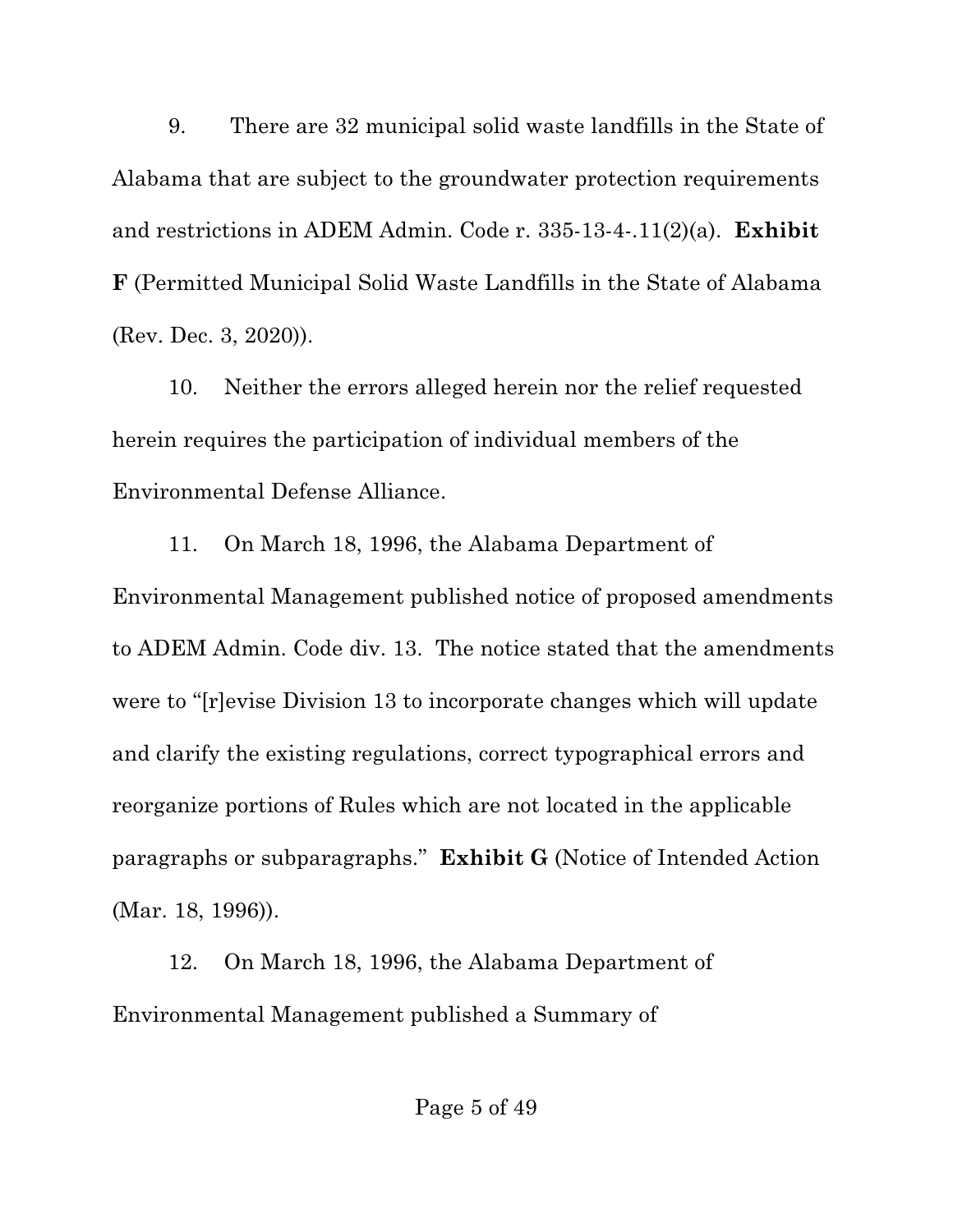9. There are 32 municipal solid waste landfills in the State of Alabama that are subject to the groundwater protection requirements and restrictions in ADEM Admin. Code r. 335-13-4-.11(2)(a). **Exhibit F** (Permitted Municipal Solid Waste Landfills in the State of Alabama (Rev. Dec. 3, 2020)).

10. Neither the errors alleged herein nor the relief requested herein requires the participation of individual members of the Environmental Defense Alliance.

11. On March 18, 1996, the Alabama Department of Environmental Management published notice of proposed amendments to ADEM Admin. Code div. 13. The notice stated that the amendments were to "[r]evise Division 13 to incorporate changes which will update and clarify the existing regulations, correct typographical errors and reorganize portions of Rules which are not located in the applicable paragraphs or subparagraphs." **Exhibit G** (Notice of Intended Action (Mar. 18, 1996)).

12. On March 18, 1996, the Alabama Department of Environmental Management published a Summary of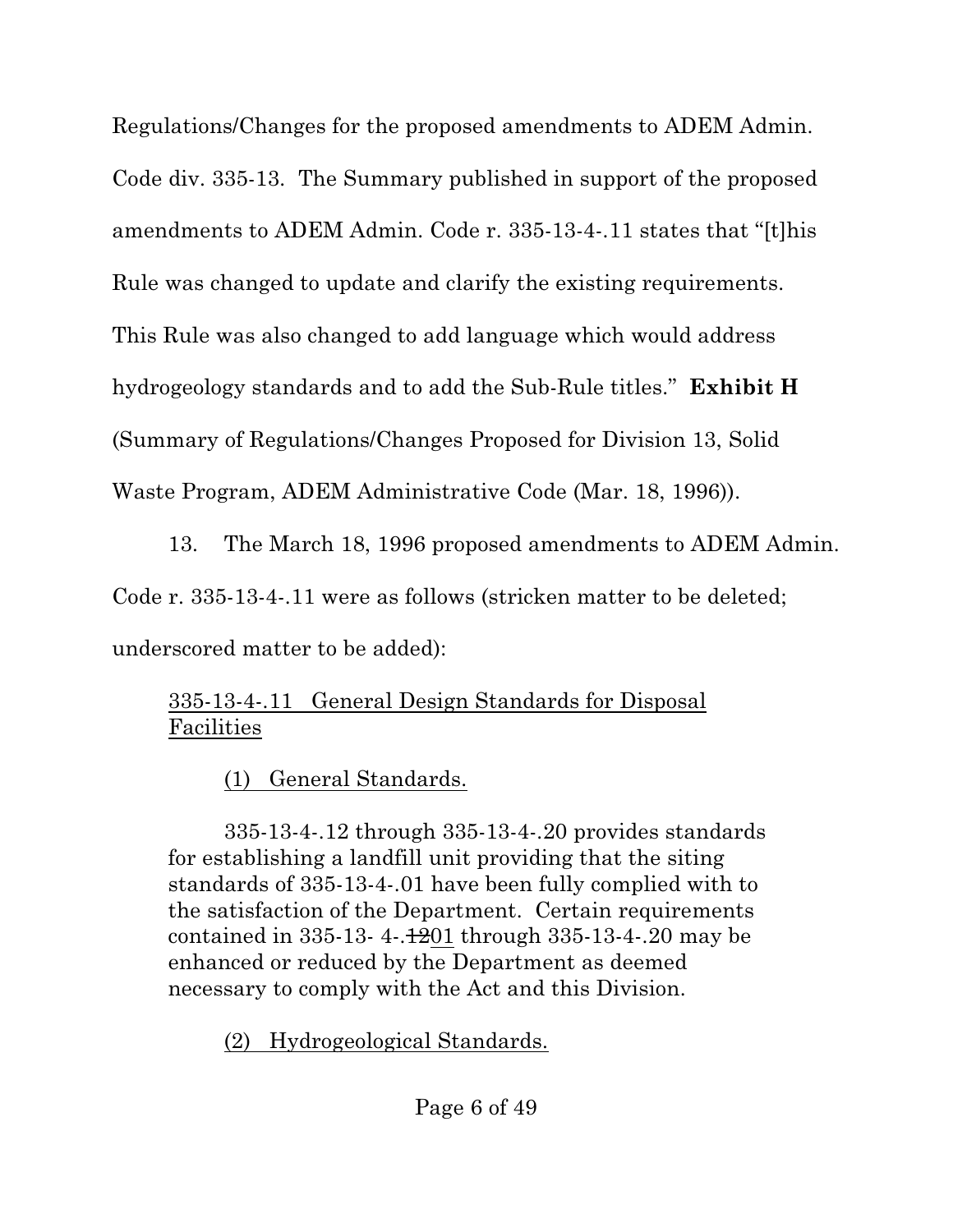Regulations/Changes for the proposed amendments to ADEM Admin. Code div. 335-13. The Summary published in support of the proposed amendments to ADEM Admin. Code r. 335-13-4-.11 states that "[t]his Rule was changed to update and clarify the existing requirements. This Rule was also changed to add language which would address hydrogeology standards and to add the Sub-Rule titles." **Exhibit H** (Summary of Regulations/Changes Proposed for Division 13, Solid Waste Program, ADEM Administrative Code (Mar. 18, 1996)).

13. The March 18, 1996 proposed amendments to ADEM Admin. Code r. 335-13-4-.11 were as follows (stricken matter to be deleted; underscored matter to be added):

## 335-13-4-.11 General Design Standards for Disposal Facilities

## (1) General Standards.

335-13-4-.12 through 335-13-4-.20 provides standards for establishing a landfill unit providing that the siting standards of 335-13-4-.01 have been fully complied with to the satisfaction of the Department. Certain requirements contained in  $335-13-4-1201$  through  $335-13-4-20$  may be enhanced or reduced by the Department as deemed necessary to comply with the Act and this Division.

(2) Hydrogeological Standards.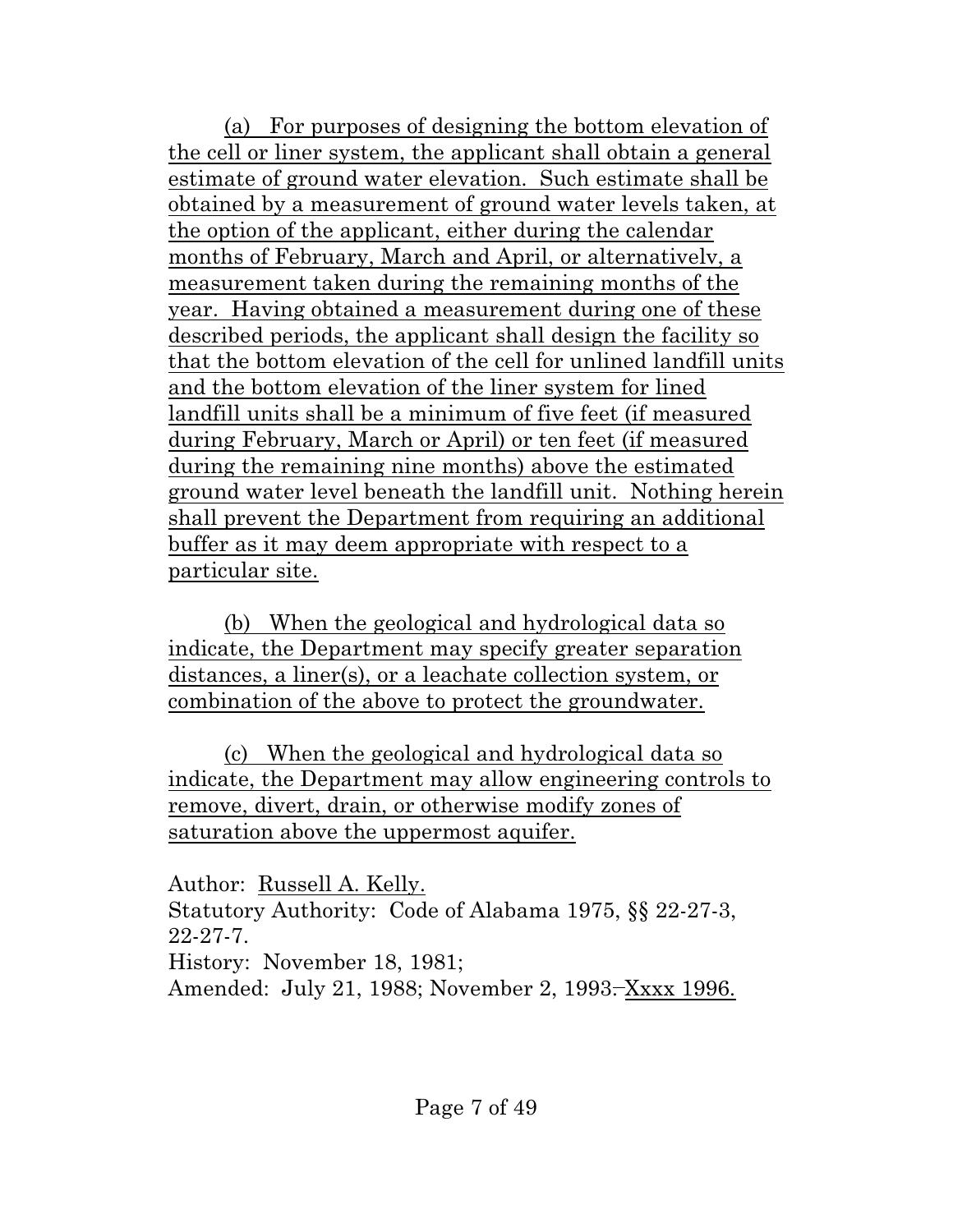(a) For purposes of designing the bottom elevation of the cell or liner system, the applicant shall obtain a general estimate of ground water elevation. Such estimate shall be obtained by a measurement of ground water levels taken, at the option of the applicant, either during the calendar months of February, March and April, or alternativelv, a measurement taken during the remaining months of the year. Having obtained a measurement during one of these described periods, the applicant shall design the facility so that the bottom elevation of the cell for unlined landfill units and the bottom elevation of the liner system for lined landfill units shall be a minimum of five feet (if measured during February, March or April) or ten feet (if measured during the remaining nine months) above the estimated ground water level beneath the landfill unit. Nothing herein shall prevent the Department from requiring an additional buffer as it may deem appropriate with respect to a particular site.

(b) When the geological and hydrological data so indicate, the Department may specify greater separation distances, a liner(s), or a leachate collection system, or combination of the above to protect the groundwater.

(c) When the geological and hydrological data so indicate, the Department may allow engineering controls to remove, divert, drain, or otherwise modify zones of saturation above the uppermost aquifer.

Author: Russell A. Kelly. Statutory Authority: Code of Alabama 1975, §§ 22-27-3, 22-27-7. History: November 18, 1981; Amended: July 21, 1988; November 2, 1993<del>.</del> Xxxx 1996.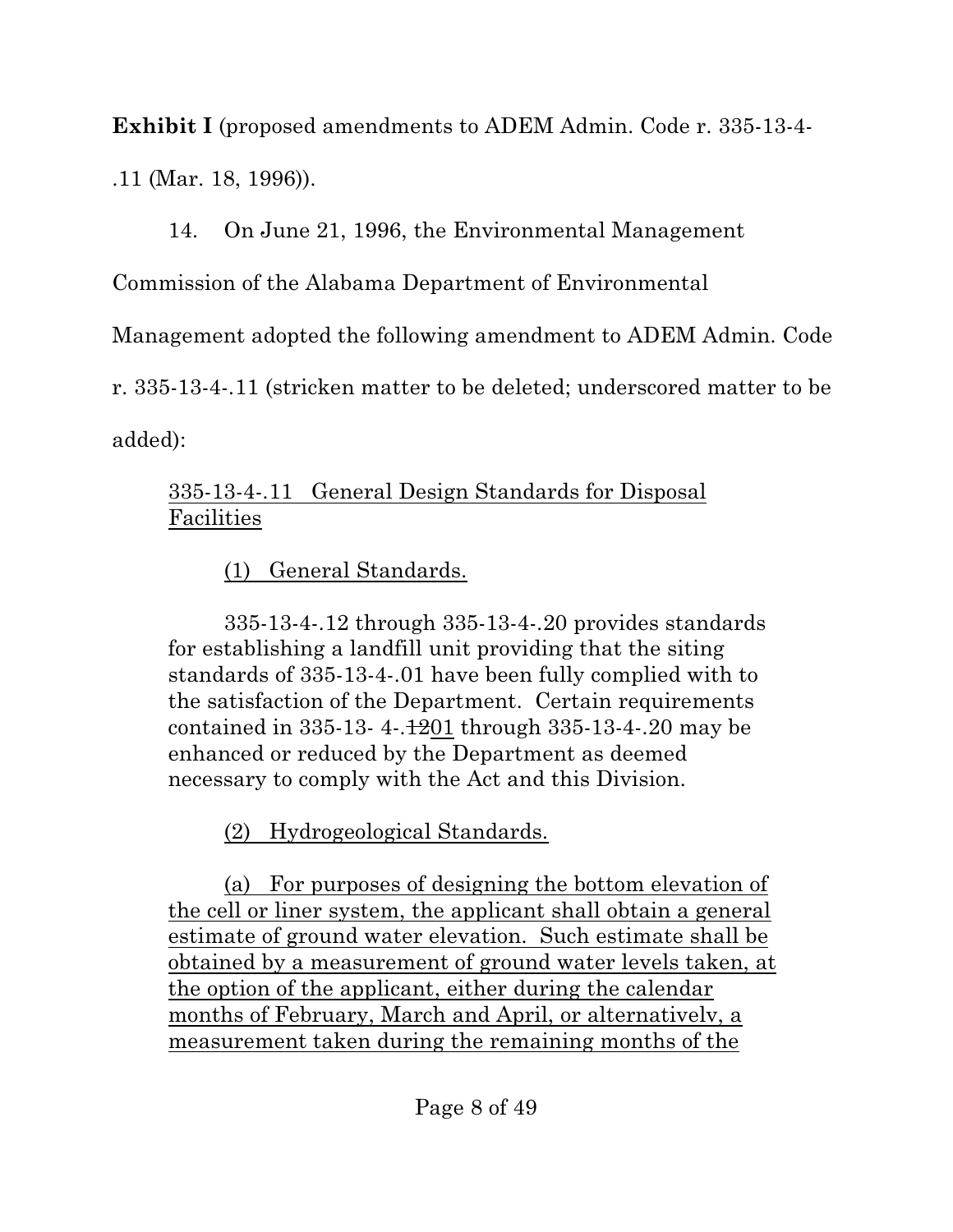**Exhibit I** (proposed amendments to ADEM Admin. Code r. 335-13-4- .11 (Mar. 18, 1996)).

14. On June 21, 1996, the Environmental Management

Commission of the Alabama Department of Environmental

Management adopted the following amendment to ADEM Admin. Code

r. 335-13-4-.11 (stricken matter to be deleted; underscored matter to be

added):

## 335-13-4-.11 General Design Standards for Disposal Facilities

(1) General Standards.

335-13-4-.12 through 335-13-4-.20 provides standards for establishing a landfill unit providing that the siting standards of 335-13-4-.01 have been fully complied with to the satisfaction of the Department. Certain requirements contained in  $335-13-4-1201$  through  $335-13-4-20$  may be enhanced or reduced by the Department as deemed necessary to comply with the Act and this Division.

(2) Hydrogeological Standards.

(a) For purposes of designing the bottom elevation of the cell or liner system, the applicant shall obtain a general estimate of ground water elevation. Such estimate shall be obtained by a measurement of ground water levels taken, at the option of the applicant, either during the calendar months of February, March and April, or alternativelv, a measurement taken during the remaining months of the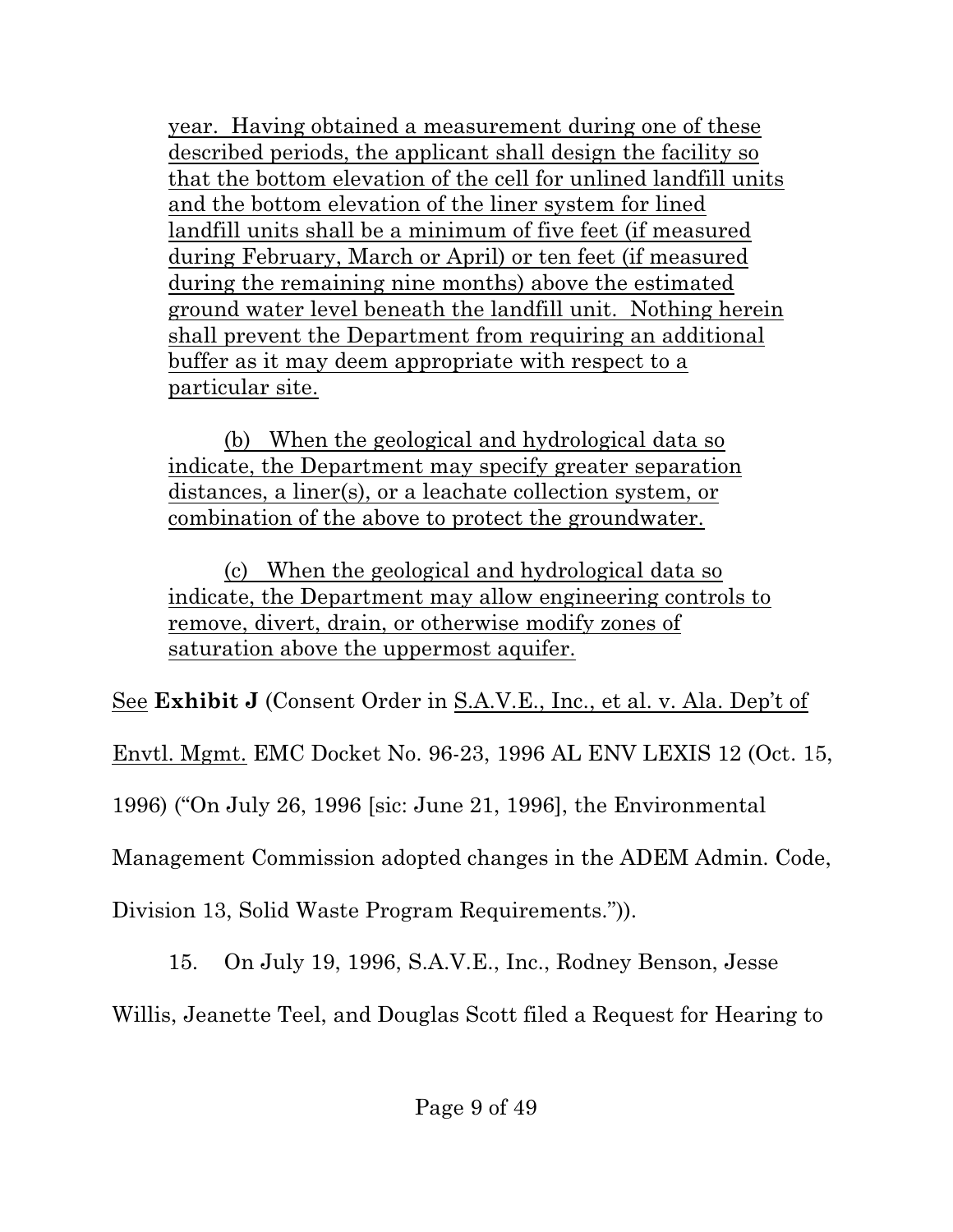year. Having obtained a measurement during one of these described periods, the applicant shall design the facility so that the bottom elevation of the cell for unlined landfill units and the bottom elevation of the liner system for lined landfill units shall be a minimum of five feet (if measured during February, March or April) or ten feet (if measured during the remaining nine months) above the estimated ground water level beneath the landfill unit. Nothing herein shall prevent the Department from requiring an additional buffer as it may deem appropriate with respect to a particular site.

(b) When the geological and hydrological data so indicate, the Department may specify greater separation distances, a liner(s), or a leachate collection system, or combination of the above to protect the groundwater.

(c) When the geological and hydrological data so indicate, the Department may allow engineering controls to remove, divert, drain, or otherwise modify zones of saturation above the uppermost aquifer.

See **Exhibit J** (Consent Order in S.A.V.E., Inc., et al. v. Ala. Dep't of

Envtl. Mgmt. EMC Docket No. 96-23, 1996 AL ENV LEXIS 12 (Oct. 15,

1996) ("On July 26, 1996 [sic: June 21, 1996], the Environmental

Management Commission adopted changes in the ADEM Admin. Code,

Division 13, Solid Waste Program Requirements.")).

15. On July 19, 1996, S.A.V.E., Inc., Rodney Benson, Jesse

Willis, Jeanette Teel, and Douglas Scott filed a Request for Hearing to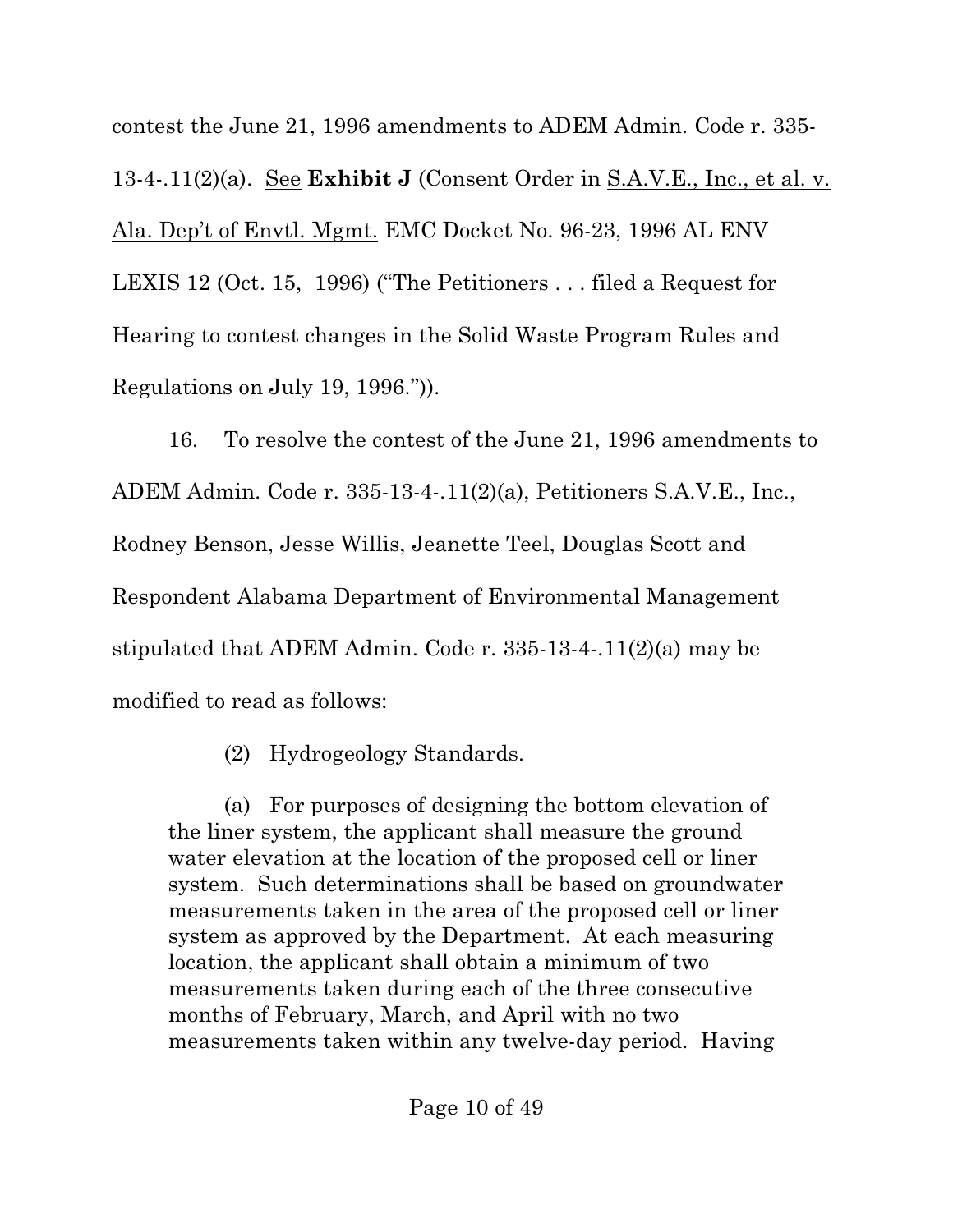contest the June 21, 1996 amendments to ADEM Admin. Code r. 335- 13-4-.11(2)(a). See **Exhibit J** (Consent Order in S.A.V.E., Inc., et al. v. Ala. Dep't of Envtl. Mgmt. EMC Docket No. 96-23, 1996 AL ENV LEXIS 12 (Oct. 15, 1996) ("The Petitioners . . . filed a Request for Hearing to contest changes in the Solid Waste Program Rules and Regulations on July 19, 1996.")).

16. To resolve the contest of the June 21, 1996 amendments to ADEM Admin. Code r. 335-13-4-.11(2)(a), Petitioners S.A.V.E., Inc., Rodney Benson, Jesse Willis, Jeanette Teel, Douglas Scott and Respondent Alabama Department of Environmental Management stipulated that ADEM Admin. Code r. 335-13-4-.11(2)(a) may be modified to read as follows:

(2) Hydrogeology Standards.

(a) For purposes of designing the bottom elevation of the liner system, the applicant shall measure the ground water elevation at the location of the proposed cell or liner system. Such determinations shall be based on groundwater measurements taken in the area of the proposed cell or liner system as approved by the Department. At each measuring location, the applicant shall obtain a minimum of two measurements taken during each of the three consecutive months of February, March, and April with no two measurements taken within any twelve-day period. Having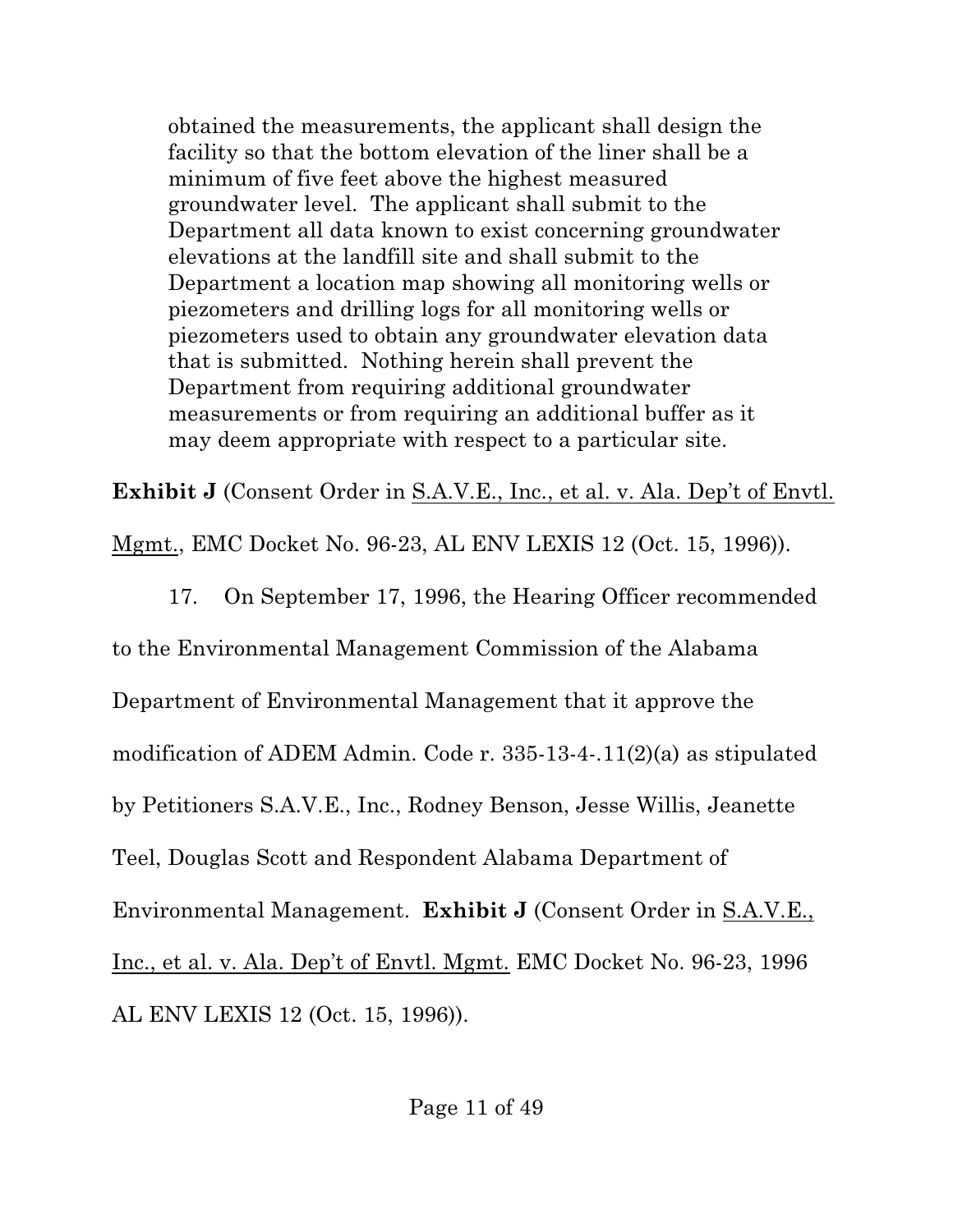obtained the measurements, the applicant shall design the facility so that the bottom elevation of the liner shall be a minimum of five feet above the highest measured groundwater level. The applicant shall submit to the Department all data known to exist concerning groundwater elevations at the landfill site and shall submit to the Department a location map showing all monitoring wells or piezometers and drilling logs for all monitoring wells or piezometers used to obtain any groundwater elevation data that is submitted. Nothing herein shall prevent the Department from requiring additional groundwater measurements or from requiring an additional buffer as it may deem appropriate with respect to a particular site.

**Exhibit J** (Consent Order in S.A.V.E., Inc., et al. v. Ala. Dep't of Envtl.

Mgmt., EMC Docket No. 96-23, AL ENV LEXIS 12 (Oct. 15, 1996)).

17. On September 17, 1996, the Hearing Officer recommended to the Environmental Management Commission of the Alabama Department of Environmental Management that it approve the modification of ADEM Admin. Code r. 335-13-4-.11(2)(a) as stipulated by Petitioners S.A.V.E., Inc., Rodney Benson, Jesse Willis, Jeanette Teel, Douglas Scott and Respondent Alabama Department of Environmental Management. **Exhibit J** (Consent Order in S.A.V.E., Inc., et al. v. Ala. Dep't of Envtl. Mgmt. EMC Docket No. 96-23, 1996 AL ENV LEXIS 12 (Oct. 15, 1996)).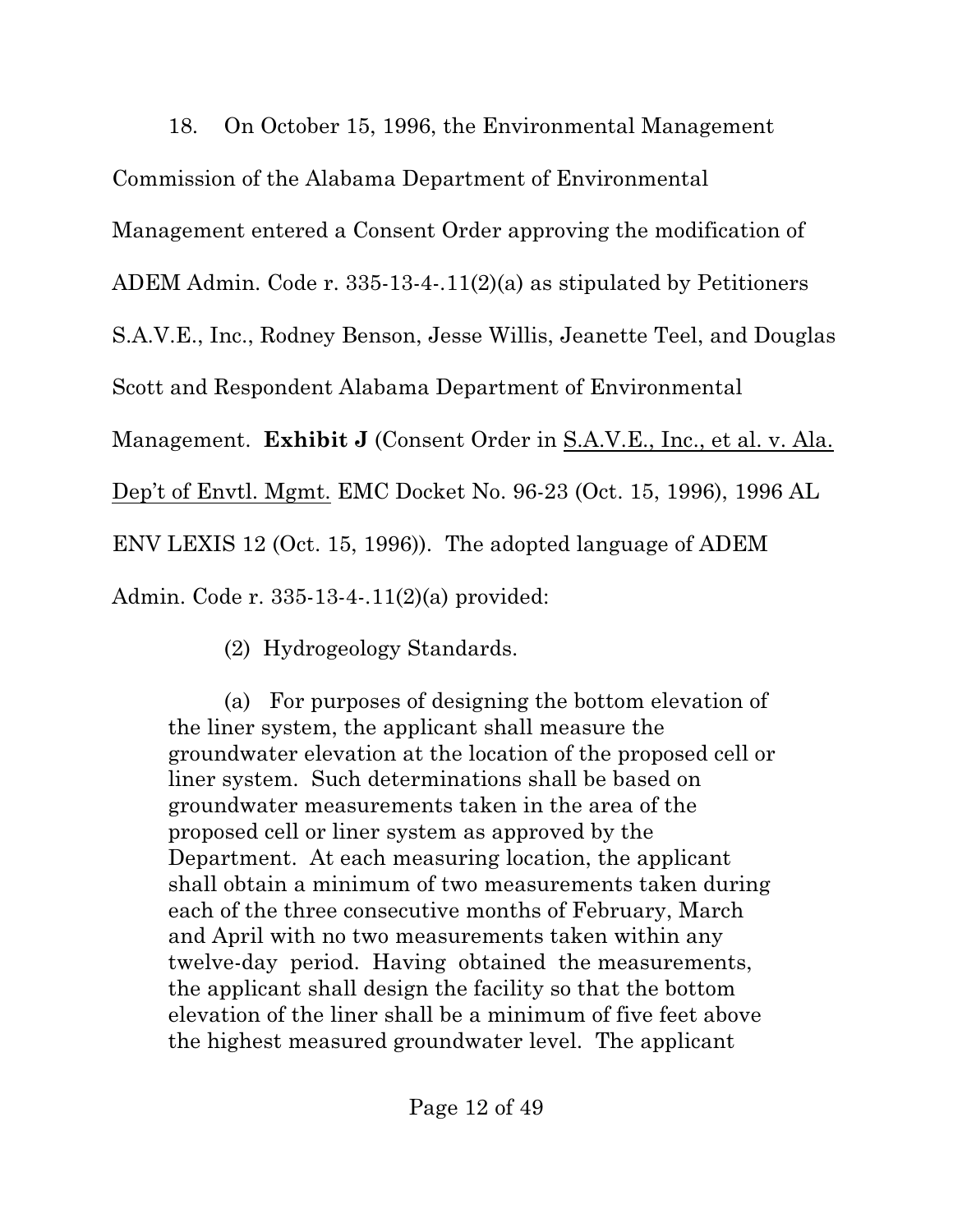18. On October 15, 1996, the Environmental Management Commission of the Alabama Department of Environmental Management entered a Consent Order approving the modification of ADEM Admin. Code r. 335-13-4-.11(2)(a) as stipulated by Petitioners S.A.V.E., Inc., Rodney Benson, Jesse Willis, Jeanette Teel, and Douglas Scott and Respondent Alabama Department of Environmental Management. **Exhibit J** (Consent Order in S.A.V.E., Inc., et al. v. Ala. Dep't of Envtl. Mgmt. EMC Docket No. 96-23 (Oct. 15, 1996), 1996 AL ENV LEXIS 12 (Oct. 15, 1996)). The adopted language of ADEM Admin. Code r. 335-13-4-.11(2)(a) provided:

(2) Hydrogeology Standards.

(a) For purposes of designing the bottom elevation of the liner system, the applicant shall measure the groundwater elevation at the location of the proposed cell or liner system. Such determinations shall be based on groundwater measurements taken in the area of the proposed cell or liner system as approved by the Department. At each measuring location, the applicant shall obtain a minimum of two measurements taken during each of the three consecutive months of February, March and April with no two measurements taken within any twelve-day period. Having obtained the measurements, the applicant shall design the facility so that the bottom elevation of the liner shall be a minimum of five feet above the highest measured groundwater level. The applicant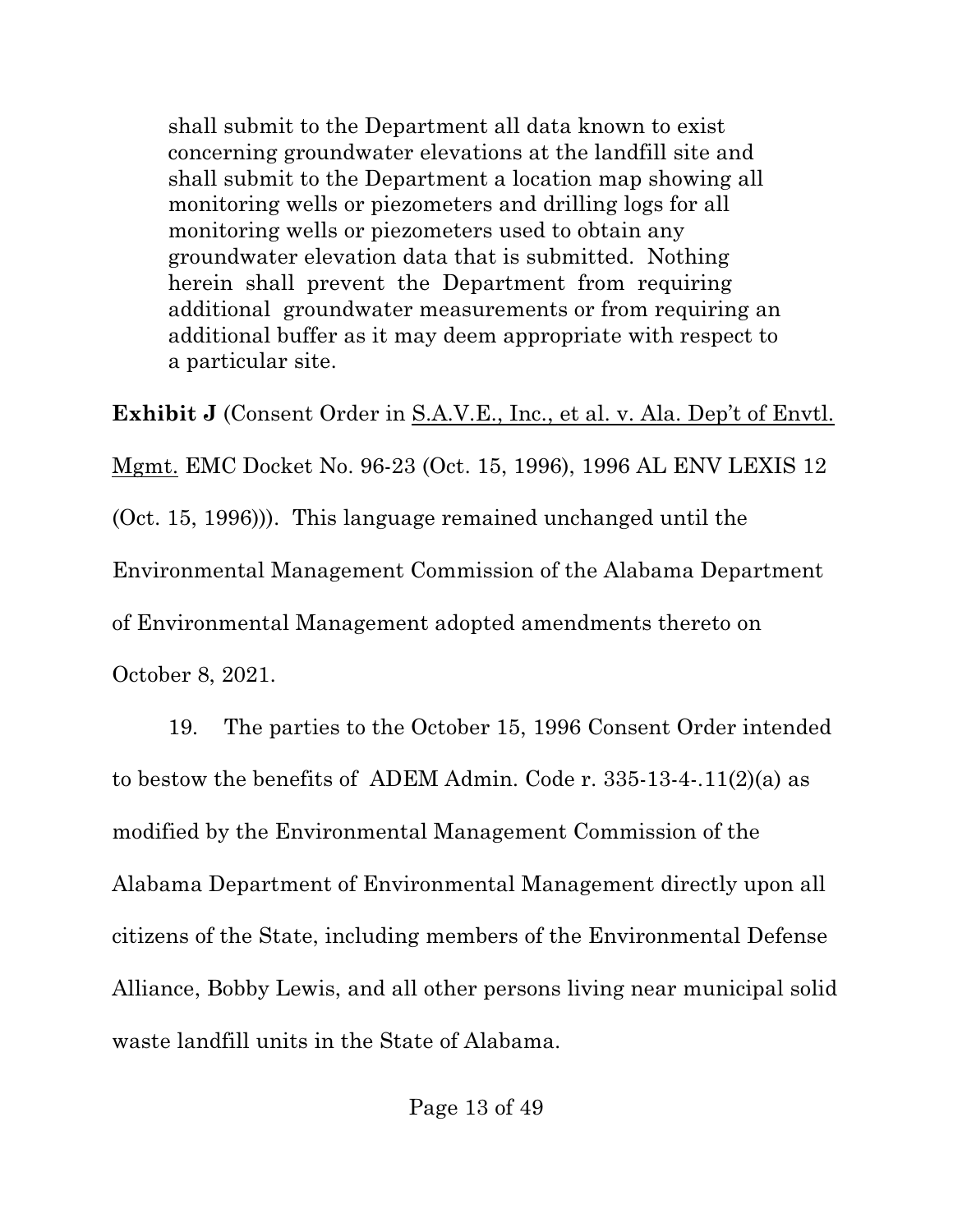shall submit to the Department all data known to exist concerning groundwater elevations at the landfill site and shall submit to the Department a location map showing all monitoring wells or piezometers and drilling logs for all monitoring wells or piezometers used to obtain any groundwater elevation data that is submitted. Nothing herein shall prevent the Department from requiring additional groundwater measurements or from requiring an additional buffer as it may deem appropriate with respect to a particular site.

**Exhibit J** (Consent Order in S.A.V.E., Inc., et al. v. Ala. Dep't of Envtl. Mgmt. EMC Docket No. 96-23 (Oct. 15, 1996), 1996 AL ENV LEXIS 12 (Oct. 15, 1996))). This language remained unchanged until the Environmental Management Commission of the Alabama Department of Environmental Management adopted amendments thereto on October 8, 2021.

19. The parties to the October 15, 1996 Consent Order intended to bestow the benefits of ADEM Admin. Code r. 335-13-4-.11(2)(a) as modified by the Environmental Management Commission of the Alabama Department of Environmental Management directly upon all citizens of the State, including members of the Environmental Defense Alliance, Bobby Lewis, and all other persons living near municipal solid waste landfill units in the State of Alabama.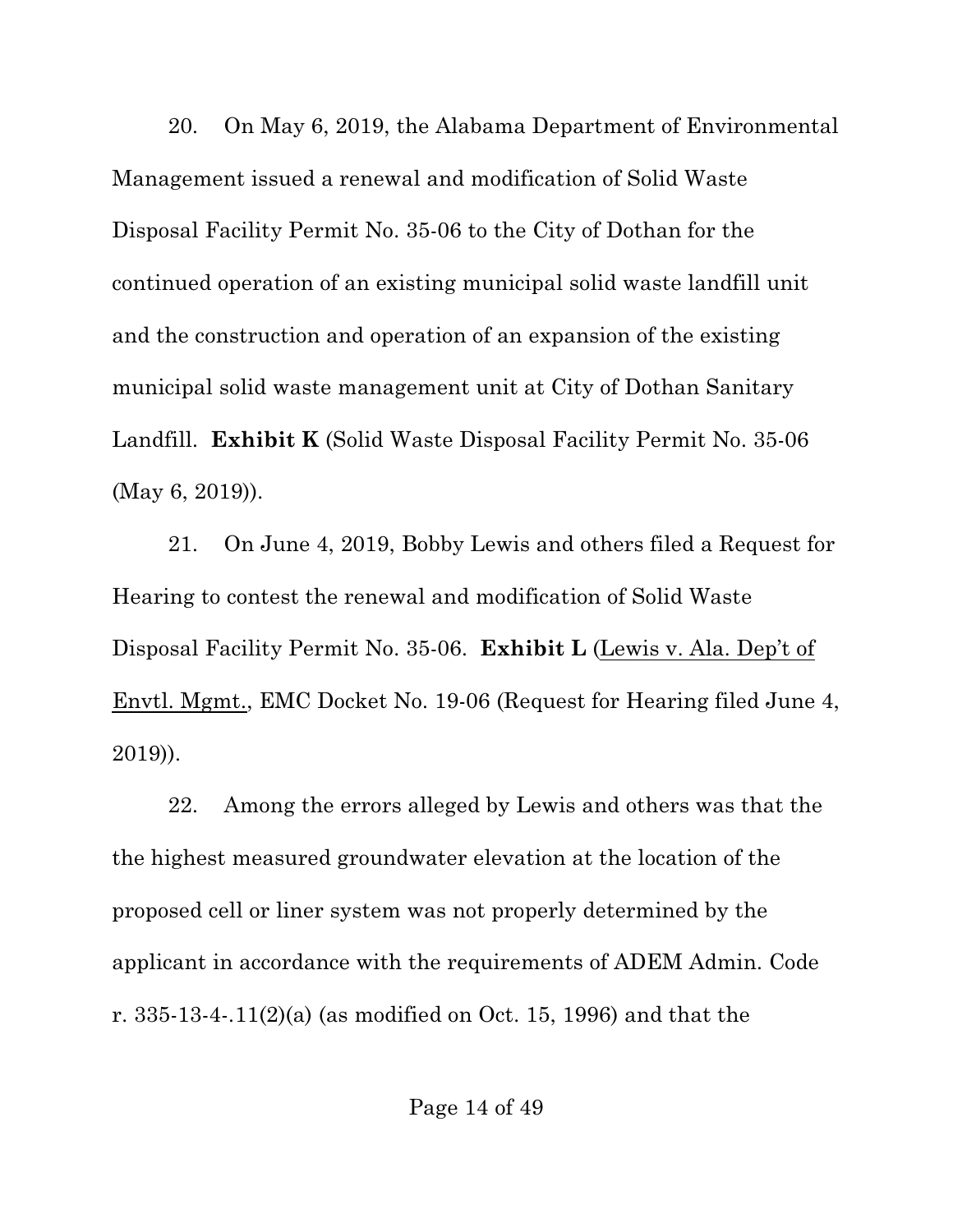20. On May 6, 2019, the Alabama Department of Environmental Management issued a renewal and modification of Solid Waste Disposal Facility Permit No. 35-06 to the City of Dothan for the continued operation of an existing municipal solid waste landfill unit and the construction and operation of an expansion of the existing municipal solid waste management unit at City of Dothan Sanitary Landfill. **Exhibit K** (Solid Waste Disposal Facility Permit No. 35-06 (May 6, 2019)).

21. On June 4, 2019, Bobby Lewis and others filed a Request for Hearing to contest the renewal and modification of Solid Waste Disposal Facility Permit No. 35-06. **Exhibit L** (Lewis v. Ala. Dep't of Envtl. Mgmt., EMC Docket No. 19-06 (Request for Hearing filed June 4, 2019)).

22. Among the errors alleged by Lewis and others was that the the highest measured groundwater elevation at the location of the proposed cell or liner system was not properly determined by the applicant in accordance with the requirements of ADEM Admin. Code r. 335-13-4-.11(2)(a) (as modified on Oct. 15, 1996) and that the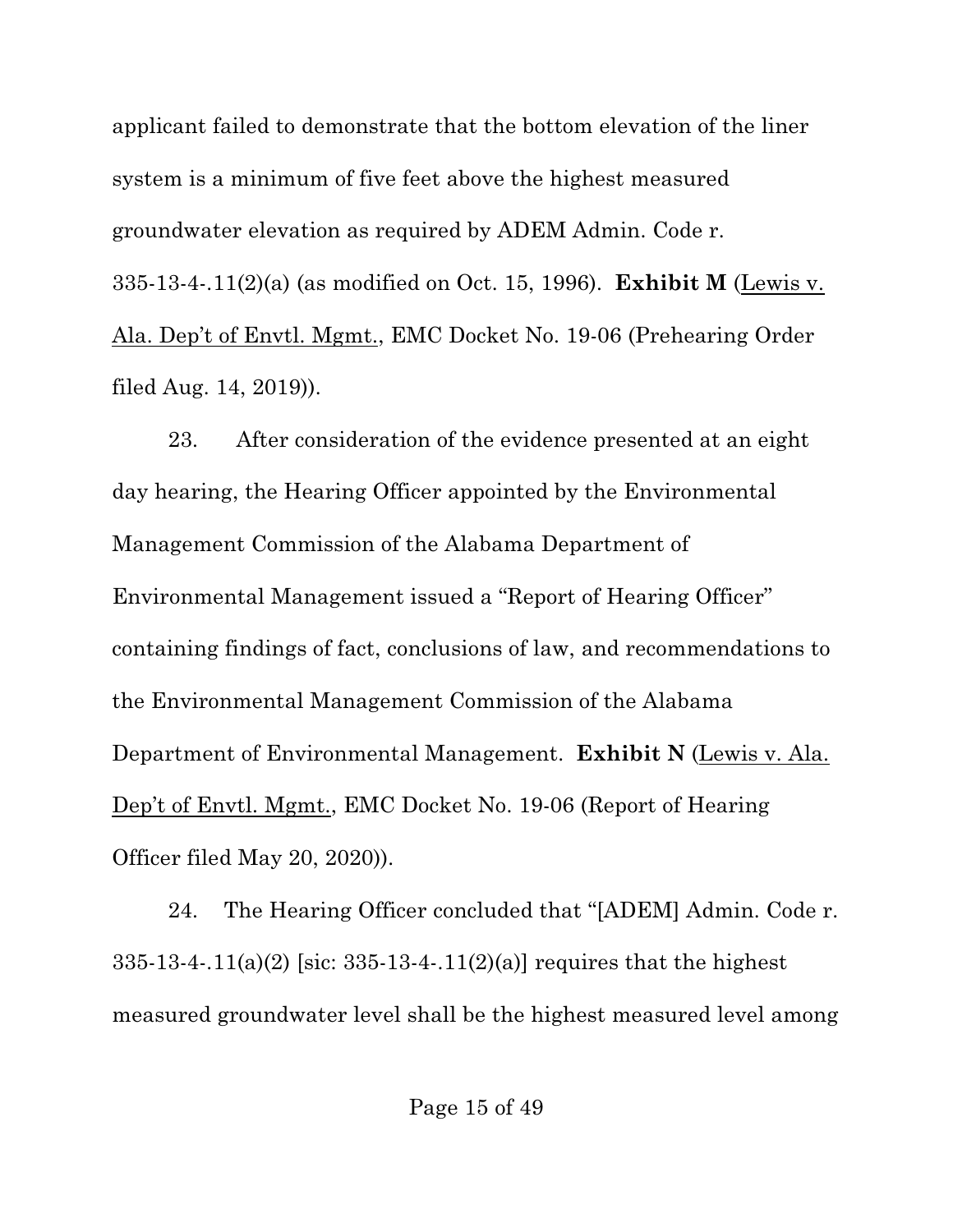applicant failed to demonstrate that the bottom elevation of the liner system is a minimum of five feet above the highest measured groundwater elevation as required by ADEM Admin. Code r. 335-13-4-.11(2)(a) (as modified on Oct. 15, 1996). **Exhibit M** (Lewis v. Ala. Dep't of Envtl. Mgmt., EMC Docket No. 19-06 (Prehearing Order filed Aug. 14, 2019)).

23. After consideration of the evidence presented at an eight day hearing, the Hearing Officer appointed by the Environmental Management Commission of the Alabama Department of Environmental Management issued a "Report of Hearing Officer" containing findings of fact, conclusions of law, and recommendations to the Environmental Management Commission of the Alabama Department of Environmental Management. **Exhibit N** (Lewis v. Ala. Dep't of Envtl. Mgmt., EMC Docket No. 19-06 (Report of Hearing Officer filed May 20, 2020)).

24. The Hearing Officer concluded that "[ADEM] Admin. Code r. 335-13-4-.11(a)(2) [sic: 335-13-4-.11(2)(a)] requires that the highest measured groundwater level shall be the highest measured level among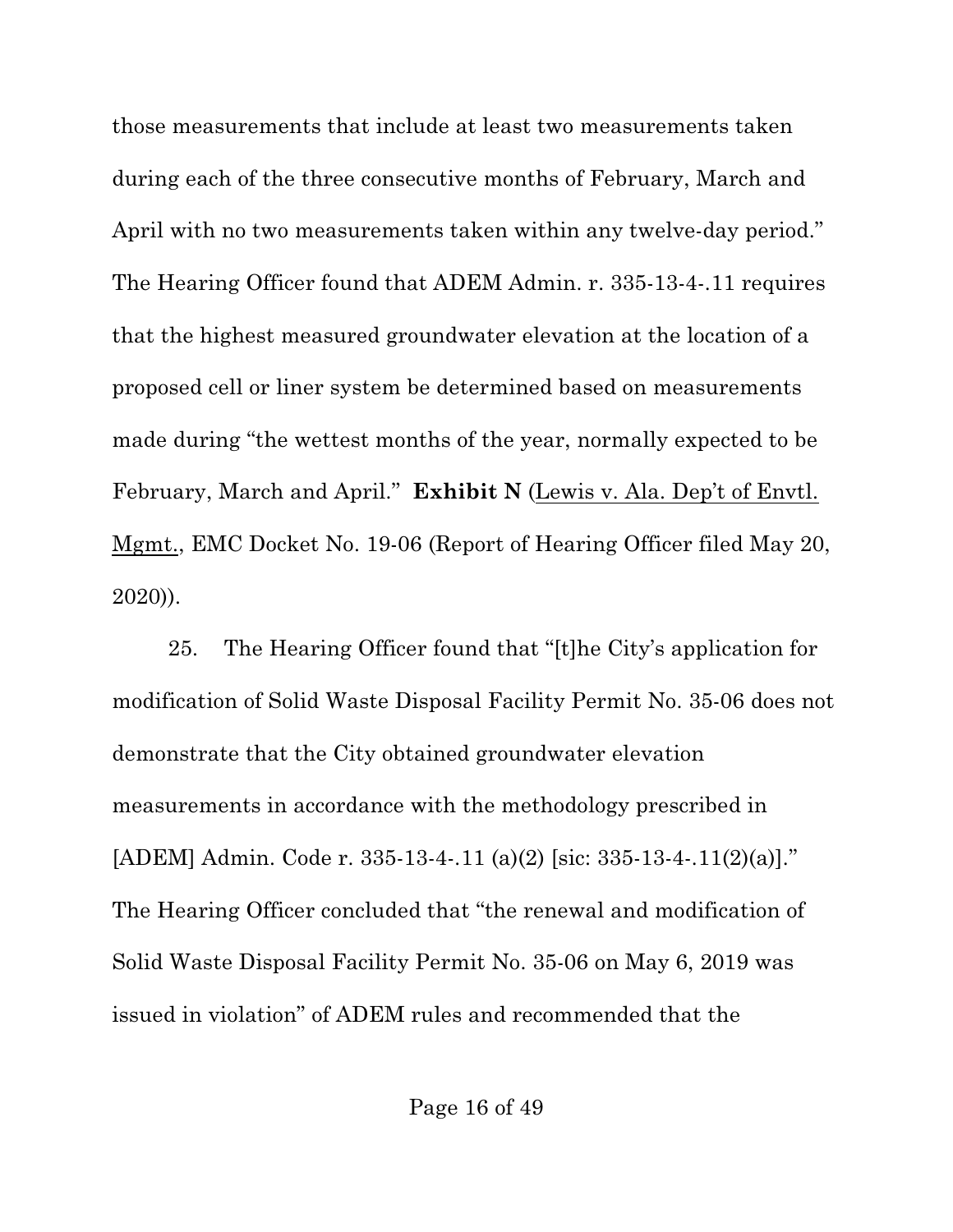those measurements that include at least two measurements taken during each of the three consecutive months of February, March and April with no two measurements taken within any twelve-day period." The Hearing Officer found that ADEM Admin. r. 335-13-4-.11 requires that the highest measured groundwater elevation at the location of a proposed cell or liner system be determined based on measurements made during "the wettest months of the year, normally expected to be February, March and April." **Exhibit N** (Lewis v. Ala. Dep't of Envtl. Mgmt., EMC Docket No. 19-06 (Report of Hearing Officer filed May 20, 2020)).

25. The Hearing Officer found that "[t]he City's application for modification of Solid Waste Disposal Facility Permit No. 35-06 does not demonstrate that the City obtained groundwater elevation measurements in accordance with the methodology prescribed in [ADEM] Admin. Code r. 335-13-4-.11 (a)(2) [sic: 335-13-4-.11(2)(a)]." The Hearing Officer concluded that "the renewal and modification of Solid Waste Disposal Facility Permit No. 35-06 on May 6, 2019 was issued in violation" of ADEM rules and recommended that the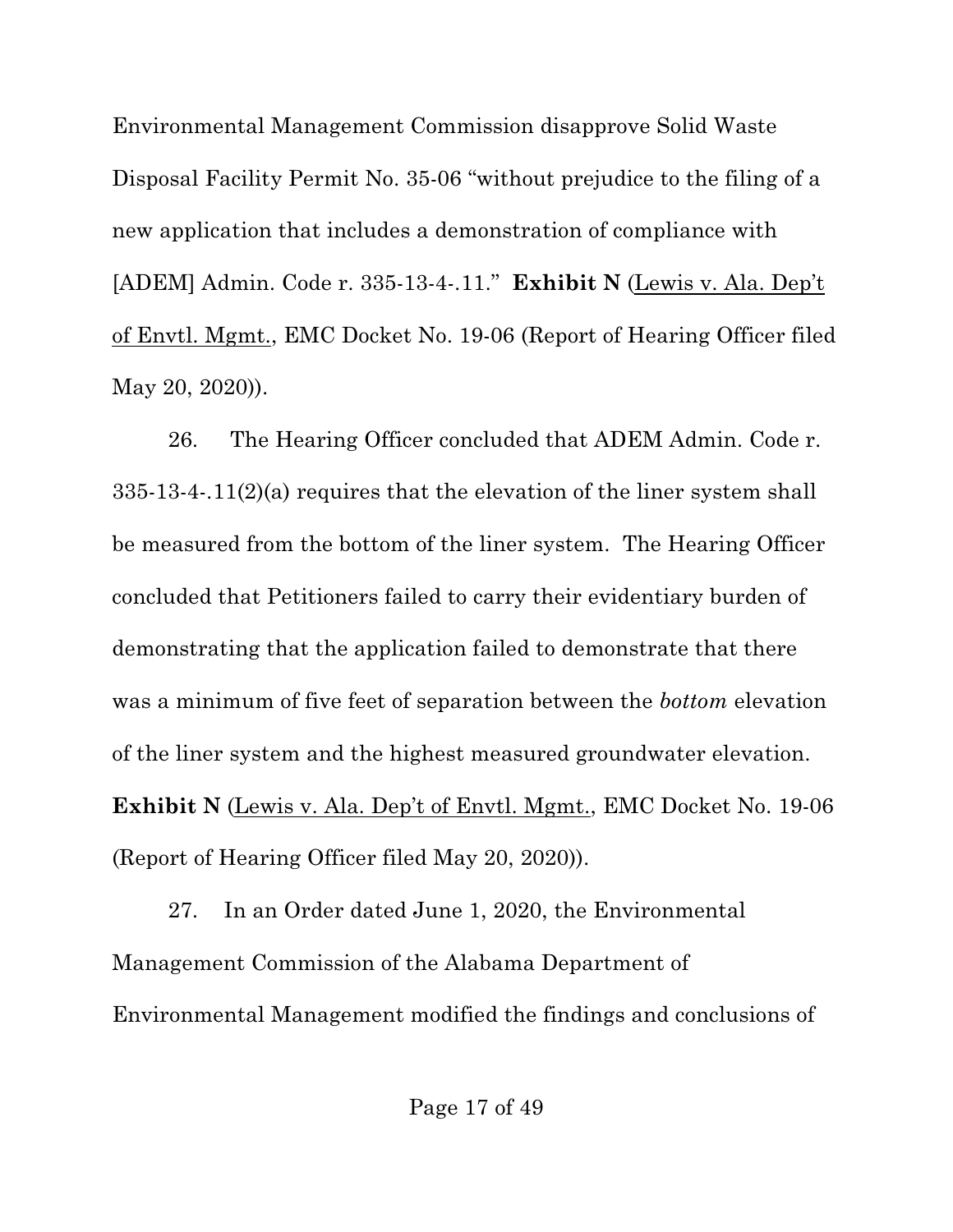Environmental Management Commission disapprove Solid Waste Disposal Facility Permit No. 35-06 "without prejudice to the filing of a new application that includes a demonstration of compliance with [ADEM] Admin. Code r. 335-13-4-.11." **Exhibit N** (Lewis v. Ala. Dep't of Envtl. Mgmt., EMC Docket No. 19-06 (Report of Hearing Officer filed May 20, 2020)).

26. The Hearing Officer concluded that ADEM Admin. Code r. 335-13-4-.11(2)(a) requires that the elevation of the liner system shall be measured from the bottom of the liner system. The Hearing Officer concluded that Petitioners failed to carry their evidentiary burden of demonstrating that the application failed to demonstrate that there was a minimum of five feet of separation between the *bottom* elevation of the liner system and the highest measured groundwater elevation. **Exhibit N** (Lewis v. Ala. Dep't of Envtl. Mgmt., EMC Docket No. 19-06 (Report of Hearing Officer filed May 20, 2020)).

27. In an Order dated June 1, 2020, the Environmental Management Commission of the Alabama Department of Environmental Management modified the findings and conclusions of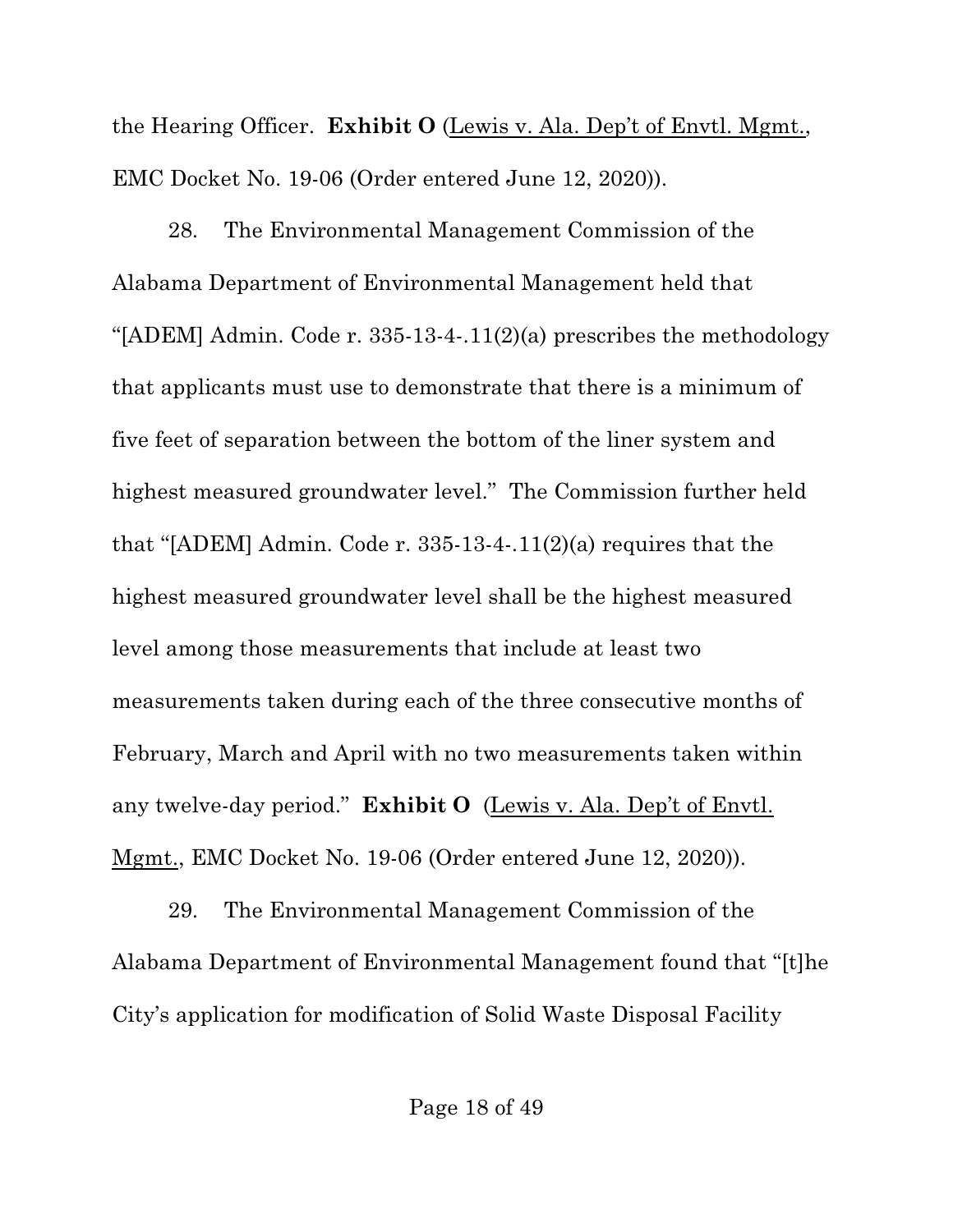the Hearing Officer. **Exhibit O** (Lewis v. Ala. Dep't of Envtl. Mgmt., EMC Docket No. 19-06 (Order entered June 12, 2020)).

28. The Environmental Management Commission of the Alabama Department of Environmental Management held that "[ADEM] Admin. Code r. 335-13-4-.11(2)(a) prescribes the methodology that applicants must use to demonstrate that there is a minimum of five feet of separation between the bottom of the liner system and highest measured groundwater level." The Commission further held that "[ADEM] Admin. Code r. 335-13-4-.11(2)(a) requires that the highest measured groundwater level shall be the highest measured level among those measurements that include at least two measurements taken during each of the three consecutive months of February, March and April with no two measurements taken within any twelve-day period." **Exhibit O** (Lewis v. Ala. Dep't of Envtl. Mgmt., EMC Docket No. 19-06 (Order entered June 12, 2020)).

29. The Environmental Management Commission of the Alabama Department of Environmental Management found that "[t]he City's application for modification of Solid Waste Disposal Facility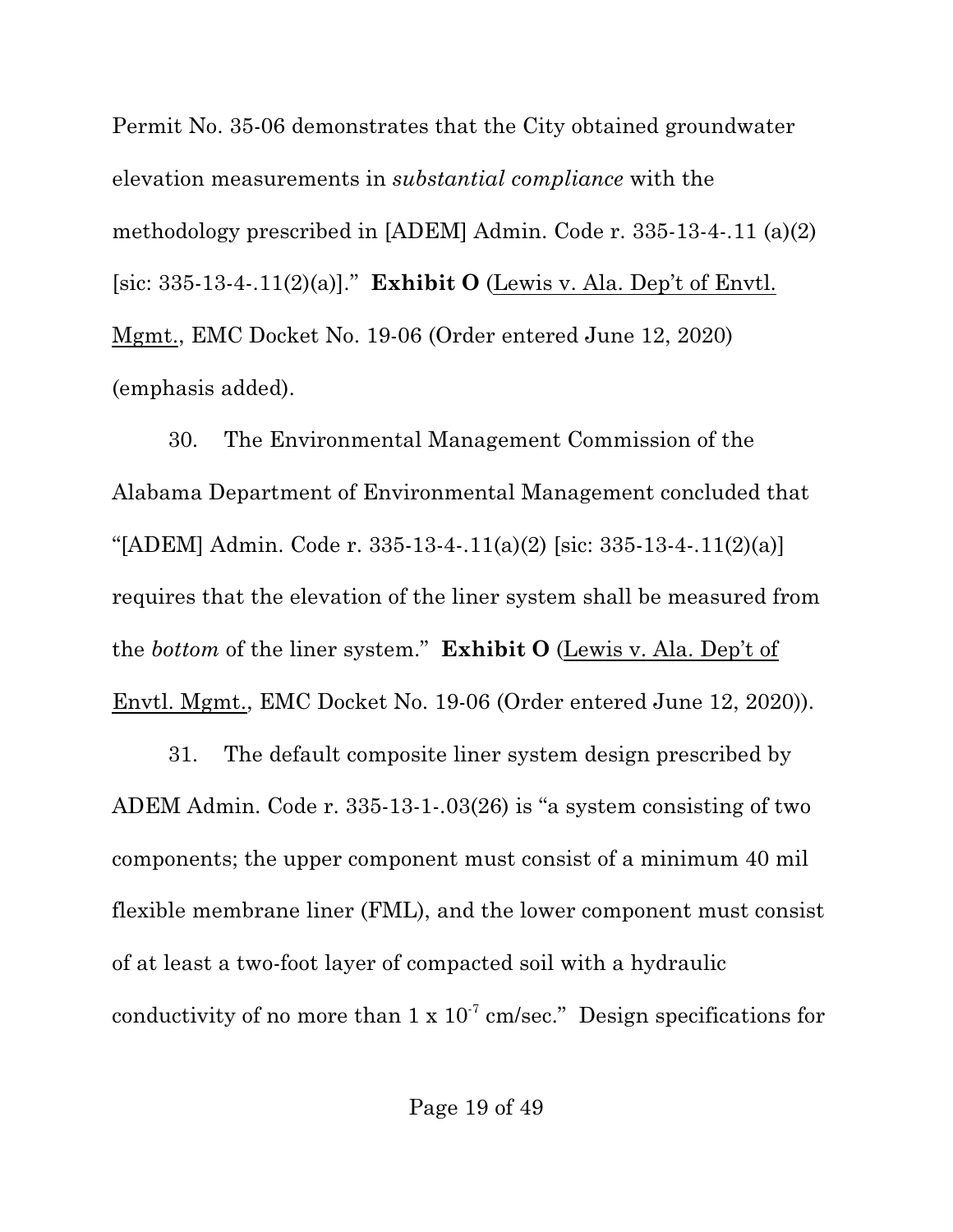Permit No. 35-06 demonstrates that the City obtained groundwater elevation measurements in *substantial compliance* with the methodology prescribed in [ADEM] Admin. Code r. 335-13-4-.11 (a)(2) [sic: 335-13-4-.11(2)(a)]." **Exhibit O** (Lewis v. Ala. Dep't of Envtl. Mgmt., EMC Docket No. 19-06 (Order entered June 12, 2020) (emphasis added).

30. The Environmental Management Commission of the Alabama Department of Environmental Management concluded that "[ADEM] Admin. Code r. 335-13-4-.11(a)(2) [sic: 335-13-4-.11(2)(a)] requires that the elevation of the liner system shall be measured from the *bottom* of the liner system." **Exhibit O** (Lewis v. Ala. Dep't of Envtl. Mgmt., EMC Docket No. 19-06 (Order entered June 12, 2020)).

31. The default composite liner system design prescribed by ADEM Admin. Code r. 335-13-1-.03(26) is "a system consisting of two components; the upper component must consist of a minimum 40 mil flexible membrane liner (FML), and the lower component must consist of at least a two-foot layer of compacted soil with a hydraulic conductivity of no more than  $1 \times 10^{-7}$  cm/sec." Design specifications for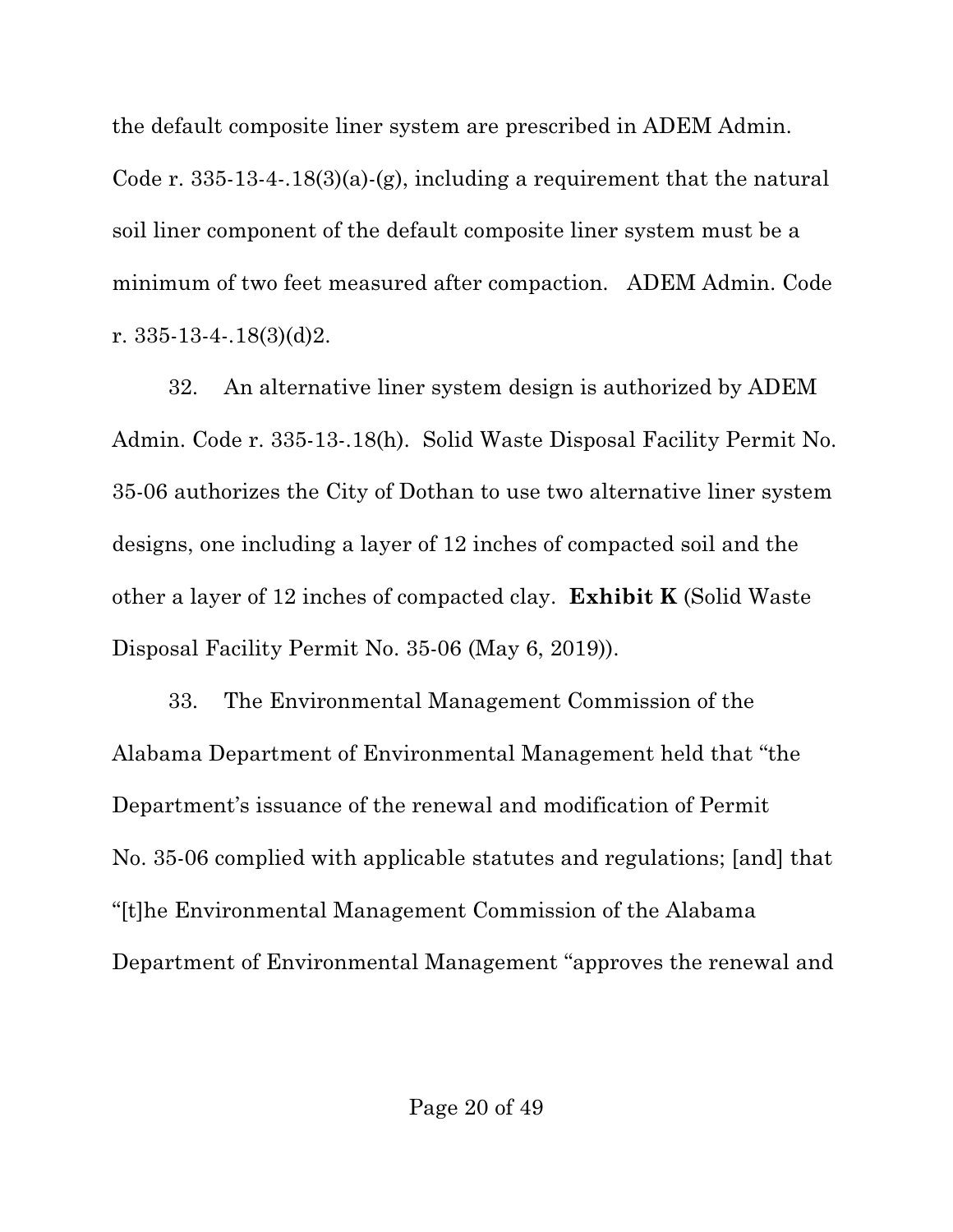the default composite liner system are prescribed in ADEM Admin.

Code r. 335-13-4-.18(3)(a)-(g), including a requirement that the natural soil liner component of the default composite liner system must be a minimum of two feet measured after compaction. ADEM Admin. Code r. 335-13-4-.18(3)(d)2.

32. An alternative liner system design is authorized by ADEM Admin. Code r. 335-13-.18(h). Solid Waste Disposal Facility Permit No. 35-06 authorizes the City of Dothan to use two alternative liner system designs, one including a layer of 12 inches of compacted soil and the other a layer of 12 inches of compacted clay. **Exhibit K** (Solid Waste Disposal Facility Permit No. 35-06 (May 6, 2019)).

33. The Environmental Management Commission of the Alabama Department of Environmental Management held that "the Department's issuance of the renewal and modification of Permit No. 35-06 complied with applicable statutes and regulations; [and] that "[t]he Environmental Management Commission of the Alabama Department of Environmental Management "approves the renewal and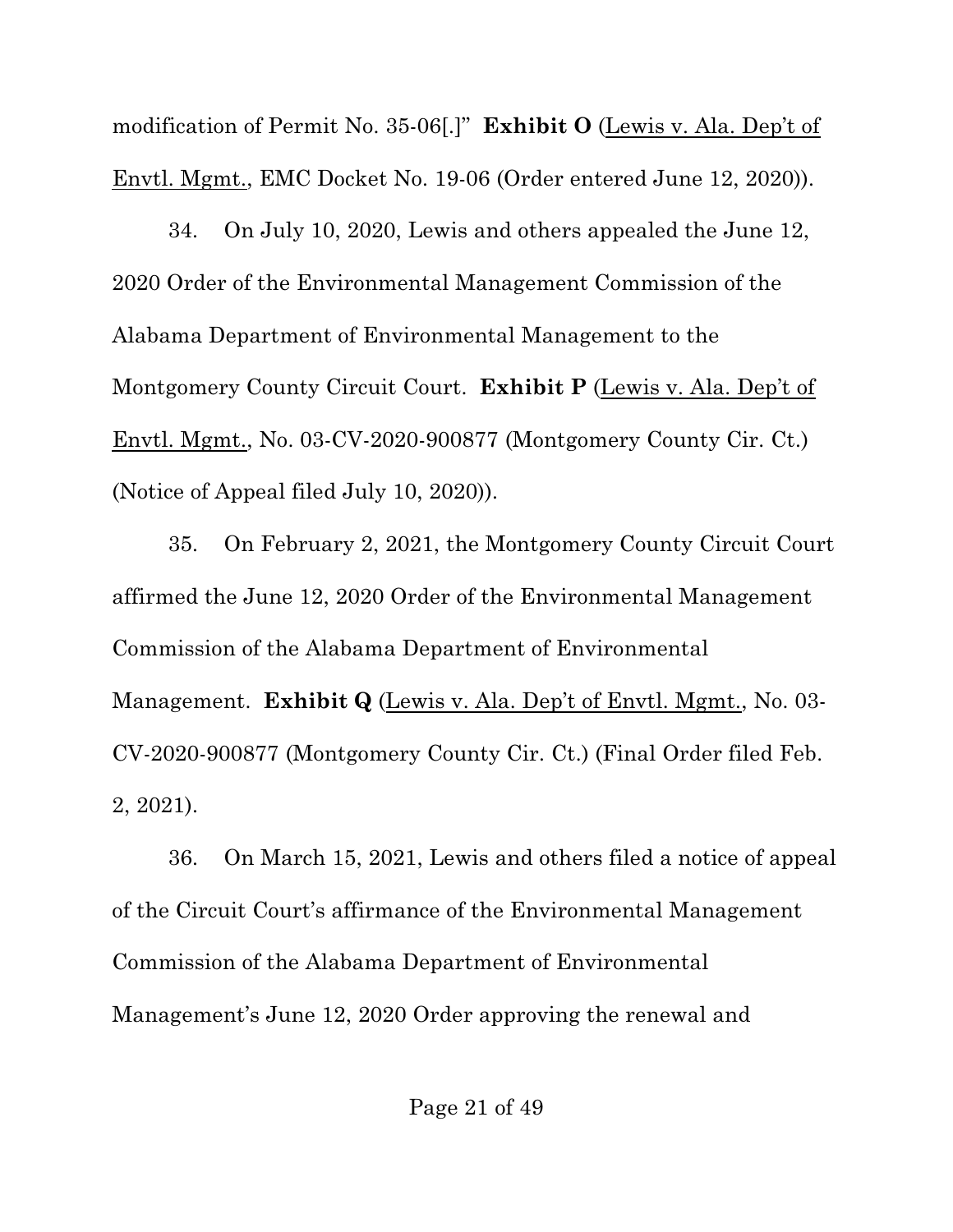modification of Permit No. 35-06[.]" **Exhibit O** (Lewis v. Ala. Dep't of Envtl. Mgmt., EMC Docket No. 19-06 (Order entered June 12, 2020)).

34. On July 10, 2020, Lewis and others appealed the June 12, 2020 Order of the Environmental Management Commission of the Alabama Department of Environmental Management to the Montgomery County Circuit Court. **Exhibit P** (Lewis v. Ala. Dep't of Envtl. Mgmt., No. 03-CV-2020-900877 (Montgomery County Cir. Ct.) (Notice of Appeal filed July 10, 2020)).

35. On February 2, 2021, the Montgomery County Circuit Court affirmed the June 12, 2020 Order of the Environmental Management Commission of the Alabama Department of Environmental Management. **Exhibit Q** (Lewis v. Ala. Dep't of Envtl. Mgmt., No. 03- CV-2020-900877 (Montgomery County Cir. Ct.) (Final Order filed Feb. 2, 2021).

36. On March 15, 2021, Lewis and others filed a notice of appeal of the Circuit Court's affirmance of the Environmental Management Commission of the Alabama Department of Environmental Management's June 12, 2020 Order approving the renewal and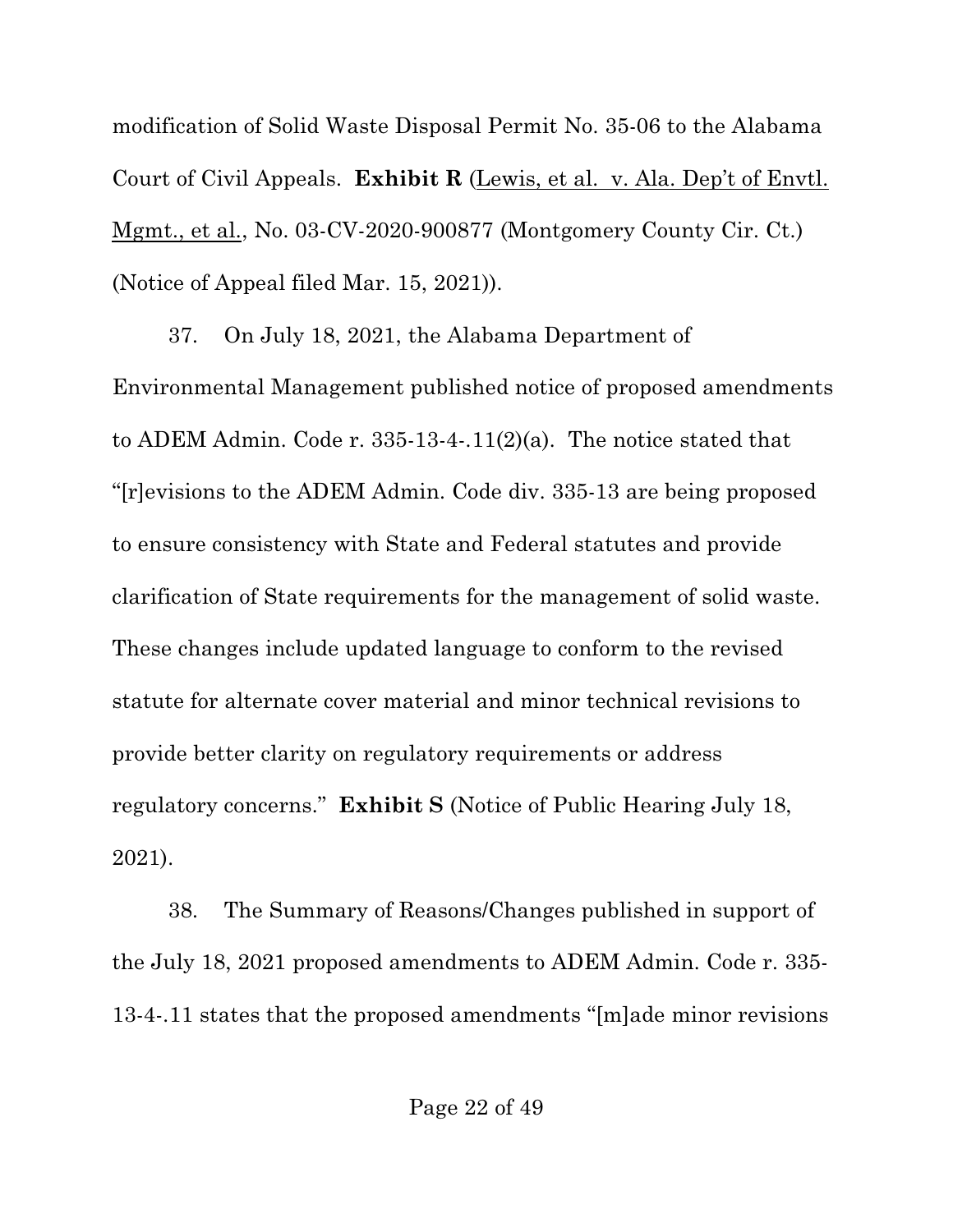modification of Solid Waste Disposal Permit No. 35-06 to the Alabama Court of Civil Appeals. **Exhibit R** (Lewis, et al. v. Ala. Dep't of Envtl. Mgmt., et al., No. 03-CV-2020-900877 (Montgomery County Cir. Ct.) (Notice of Appeal filed Mar. 15, 2021)).

37. On July 18, 2021, the Alabama Department of Environmental Management published notice of proposed amendments to ADEM Admin. Code r. 335-13-4-.11(2)(a). The notice stated that "[r]evisions to the ADEM Admin. Code div. 335-13 are being proposed to ensure consistency with State and Federal statutes and provide clarification of State requirements for the management of solid waste. These changes include updated language to conform to the revised statute for alternate cover material and minor technical revisions to provide better clarity on regulatory requirements or address regulatory concerns." **Exhibit S** (Notice of Public Hearing July 18, 2021).

38. The Summary of Reasons/Changes published in support of the July 18, 2021 proposed amendments to ADEM Admin. Code r. 335- 13-4-.11 states that the proposed amendments "[m]ade minor revisions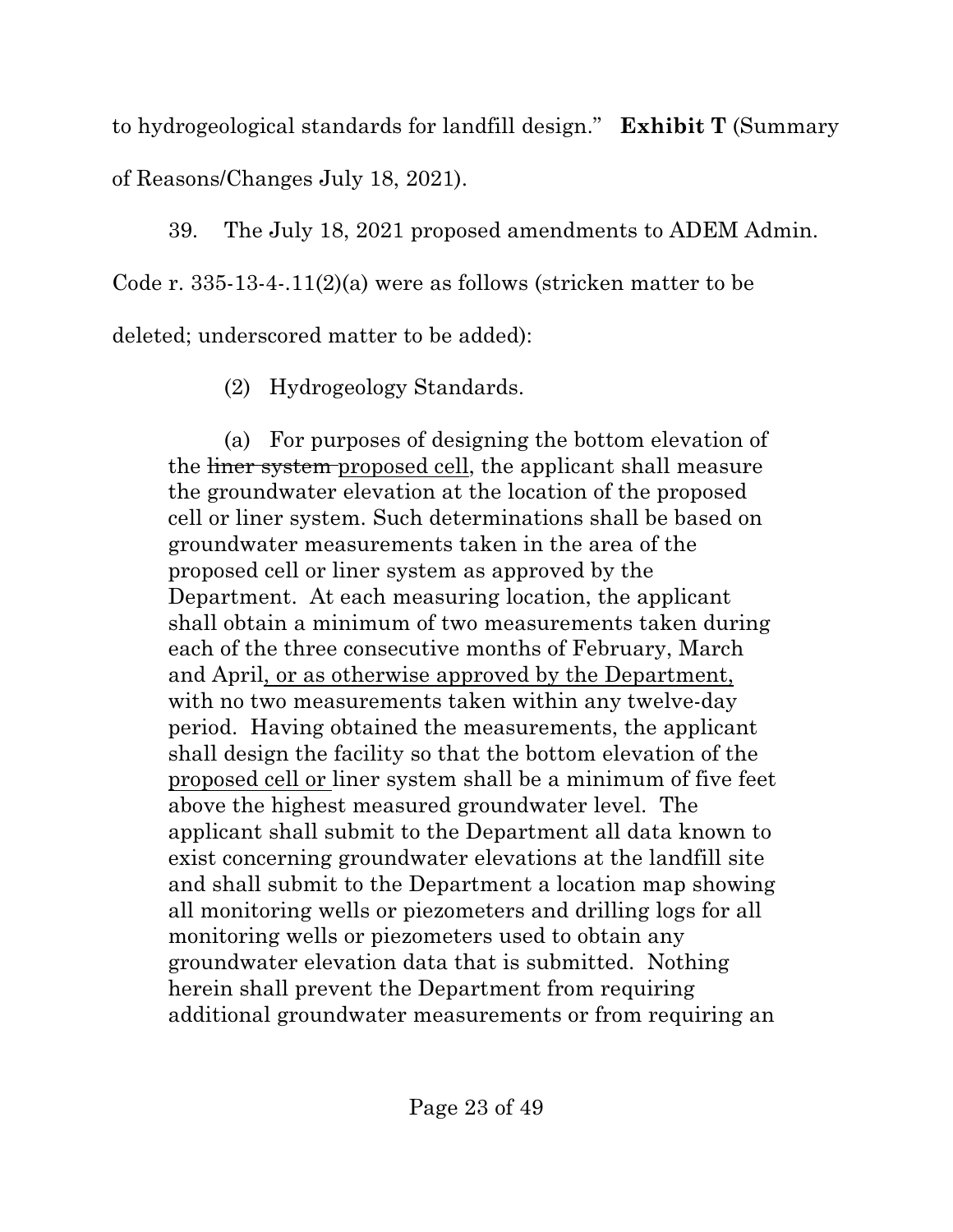to hydrogeological standards for landfill design." **Exhibit T** (Summary of Reasons/Changes July 18, 2021).

39. The July 18, 2021 proposed amendments to ADEM Admin. Code r. 335-13-4-.11(2)(a) were as follows (stricken matter to be deleted; underscored matter to be added):

(2) Hydrogeology Standards.

(a) For purposes of designing the bottom elevation of the liner system proposed cell, the applicant shall measure the groundwater elevation at the location of the proposed cell or liner system. Such determinations shall be based on groundwater measurements taken in the area of the proposed cell or liner system as approved by the Department. At each measuring location, the applicant shall obtain a minimum of two measurements taken during each of the three consecutive months of February, March and April, or as otherwise approved by the Department, with no two measurements taken within any twelve-day period. Having obtained the measurements, the applicant shall design the facility so that the bottom elevation of the proposed cell or liner system shall be a minimum of five feet above the highest measured groundwater level. The applicant shall submit to the Department all data known to exist concerning groundwater elevations at the landfill site and shall submit to the Department a location map showing all monitoring wells or piezometers and drilling logs for all monitoring wells or piezometers used to obtain any groundwater elevation data that is submitted. Nothing herein shall prevent the Department from requiring additional groundwater measurements or from requiring an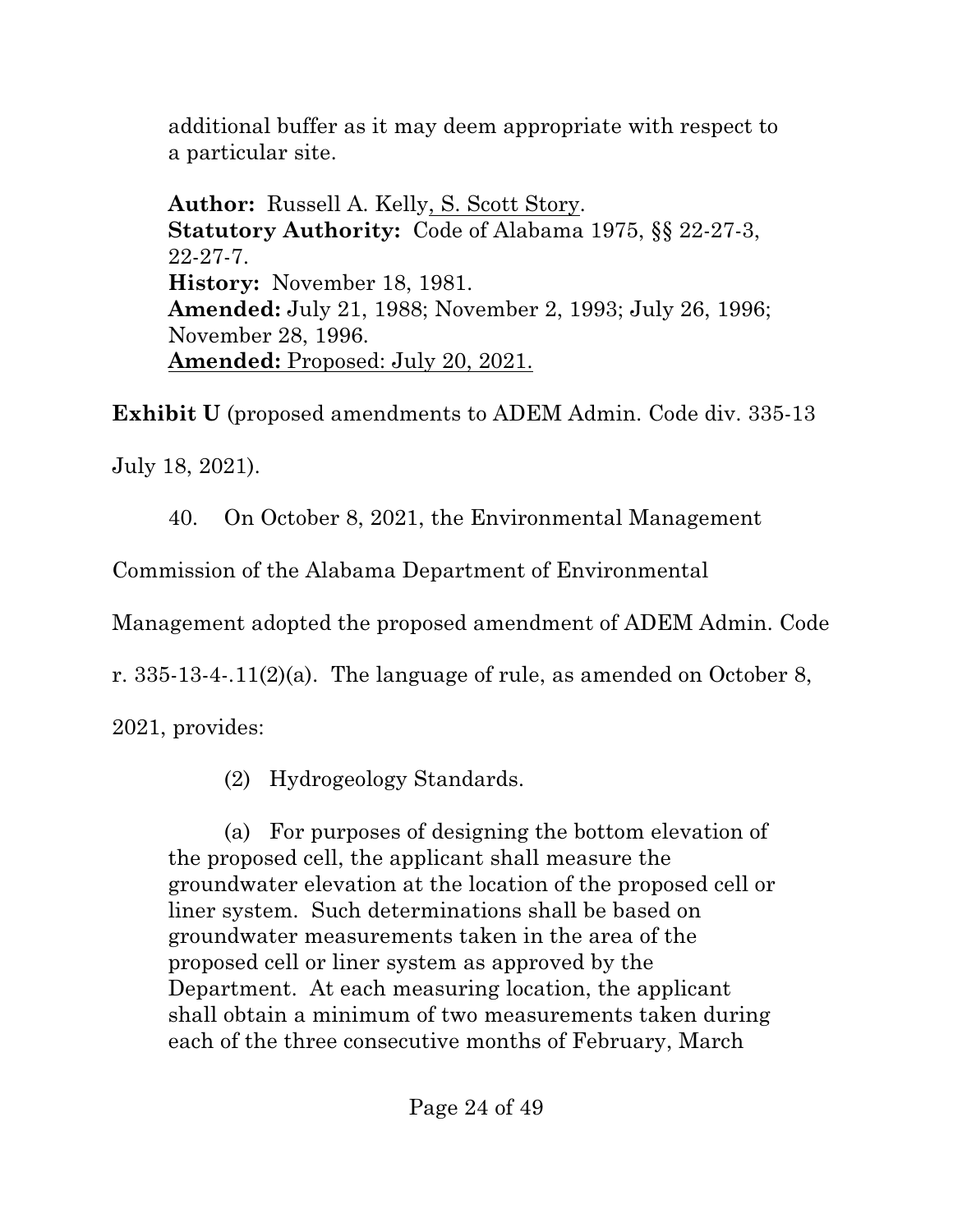additional buffer as it may deem appropriate with respect to a particular site.

**Author:** Russell A. Kelly, S. Scott Story. **Statutory Authority:** Code of Alabama 1975, §§ 22-27-3, 22-27-7. **History:** November 18, 1981. **Amended:** July 21, 1988; November 2, 1993; July 26, 1996; November 28, 1996. **Amended:** Proposed: July 20, 2021.

**Exhibit U** (proposed amendments to ADEM Admin. Code div. 335-13

July 18, 2021).

40. On October 8, 2021, the Environmental Management

Commission of the Alabama Department of Environmental

Management adopted the proposed amendment of ADEM Admin. Code

r.  $335-13-4-11(2)(a)$ . The language of rule, as amended on October 8,

2021, provides:

(2) Hydrogeology Standards.

(a) For purposes of designing the bottom elevation of the proposed cell, the applicant shall measure the groundwater elevation at the location of the proposed cell or liner system. Such determinations shall be based on groundwater measurements taken in the area of the proposed cell or liner system as approved by the Department. At each measuring location, the applicant shall obtain a minimum of two measurements taken during each of the three consecutive months of February, March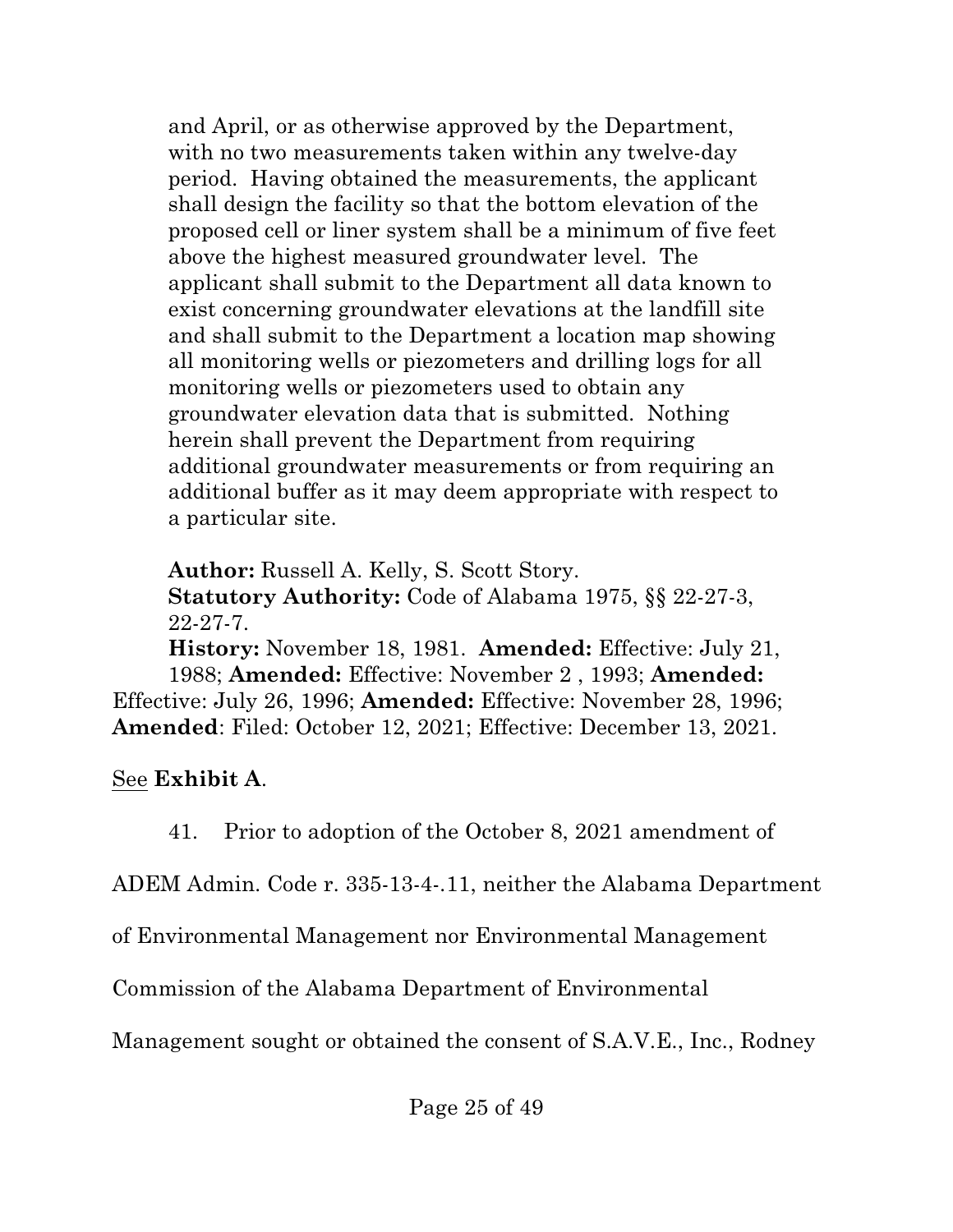and April, or as otherwise approved by the Department, with no two measurements taken within any twelve-day period. Having obtained the measurements, the applicant shall design the facility so that the bottom elevation of the proposed cell or liner system shall be a minimum of five feet above the highest measured groundwater level. The applicant shall submit to the Department all data known to exist concerning groundwater elevations at the landfill site and shall submit to the Department a location map showing all monitoring wells or piezometers and drilling logs for all monitoring wells or piezometers used to obtain any groundwater elevation data that is submitted. Nothing herein shall prevent the Department from requiring additional groundwater measurements or from requiring an additional buffer as it may deem appropriate with respect to a particular site.

**Author:** Russell A. Kelly, S. Scott Story. **Statutory Authority:** Code of Alabama 1975, §§ 22-27-3, 22-27-7. **History:** November 18, 1981. **Amended:** Effective: July 21, 1988; **Amended:** Effective: November 2 , 1993; **Amended:** Effective: July 26, 1996; **Amended:** Effective: November 28, 1996; **Amended**: Filed: October 12, 2021; Effective: December 13, 2021.

See **Exhibit A**.

41. Prior to adoption of the October 8, 2021 amendment of

ADEM Admin. Code r. 335-13-4-.11, neither the Alabama Department

of Environmental Management nor Environmental Management

Commission of the Alabama Department of Environmental

Management sought or obtained the consent of S.A.V.E., Inc., Rodney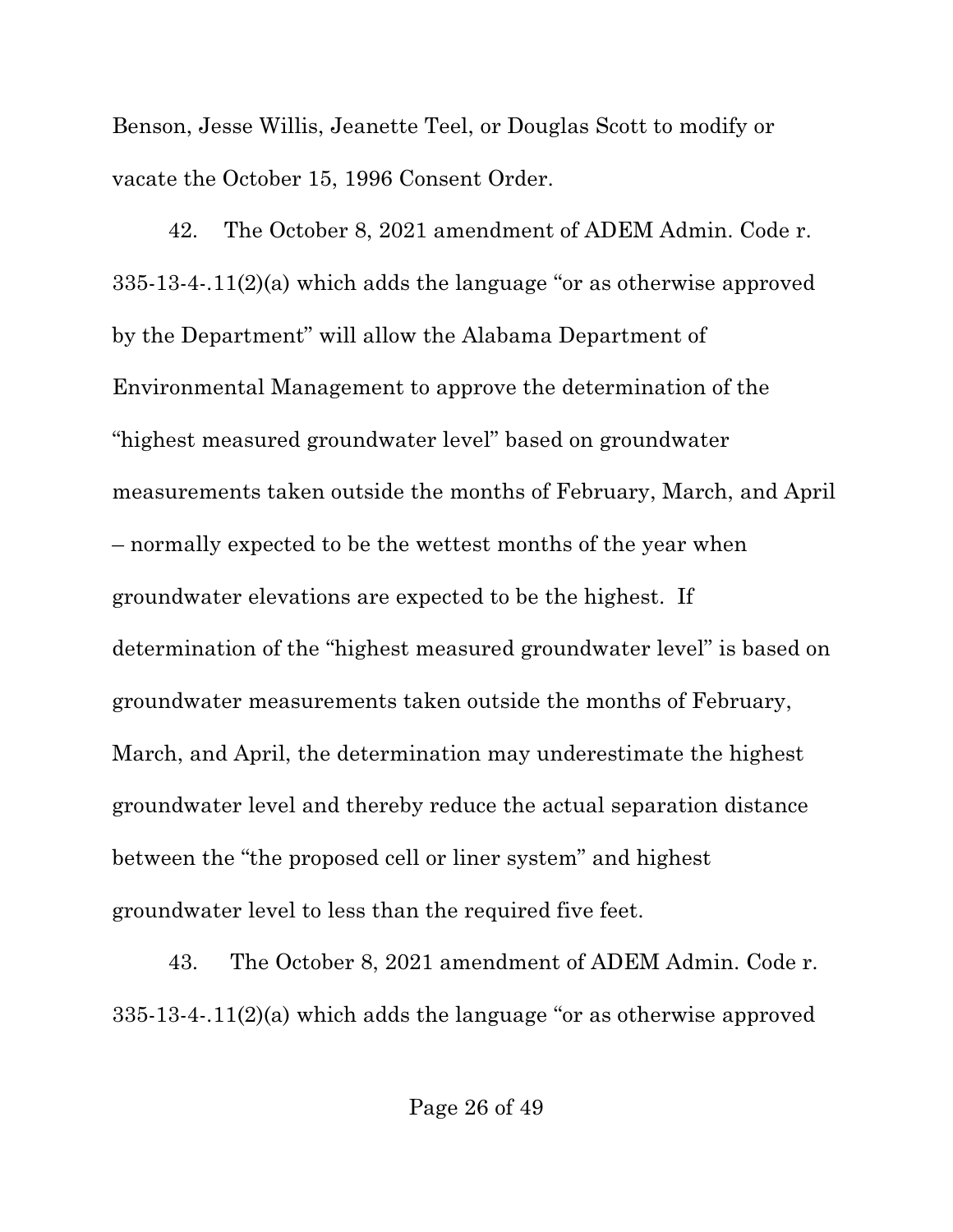Benson, Jesse Willis, Jeanette Teel, or Douglas Scott to modify or vacate the October 15, 1996 Consent Order.

42. The October 8, 2021 amendment of ADEM Admin. Code r. 335-13-4-.11(2)(a) which adds the language "or as otherwise approved by the Department" will allow the Alabama Department of Environmental Management to approve the determination of the "highest measured groundwater level" based on groundwater measurements taken outside the months of February, March, and April – normally expected to be the wettest months of the year when groundwater elevations are expected to be the highest. If determination of the "highest measured groundwater level" is based on groundwater measurements taken outside the months of February, March, and April, the determination may underestimate the highest groundwater level and thereby reduce the actual separation distance between the "the proposed cell or liner system" and highest groundwater level to less than the required five feet.

43. The October 8, 2021 amendment of ADEM Admin. Code r. 335-13-4-.11(2)(a) which adds the language "or as otherwise approved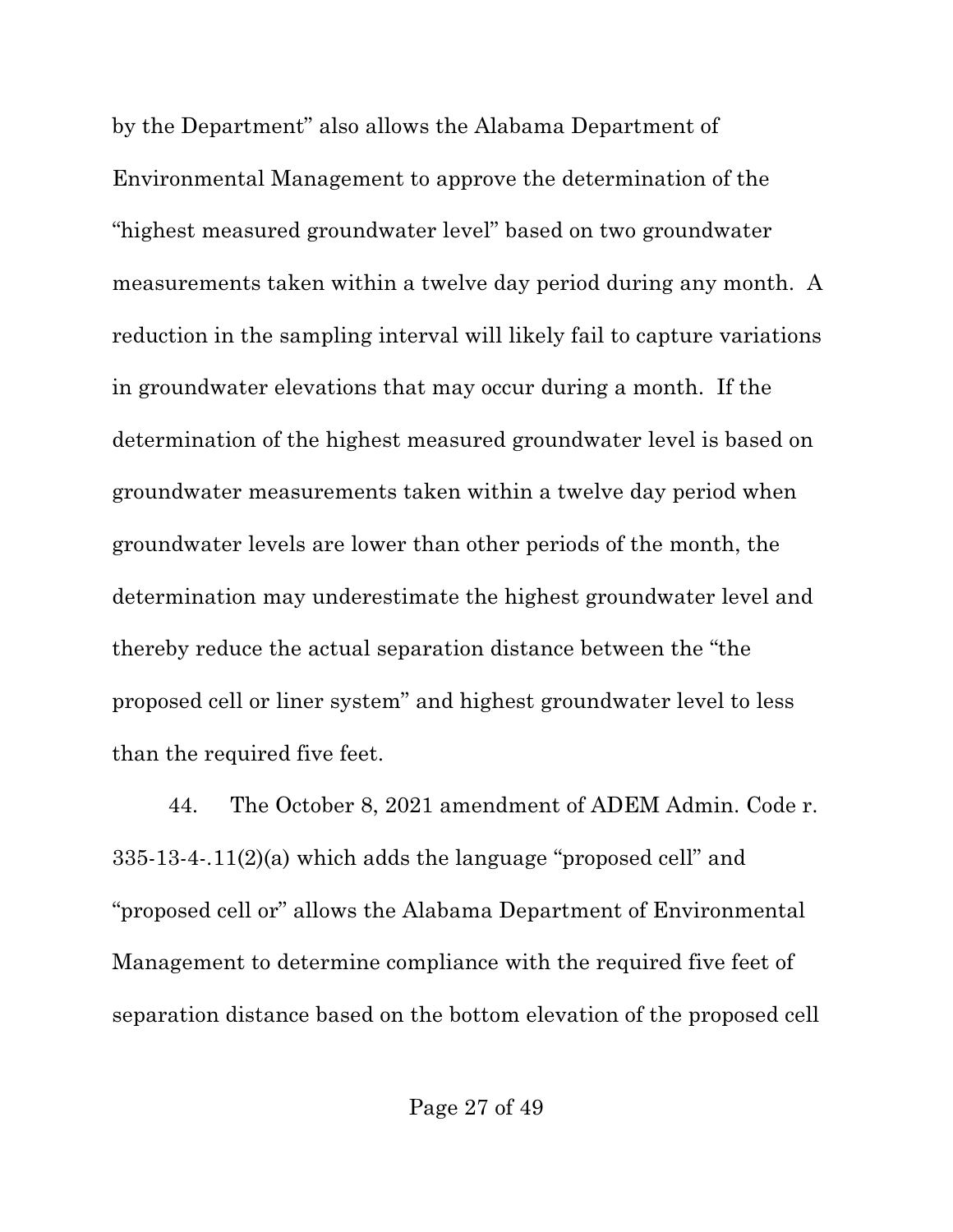by the Department" also allows the Alabama Department of Environmental Management to approve the determination of the "highest measured groundwater level" based on two groundwater measurements taken within a twelve day period during any month. A reduction in the sampling interval will likely fail to capture variations in groundwater elevations that may occur during a month. If the determination of the highest measured groundwater level is based on groundwater measurements taken within a twelve day period when groundwater levels are lower than other periods of the month, the determination may underestimate the highest groundwater level and thereby reduce the actual separation distance between the "the proposed cell or liner system" and highest groundwater level to less than the required five feet.

44. The October 8, 2021 amendment of ADEM Admin. Code r. 335-13-4-.11(2)(a) which adds the language "proposed cell" and "proposed cell or" allows the Alabama Department of Environmental Management to determine compliance with the required five feet of separation distance based on the bottom elevation of the proposed cell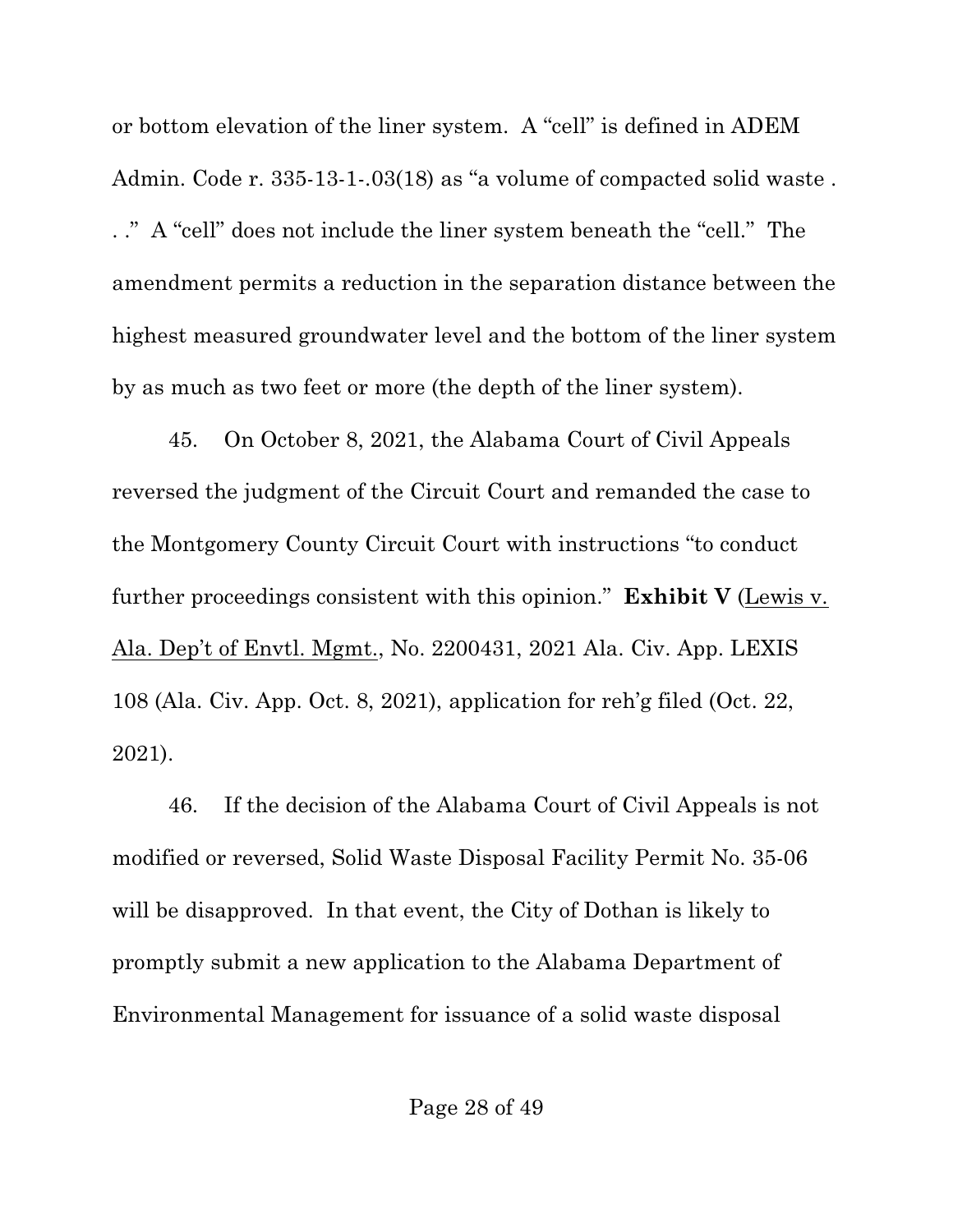or bottom elevation of the liner system. A "cell" is defined in ADEM Admin. Code r. 335-13-1-.03(18) as "a volume of compacted solid waste . . ." A "cell" does not include the liner system beneath the "cell." The amendment permits a reduction in the separation distance between the highest measured groundwater level and the bottom of the liner system by as much as two feet or more (the depth of the liner system).

45. On October 8, 2021, the Alabama Court of Civil Appeals reversed the judgment of the Circuit Court and remanded the case to the Montgomery County Circuit Court with instructions "to conduct further proceedings consistent with this opinion." **Exhibit V** (Lewis v. Ala. Dep't of Envtl. Mgmt., No. 2200431, 2021 Ala. Civ. App. LEXIS 108 (Ala. Civ. App. Oct. 8, 2021), application for reh'g filed (Oct. 22, 2021).

46. If the decision of the Alabama Court of Civil Appeals is not modified or reversed, Solid Waste Disposal Facility Permit No. 35-06 will be disapproved. In that event, the City of Dothan is likely to promptly submit a new application to the Alabama Department of Environmental Management for issuance of a solid waste disposal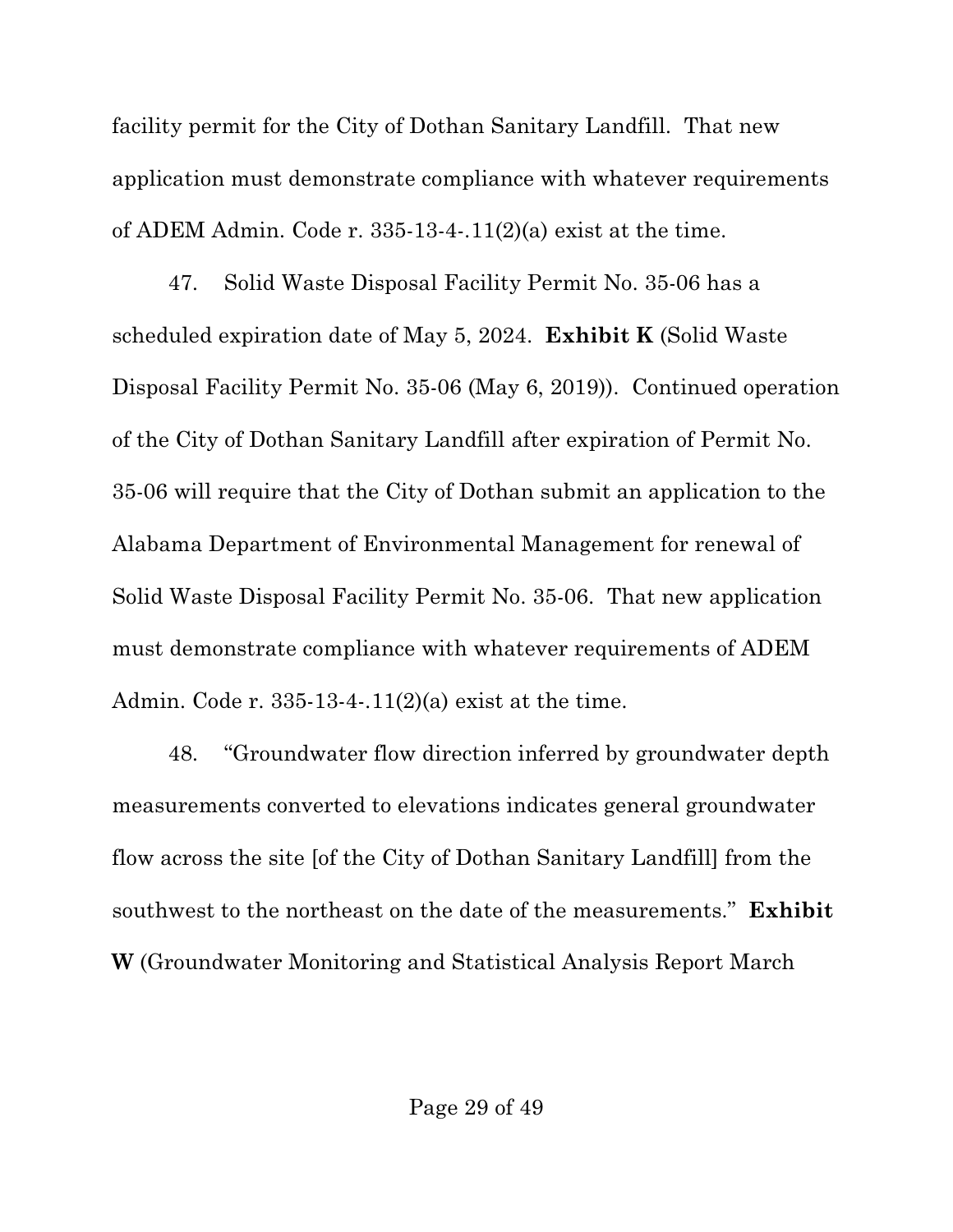facility permit for the City of Dothan Sanitary Landfill. That new application must demonstrate compliance with whatever requirements of ADEM Admin. Code r.  $335-13-4-11(2)(a)$  exist at the time.

47. Solid Waste Disposal Facility Permit No. 35-06 has a scheduled expiration date of May 5, 2024. **Exhibit K** (Solid Waste Disposal Facility Permit No. 35-06 (May 6, 2019)). Continued operation of the City of Dothan Sanitary Landfill after expiration of Permit No. 35-06 will require that the City of Dothan submit an application to the Alabama Department of Environmental Management for renewal of Solid Waste Disposal Facility Permit No. 35-06. That new application must demonstrate compliance with whatever requirements of ADEM Admin. Code r. 335-13-4-.11(2)(a) exist at the time.

48. "Groundwater flow direction inferred by groundwater depth measurements converted to elevations indicates general groundwater flow across the site [of the City of Dothan Sanitary Landfill] from the southwest to the northeast on the date of the measurements." **Exhibit W** (Groundwater Monitoring and Statistical Analysis Report March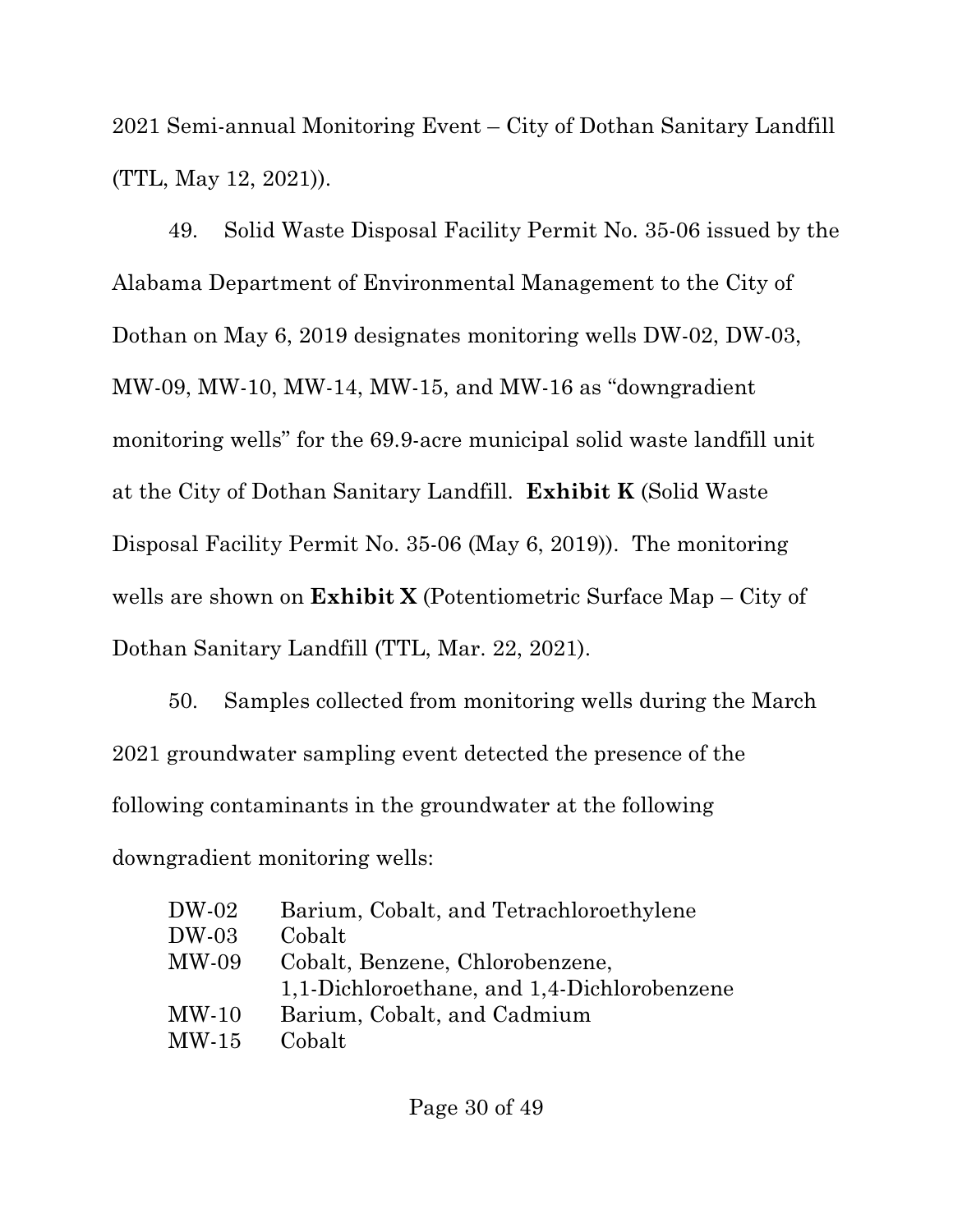2021 Semi-annual Monitoring Event – City of Dothan Sanitary Landfill (TTL, May 12, 2021)).

49. Solid Waste Disposal Facility Permit No. 35-06 issued by the Alabama Department of Environmental Management to the City of Dothan on May 6, 2019 designates monitoring wells DW-02, DW-03, MW-09, MW-10, MW-14, MW-15, and MW-16 as "downgradient monitoring wells" for the 69.9-acre municipal solid waste landfill unit at the City of Dothan Sanitary Landfill. **Exhibit K** (Solid Waste Disposal Facility Permit No. 35-06 (May 6, 2019)). The monitoring wells are shown on **Exhibit X** (Potentiometric Surface Map – City of Dothan Sanitary Landfill (TTL, Mar. 22, 2021).

50. Samples collected from monitoring wells during the March 2021 groundwater sampling event detected the presence of the following contaminants in the groundwater at the following downgradient monitoring wells:

| DW-02                       | Barium, Cobalt, and Tetrachloroethylene     |
|-----------------------------|---------------------------------------------|
| DW-03                       | Cobalt                                      |
| MW-09                       | Cobalt, Benzene, Chlorobenzene,             |
|                             | 1,1-Dichloroethane, and 1,4-Dichlorobenzene |
| MW-10                       | Barium, Cobalt, and Cadmium                 |
| $\mathop{\rm MW\text{-}15}$ | Cobalt                                      |
|                             |                                             |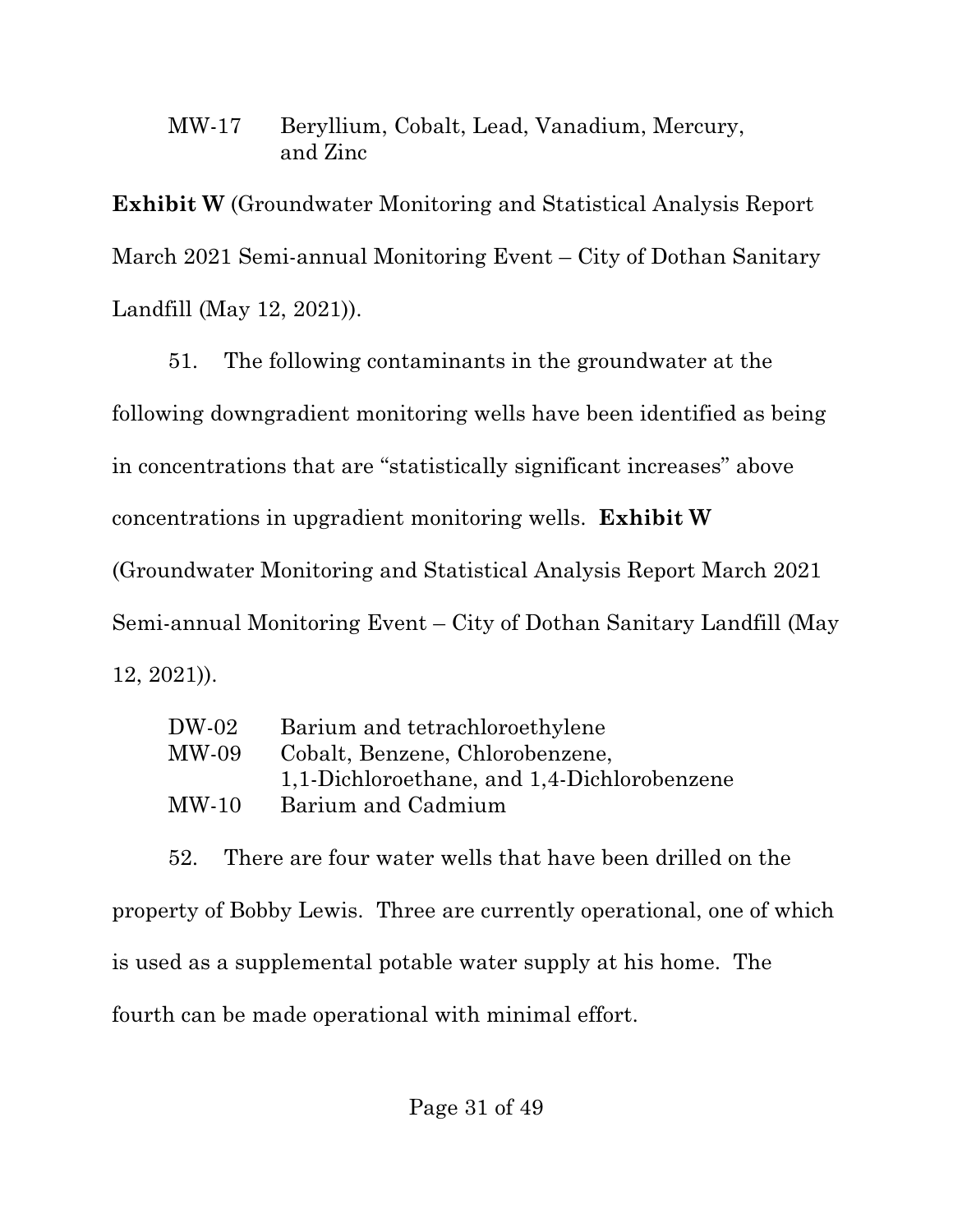### MW-17 Beryllium, Cobalt, Lead, Vanadium, Mercury, and Zinc

**Exhibit W** (Groundwater Monitoring and Statistical Analysis Report March 2021 Semi-annual Monitoring Event – City of Dothan Sanitary Landfill (May 12, 2021)).

51. The following contaminants in the groundwater at the following downgradient monitoring wells have been identified as being in concentrations that are "statistically significant increases" above concentrations in upgradient monitoring wells. **Exhibit W** (Groundwater Monitoring and Statistical Analysis Report March 2021 Semi-annual Monitoring Event – City of Dothan Sanitary Landfill (May 12, 2021)).

| DW-02 | Barium and tetrachloroethylene              |
|-------|---------------------------------------------|
| MW-09 | Cobalt, Benzene, Chlorobenzene,             |
|       | 1,1-Dichloroethane, and 1,4-Dichlorobenzene |
| MW-10 | Barium and Cadmium                          |
|       |                                             |

52. There are four water wells that have been drilled on the property of Bobby Lewis. Three are currently operational, one of which is used as a supplemental potable water supply at his home. The fourth can be made operational with minimal effort.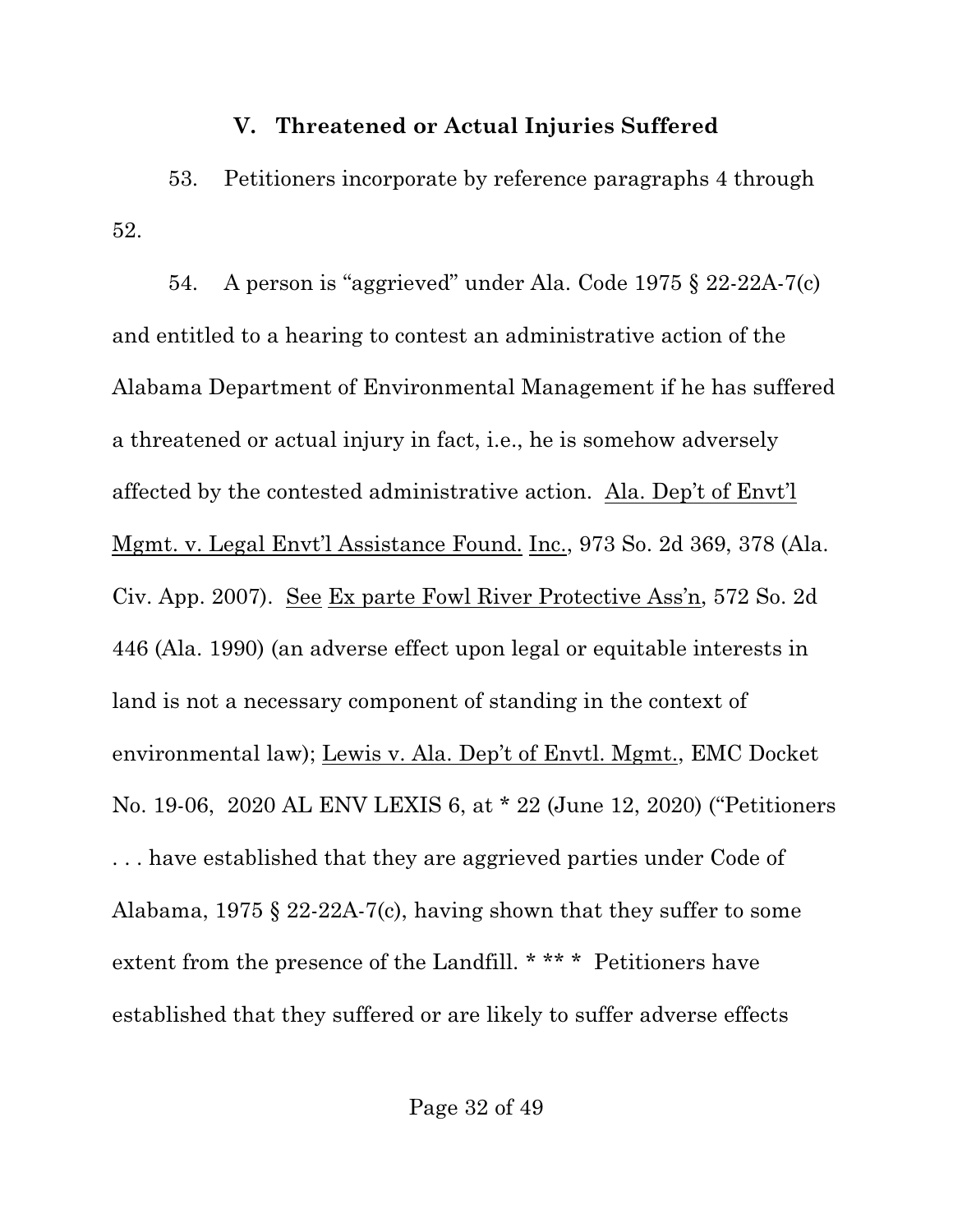#### **V. Threatened or Actual Injuries Suffered**

53. Petitioners incorporate by reference paragraphs 4 through 52.

54. A person is "aggrieved" under Ala. Code 1975 § 22-22A-7(c) and entitled to a hearing to contest an administrative action of the Alabama Department of Environmental Management if he has suffered a threatened or actual injury in fact, i.e., he is somehow adversely affected by the contested administrative action. Ala. Dep't of Envt'l Mgmt. v. Legal Envt'l Assistance Found. Inc., 973 So. 2d 369, 378 (Ala. Civ. App. 2007). See Ex parte Fowl River Protective Ass'n, 572 So. 2d 446 (Ala. 1990) (an adverse effect upon legal or equitable interests in land is not a necessary component of standing in the context of environmental law); Lewis v. Ala. Dep't of Envtl. Mgmt., EMC Docket No. 19-06, 2020 AL ENV LEXIS 6, at \* 22 (June 12, 2020) ("Petitioners . . . have established that they are aggrieved parties under Code of Alabama, 1975 § 22-22A-7(c), having shown that they suffer to some extent from the presence of the Landfill. \* \*\* \* Petitioners have established that they suffered or are likely to suffer adverse effects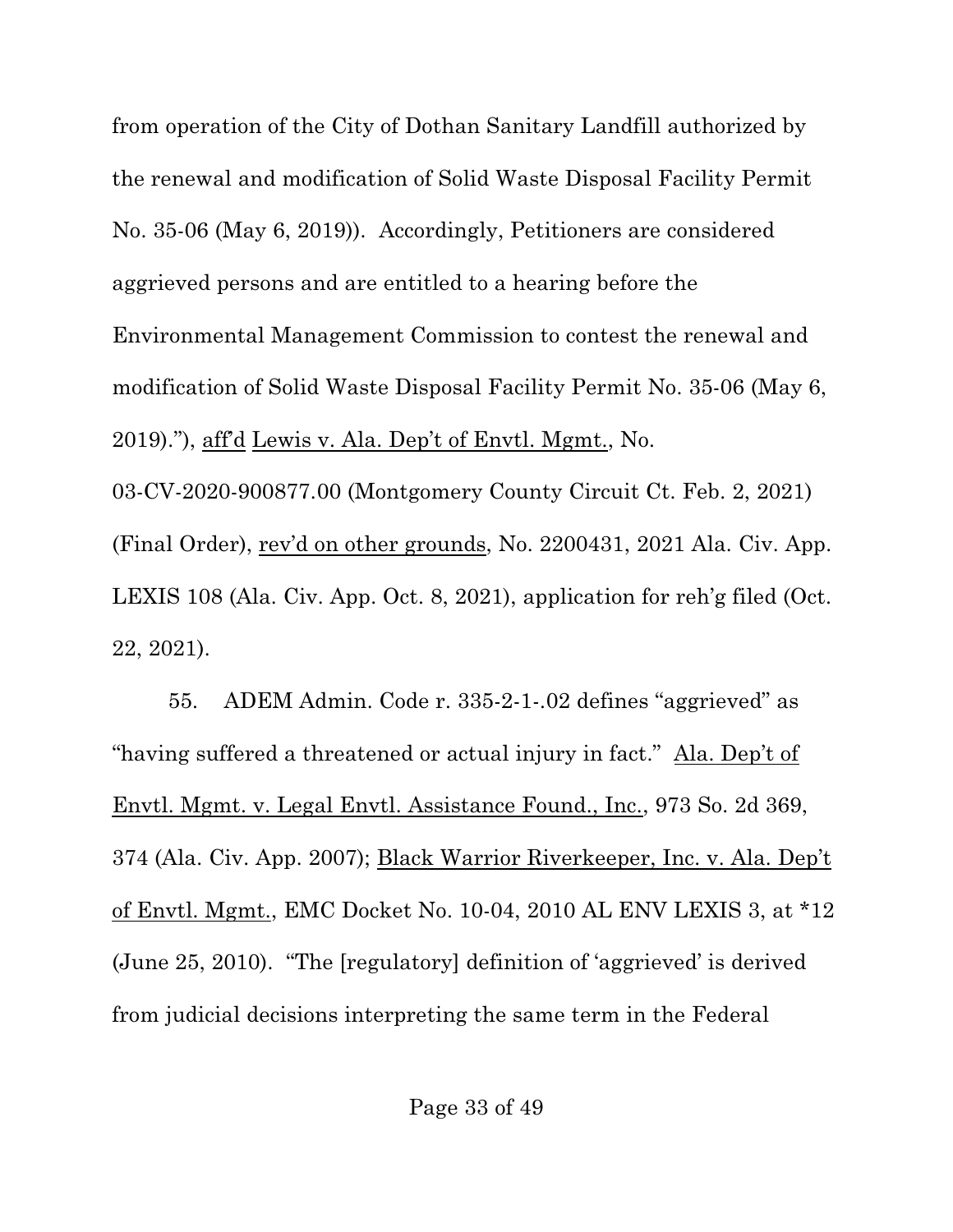from operation of the City of Dothan Sanitary Landfill authorized by the renewal and modification of Solid Waste Disposal Facility Permit No. 35-06 (May 6, 2019)). Accordingly, Petitioners are considered aggrieved persons and are entitled to a hearing before the Environmental Management Commission to contest the renewal and modification of Solid Waste Disposal Facility Permit No. 35-06 (May 6, 2019)."), aff'd Lewis v. Ala. Dep't of Envtl. Mgmt., No. 03-CV-2020-900877.00 (Montgomery County Circuit Ct. Feb. 2, 2021) (Final Order), rev'd on other grounds, No. 2200431, 2021 Ala. Civ. App. LEXIS 108 (Ala. Civ. App. Oct. 8, 2021), application for reh'g filed (Oct. 22, 2021).

55. ADEM Admin. Code r. 335-2-1-.02 defines "aggrieved" as "having suffered a threatened or actual injury in fact." Ala. Dep't of Envtl. Mgmt. v. Legal Envtl. Assistance Found., Inc., 973 So. 2d 369, 374 (Ala. Civ. App. 2007); Black Warrior Riverkeeper, Inc. v. Ala. Dep't of Envtl. Mgmt., EMC Docket No. 10-04, 2010 AL ENV LEXIS 3, at \*12 (June 25, 2010). "The [regulatory] definition of 'aggrieved' is derived from judicial decisions interpreting the same term in the Federal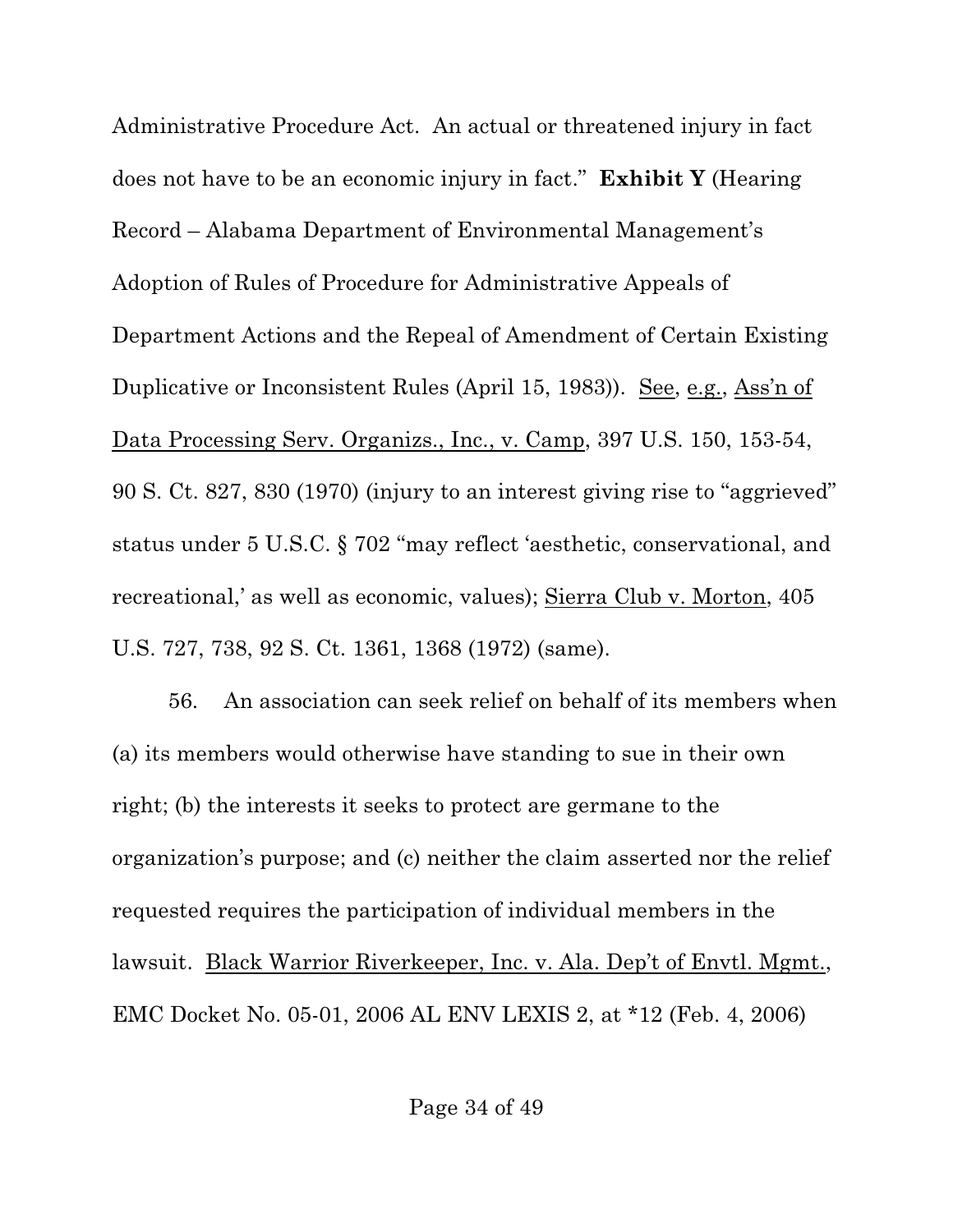Administrative Procedure Act. An actual or threatened injury in fact does not have to be an economic injury in fact." **Exhibit Y** (Hearing Record – Alabama Department of Environmental Management's Adoption of Rules of Procedure for Administrative Appeals of Department Actions and the Repeal of Amendment of Certain Existing Duplicative or Inconsistent Rules (April 15, 1983)). See, e.g., Ass'n of Data Processing Serv. Organizs., Inc., v. Camp, 397 U.S. 150, 153-54, 90 S. Ct. 827, 830 (1970) (injury to an interest giving rise to "aggrieved" status under 5 U.S.C. § 702 "may reflect 'aesthetic, conservational, and recreational,' as well as economic, values); Sierra Club v. Morton, 405 U.S. 727, 738, 92 S. Ct. 1361, 1368 (1972) (same).

56. An association can seek relief on behalf of its members when (a) its members would otherwise have standing to sue in their own right; (b) the interests it seeks to protect are germane to the organization's purpose; and (c) neither the claim asserted nor the relief requested requires the participation of individual members in the lawsuit. Black Warrior Riverkeeper, Inc. v. Ala. Dep't of Envtl. Mgmt., EMC Docket No. 05-01, 2006 AL ENV LEXIS 2, at \*12 (Feb. 4, 2006)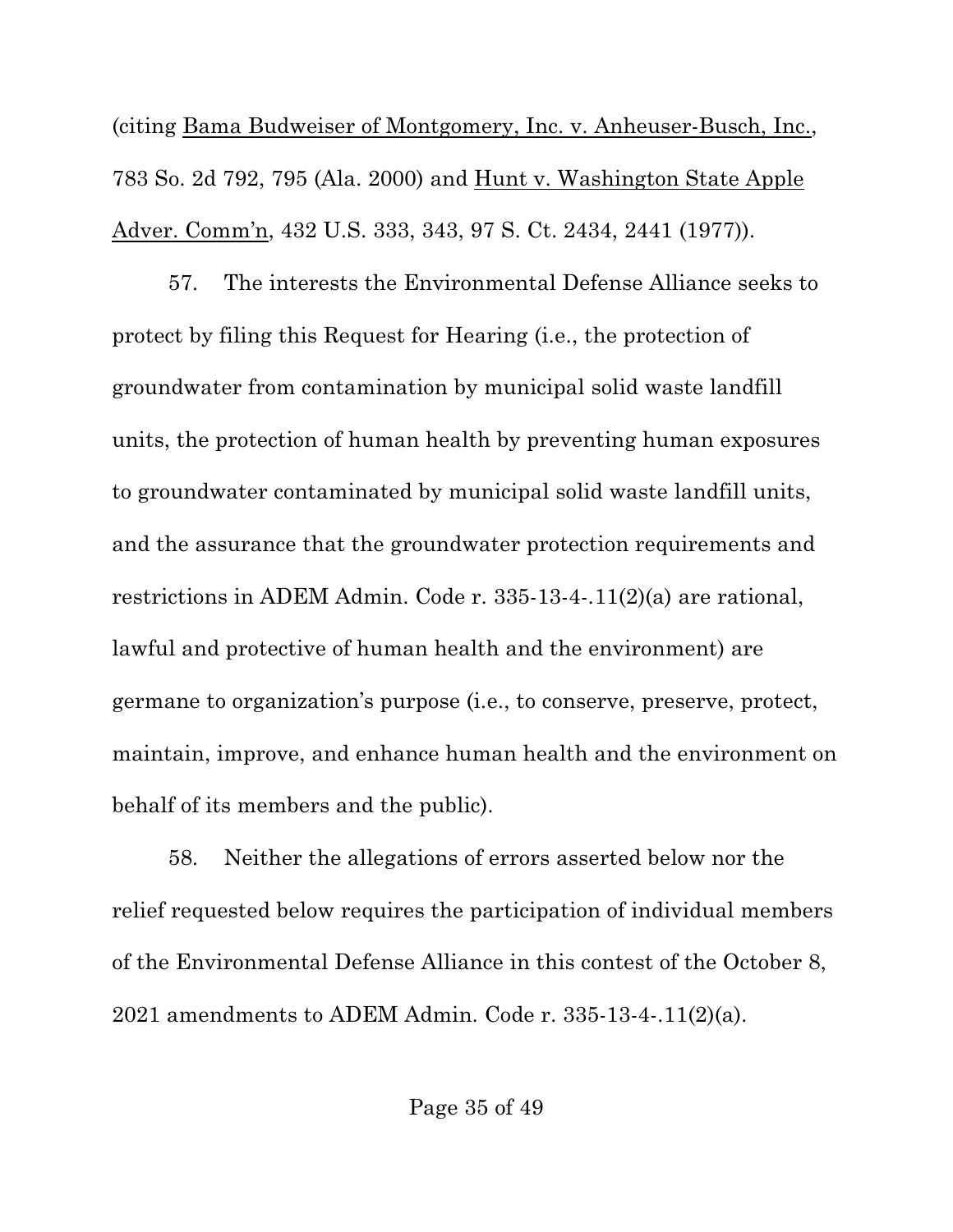(citing Bama Budweiser of Montgomery, Inc. v. Anheuser-Busch, Inc., 783 So. 2d 792, 795 (Ala. 2000) and Hunt v. Washington State Apple Adver. Comm'n, 432 U.S. 333, 343, 97 S. Ct. 2434, 2441 (1977)).

57. The interests the Environmental Defense Alliance seeks to protect by filing this Request for Hearing (i.e., the protection of groundwater from contamination by municipal solid waste landfill units, the protection of human health by preventing human exposures to groundwater contaminated by municipal solid waste landfill units, and the assurance that the groundwater protection requirements and restrictions in ADEM Admin. Code r. 335-13-4-.11(2)(a) are rational, lawful and protective of human health and the environment) are germane to organization's purpose (i.e., to conserve, preserve, protect, maintain, improve, and enhance human health and the environment on behalf of its members and the public).

58. Neither the allegations of errors asserted below nor the relief requested below requires the participation of individual members of the Environmental Defense Alliance in this contest of the October 8, 2021 amendments to ADEM Admin. Code r. 335-13-4-.11(2)(a).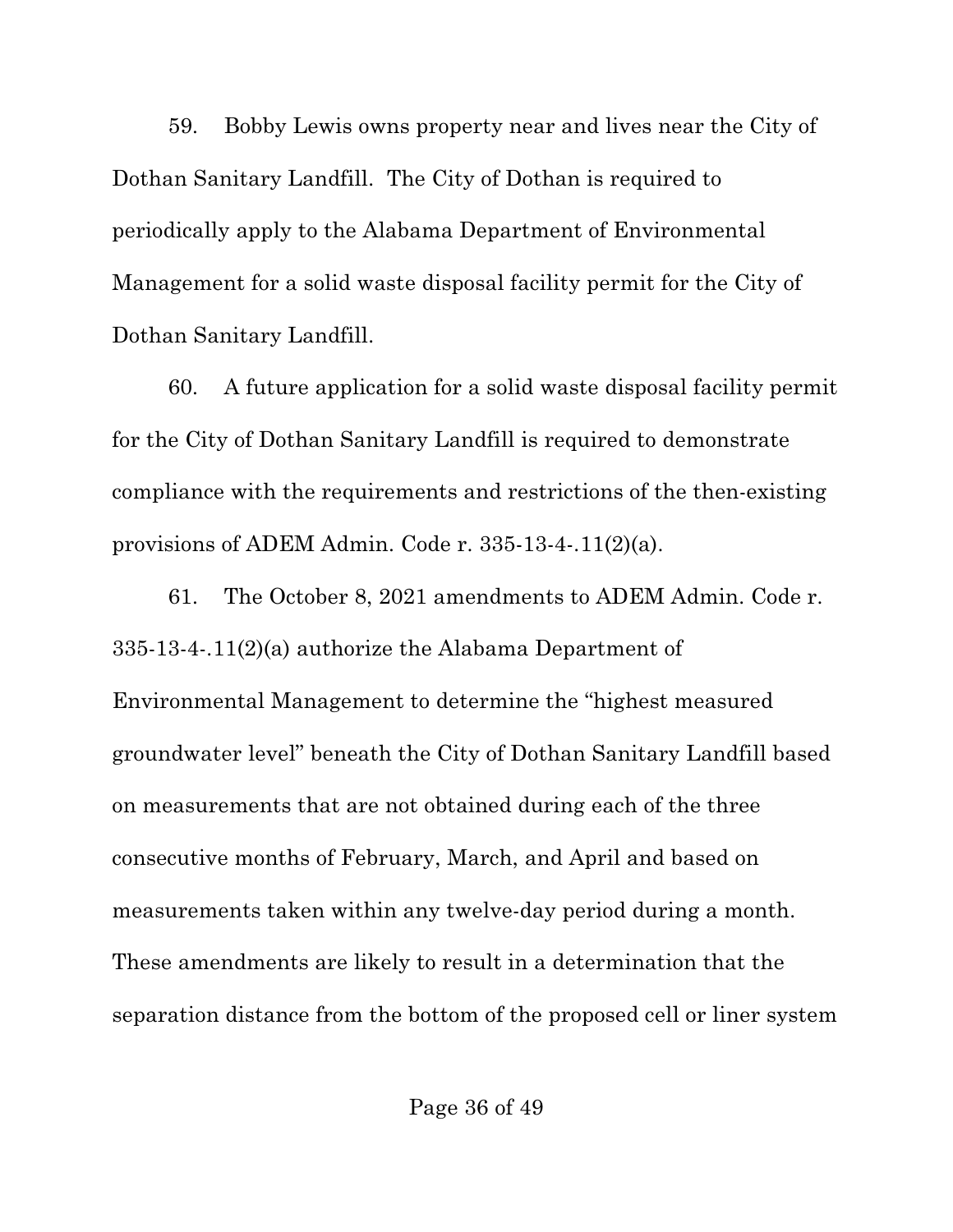59. Bobby Lewis owns property near and lives near the City of Dothan Sanitary Landfill. The City of Dothan is required to periodically apply to the Alabama Department of Environmental Management for a solid waste disposal facility permit for the City of Dothan Sanitary Landfill.

60. A future application for a solid waste disposal facility permit for the City of Dothan Sanitary Landfill is required to demonstrate compliance with the requirements and restrictions of the then-existing provisions of ADEM Admin. Code r. 335-13-4-.11(2)(a).

61. The October 8, 2021 amendments to ADEM Admin. Code r. 335-13-4-.11(2)(a) authorize the Alabama Department of Environmental Management to determine the "highest measured groundwater level" beneath the City of Dothan Sanitary Landfill based on measurements that are not obtained during each of the three consecutive months of February, March, and April and based on measurements taken within any twelve-day period during a month. These amendments are likely to result in a determination that the separation distance from the bottom of the proposed cell or liner system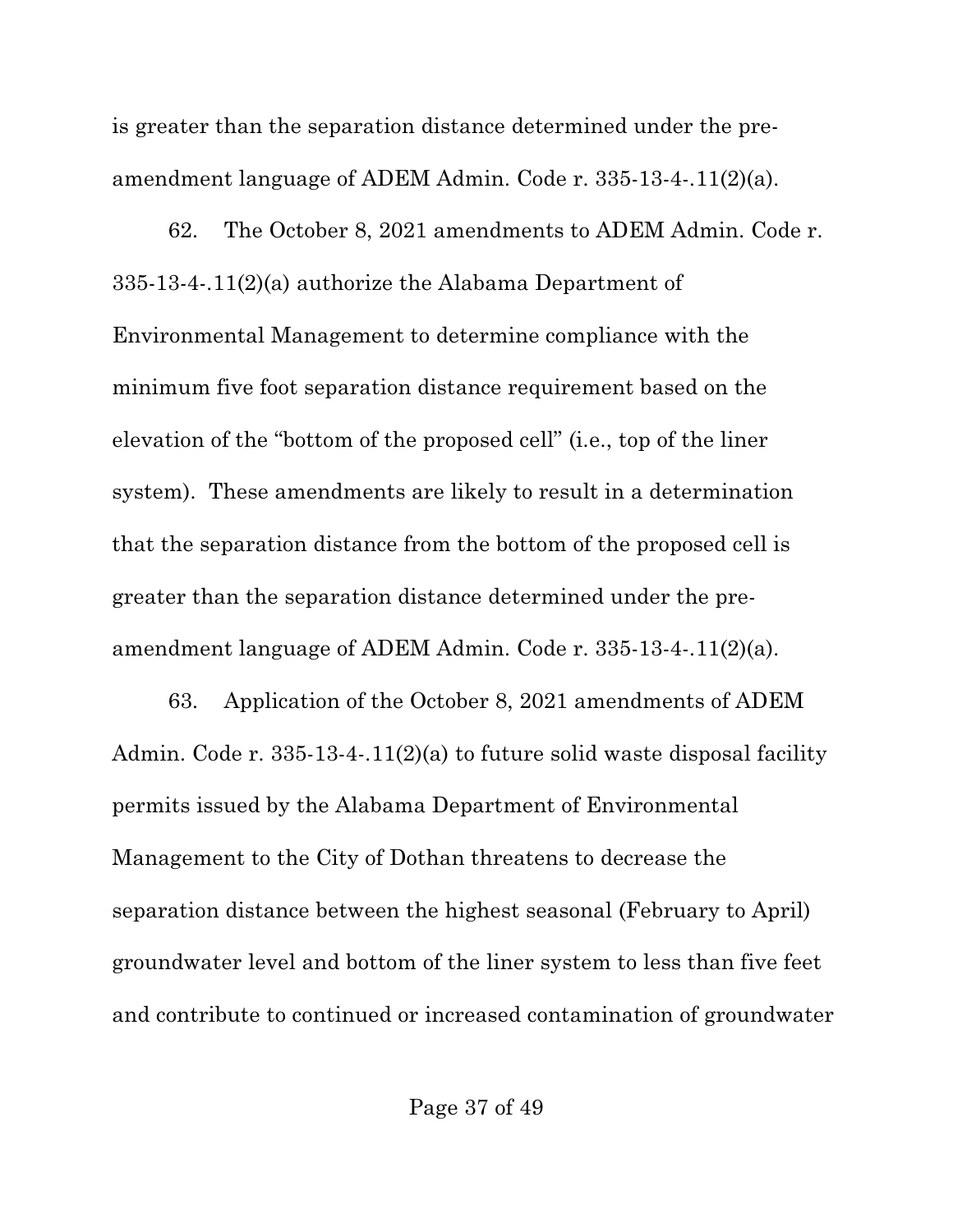is greater than the separation distance determined under the preamendment language of ADEM Admin. Code r. 335-13-4-.11(2)(a).

62. The October 8, 2021 amendments to ADEM Admin. Code r. 335-13-4-.11(2)(a) authorize the Alabama Department of Environmental Management to determine compliance with the minimum five foot separation distance requirement based on the elevation of the "bottom of the proposed cell" (i.e., top of the liner system). These amendments are likely to result in a determination that the separation distance from the bottom of the proposed cell is greater than the separation distance determined under the preamendment language of ADEM Admin. Code r. 335-13-4-.11(2)(a).

63. Application of the October 8, 2021 amendments of ADEM Admin. Code r. 335-13-4-.11(2)(a) to future solid waste disposal facility permits issued by the Alabama Department of Environmental Management to the City of Dothan threatens to decrease the separation distance between the highest seasonal (February to April) groundwater level and bottom of the liner system to less than five feet and contribute to continued or increased contamination of groundwater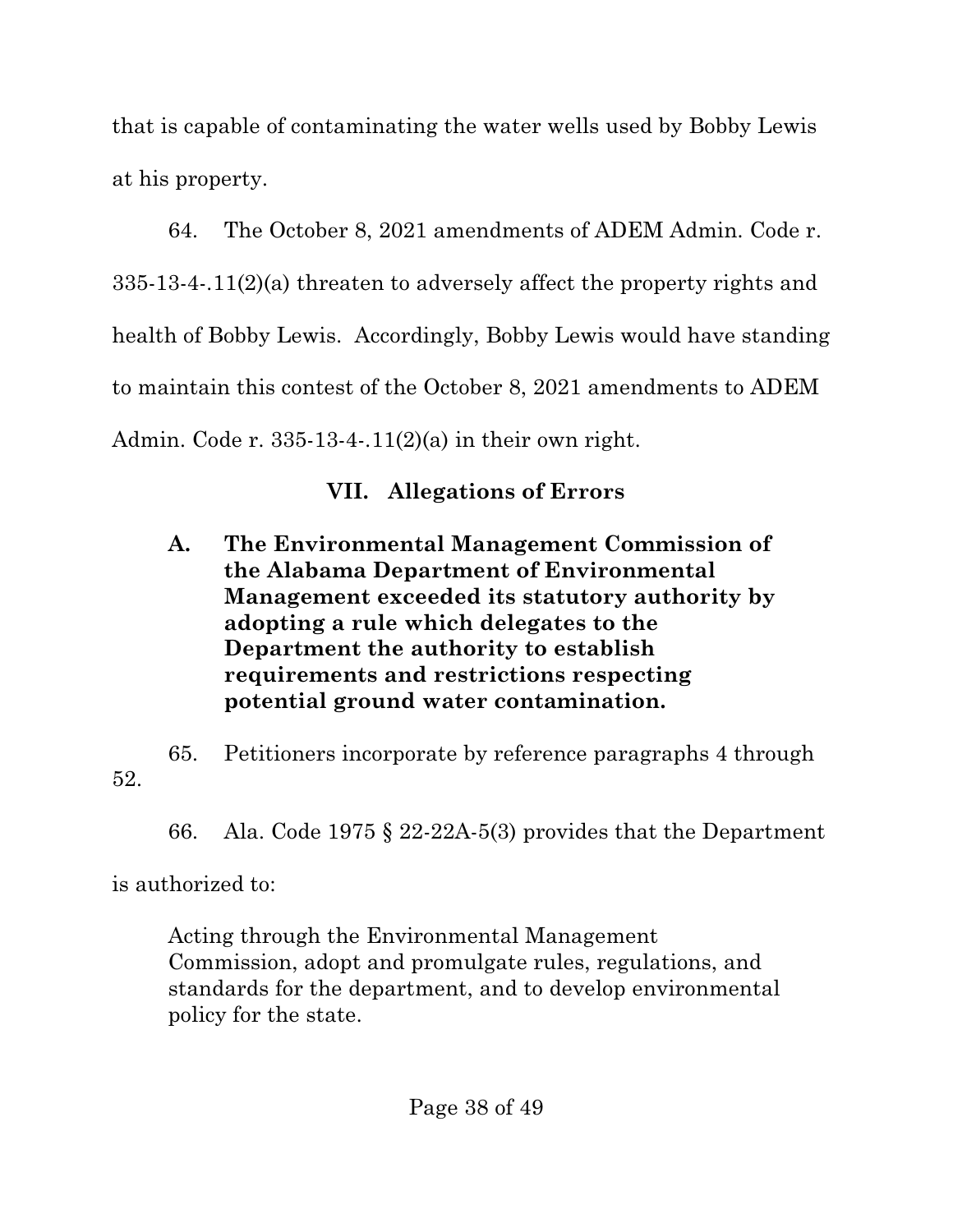that is capable of contaminating the water wells used by Bobby Lewis at his property.

64. The October 8, 2021 amendments of ADEM Admin. Code r. 335-13-4-.11(2)(a) threaten to adversely affect the property rights and health of Bobby Lewis. Accordingly, Bobby Lewis would have standing to maintain this contest of the October 8, 2021 amendments to ADEM Admin. Code r. 335-13-4-.11(2)(a) in their own right.

# **VII. Allegations of Errors**

**A. The Environmental Management Commission of the Alabama Department of Environmental Management exceeded its statutory authority by adopting a rule which delegates to the Department the authority to establish requirements and restrictions respecting potential ground water contamination.**

65. Petitioners incorporate by reference paragraphs 4 through 52.

66. Ala. Code 1975 § 22-22A-5(3) provides that the Department

is authorized to:

Acting through the Environmental Management Commission, adopt and promulgate rules, regulations, and standards for the department, and to develop environmental policy for the state.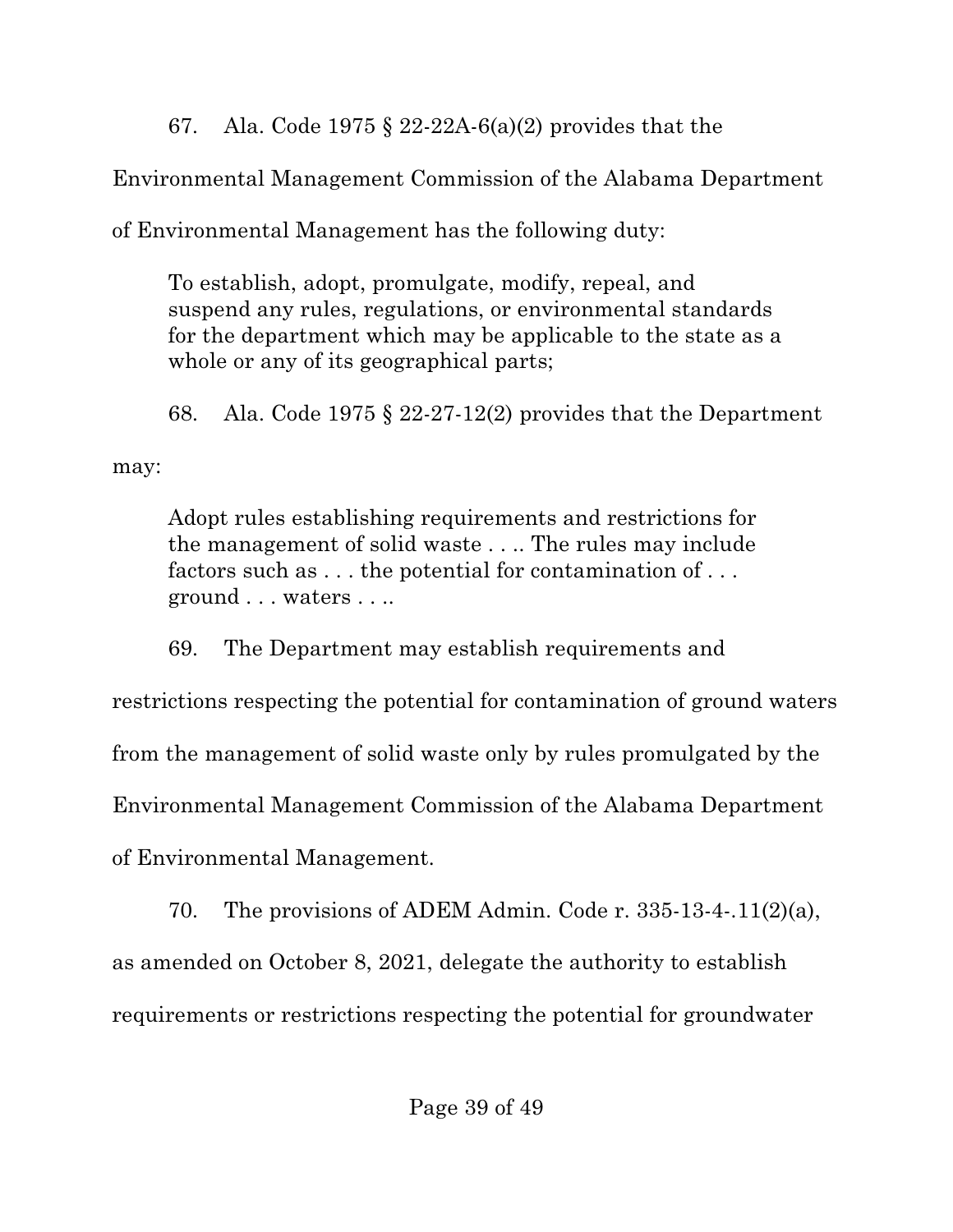67. Ala. Code 1975 § 22-22A-6(a)(2) provides that the

Environmental Management Commission of the Alabama Department

of Environmental Management has the following duty:

To establish, adopt, promulgate, modify, repeal, and suspend any rules, regulations, or environmental standards for the department which may be applicable to the state as a whole or any of its geographical parts;

68. Ala. Code 1975  $\S 22-27-12(2)$  provides that the Department

may:

Adopt rules establishing requirements and restrictions for the management of solid waste . . .. The rules may include factors such as . . . the potential for contamination of . . . ground . . . waters . . ..

69. The Department may establish requirements and restrictions respecting the potential for contamination of ground waters from the management of solid waste only by rules promulgated by the Environmental Management Commission of the Alabama Department of Environmental Management.

70. The provisions of ADEM Admin. Code r. 335-13-4-.11(2)(a), as amended on October 8, 2021, delegate the authority to establish requirements or restrictions respecting the potential for groundwater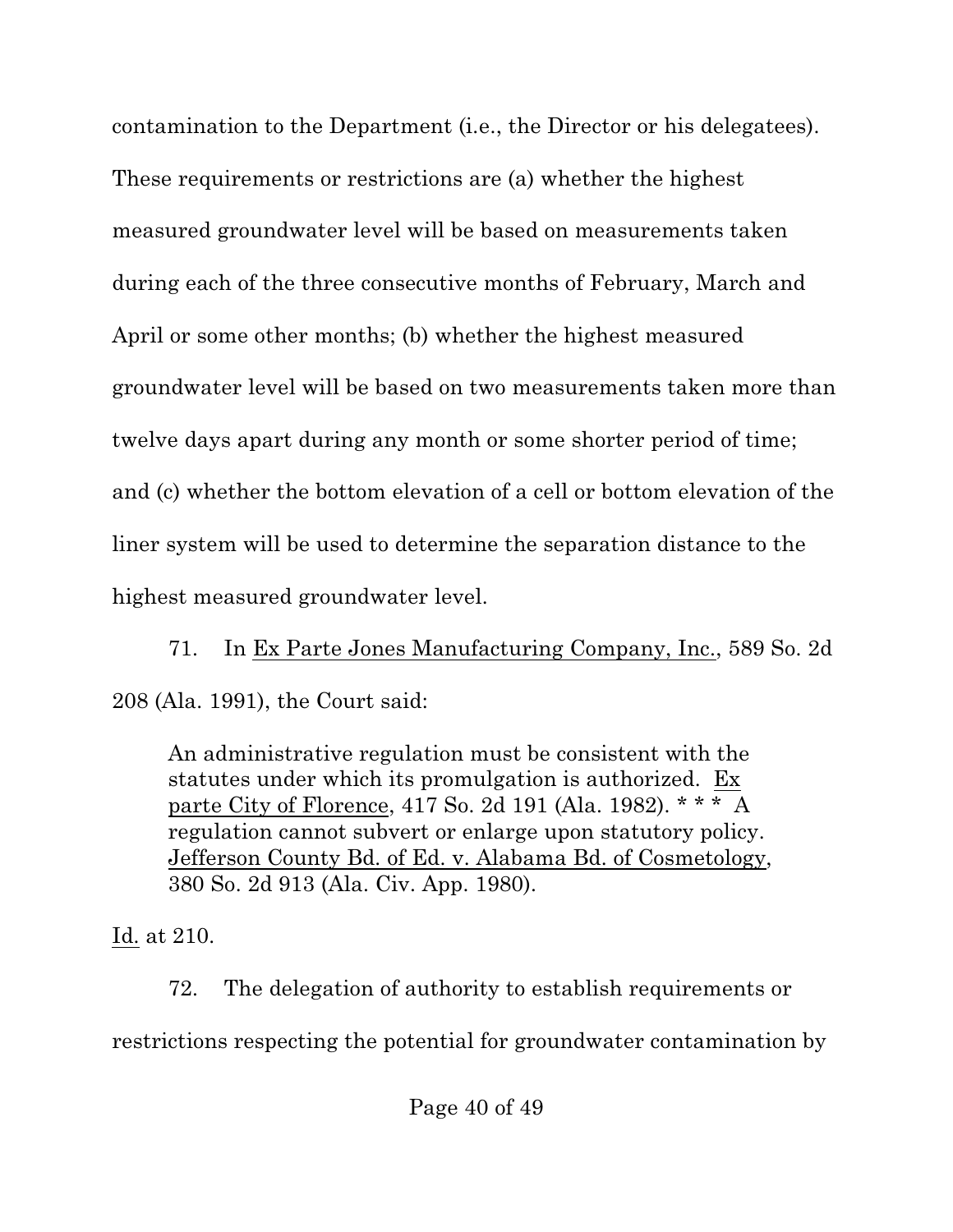contamination to the Department (i.e., the Director or his delegatees). These requirements or restrictions are (a) whether the highest measured groundwater level will be based on measurements taken during each of the three consecutive months of February, March and April or some other months; (b) whether the highest measured groundwater level will be based on two measurements taken more than twelve days apart during any month or some shorter period of time; and (c) whether the bottom elevation of a cell or bottom elevation of the liner system will be used to determine the separation distance to the highest measured groundwater level.

71. In Ex Parte Jones Manufacturing Company, Inc., 589 So. 2d 208 (Ala. 1991), the Court said:

An administrative regulation must be consistent with the statutes under which its promulgation is authorized. Ex parte City of Florence, 417 So. 2d 191 (Ala. 1982). \* \* \* A regulation cannot subvert or enlarge upon statutory policy. Jefferson County Bd. of Ed. v. Alabama Bd. of Cosmetology, 380 So. 2d 913 (Ala. Civ. App. 1980).

Id. at 210.

72. The delegation of authority to establish requirements or restrictions respecting the potential for groundwater contamination by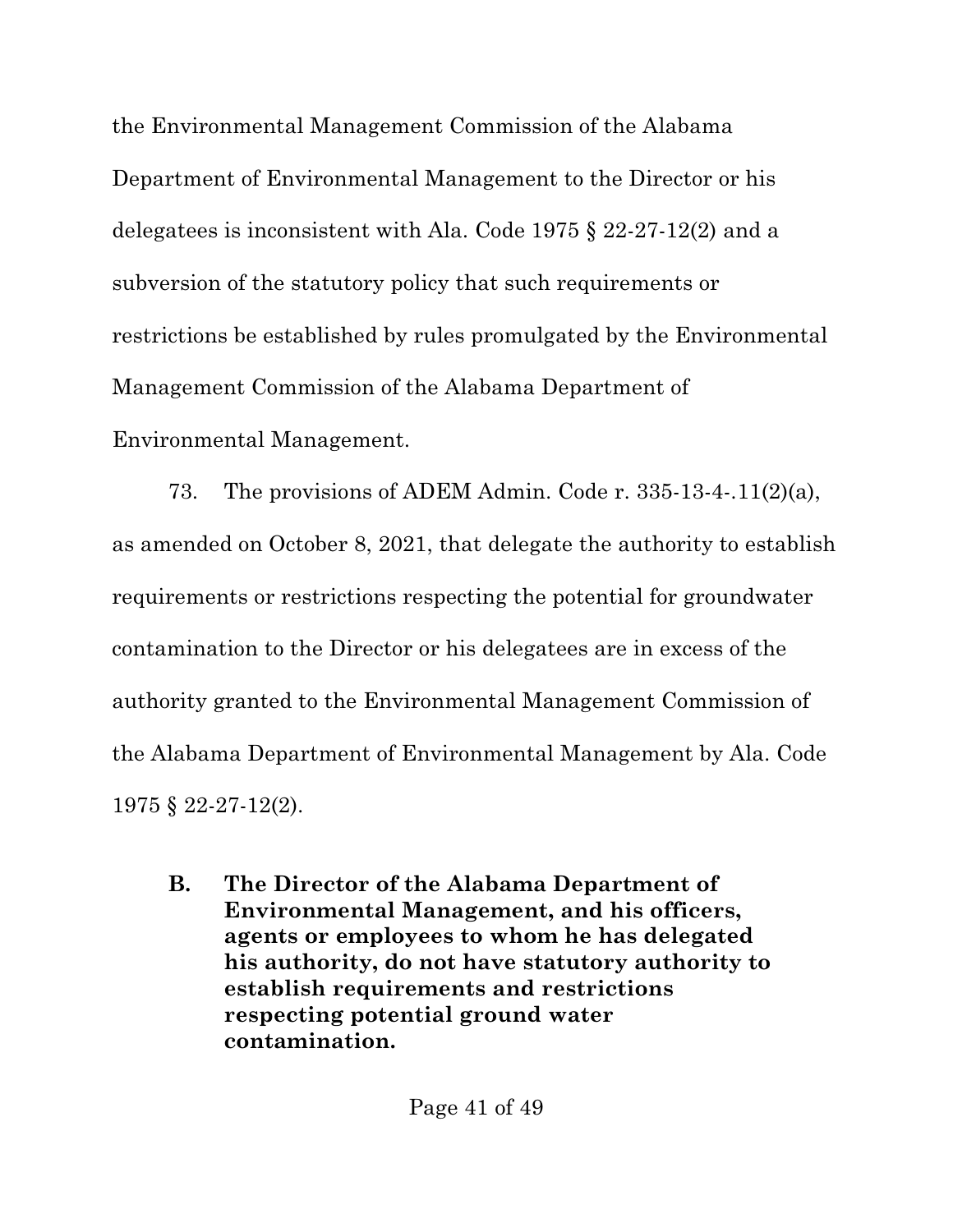the Environmental Management Commission of the Alabama Department of Environmental Management to the Director or his delegatees is inconsistent with Ala. Code 1975 § 22-27-12(2) and a subversion of the statutory policy that such requirements or restrictions be established by rules promulgated by the Environmental Management Commission of the Alabama Department of Environmental Management.

73. The provisions of ADEM Admin. Code r. 335-13-4-.11(2)(a), as amended on October 8, 2021, that delegate the authority to establish requirements or restrictions respecting the potential for groundwater contamination to the Director or his delegatees are in excess of the authority granted to the Environmental Management Commission of the Alabama Department of Environmental Management by Ala. Code 1975 § 22-27-12(2).

**B. The Director of the Alabama Department of Environmental Management, and his officers, agents or employees to whom he has delegated his authority, do not have statutory authority to establish requirements and restrictions respecting potential ground water contamination.**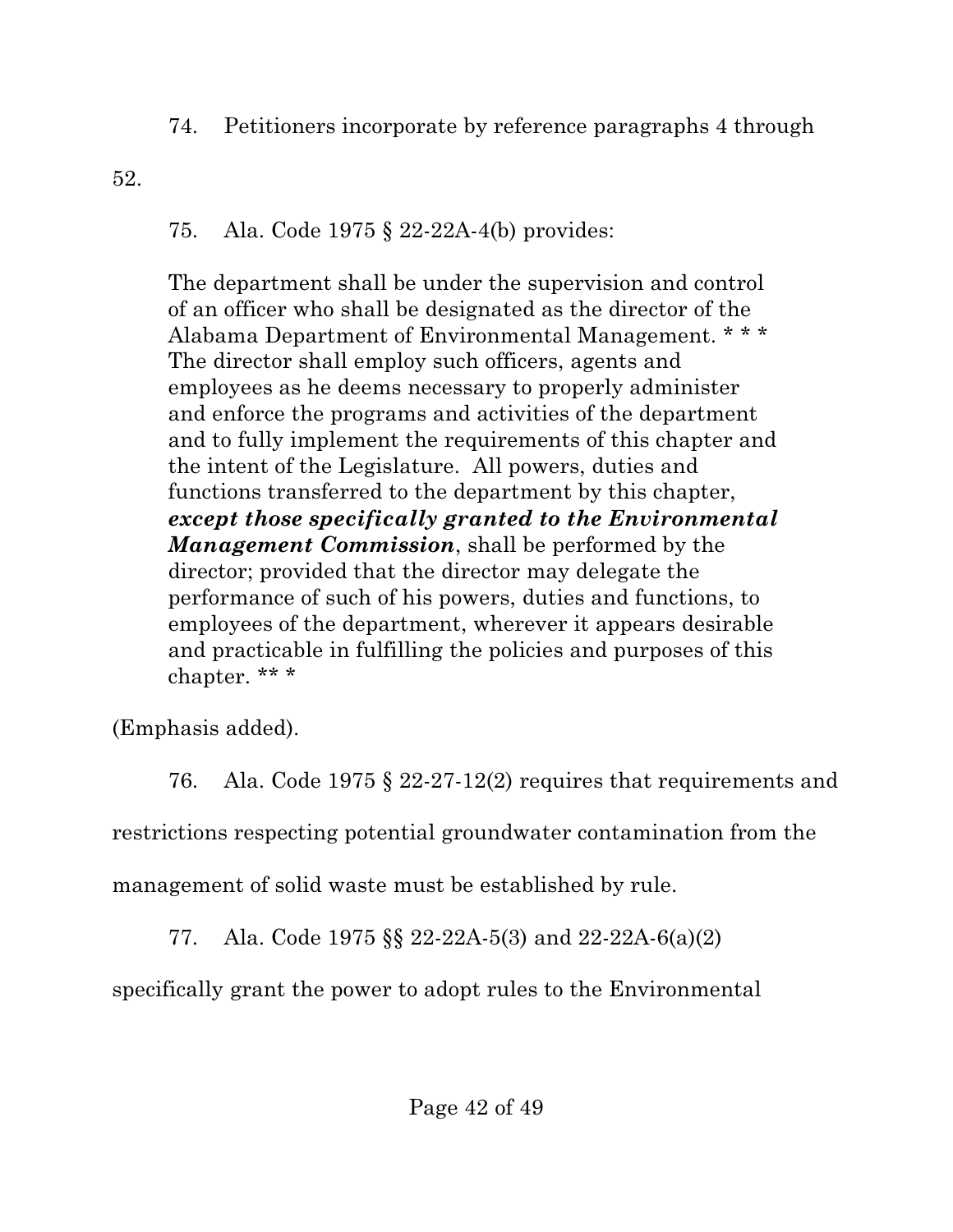74. Petitioners incorporate by reference paragraphs 4 through

52.

## 75. Ala. Code 1975 § 22-22A-4(b) provides:

The department shall be under the supervision and control of an officer who shall be designated as the director of the Alabama Department of Environmental Management. \* \* \* The director shall employ such officers, agents and employees as he deems necessary to properly administer and enforce the programs and activities of the department and to fully implement the requirements of this chapter and the intent of the Legislature. All powers, duties and functions transferred to the department by this chapter, *except those specifically granted to the Environmental Management Commission*, shall be performed by the director; provided that the director may delegate the performance of such of his powers, duties and functions, to employees of the department, wherever it appears desirable and practicable in fulfilling the policies and purposes of this chapter. \*\* \*

(Emphasis added).

76. Ala. Code 1975 § 22-27-12(2) requires that requirements and

restrictions respecting potential groundwater contamination from the

management of solid waste must be established by rule.

77. Ala. Code 1975 §§ 22-22A-5(3) and 22-22A-6(a)(2)

specifically grant the power to adopt rules to the Environmental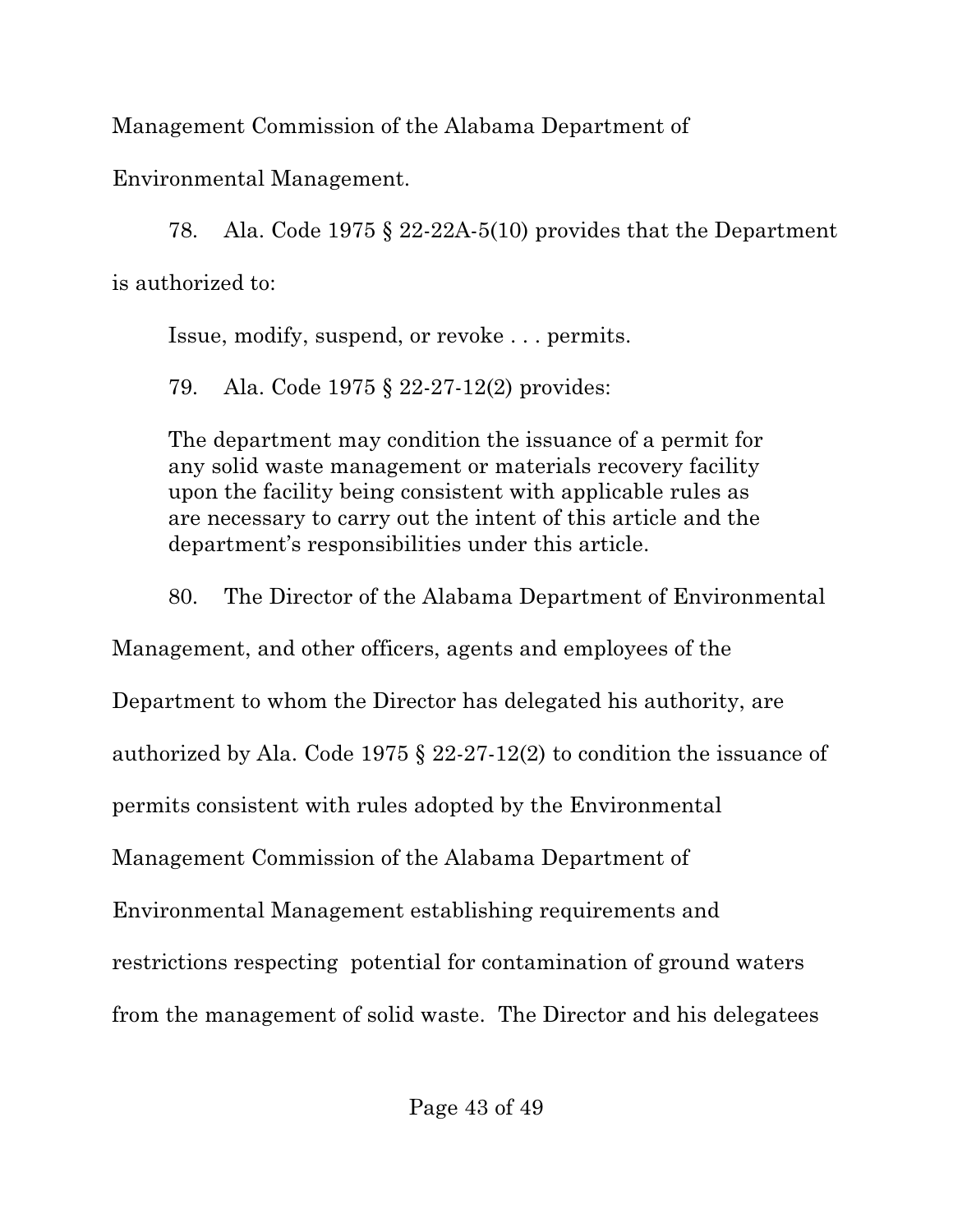Management Commission of the Alabama Department of

Environmental Management.

78. Ala. Code 1975 § 22-22A-5(10) provides that the Department is authorized to:

Issue, modify, suspend, or revoke . . . permits.

79. Ala. Code 1975 § 22-27-12(2) provides:

The department may condition the issuance of a permit for any solid waste management or materials recovery facility upon the facility being consistent with applicable rules as are necessary to carry out the intent of this article and the department's responsibilities under this article.

80. The Director of the Alabama Department of Environmental

Management, and other officers, agents and employees of the

Department to whom the Director has delegated his authority, are

authorized by Ala. Code 1975 § 22-27-12(2) to condition the issuance of

permits consistent with rules adopted by the Environmental

Management Commission of the Alabama Department of

Environmental Management establishing requirements and

restrictions respecting potential for contamination of ground waters

from the management of solid waste. The Director and his delegatees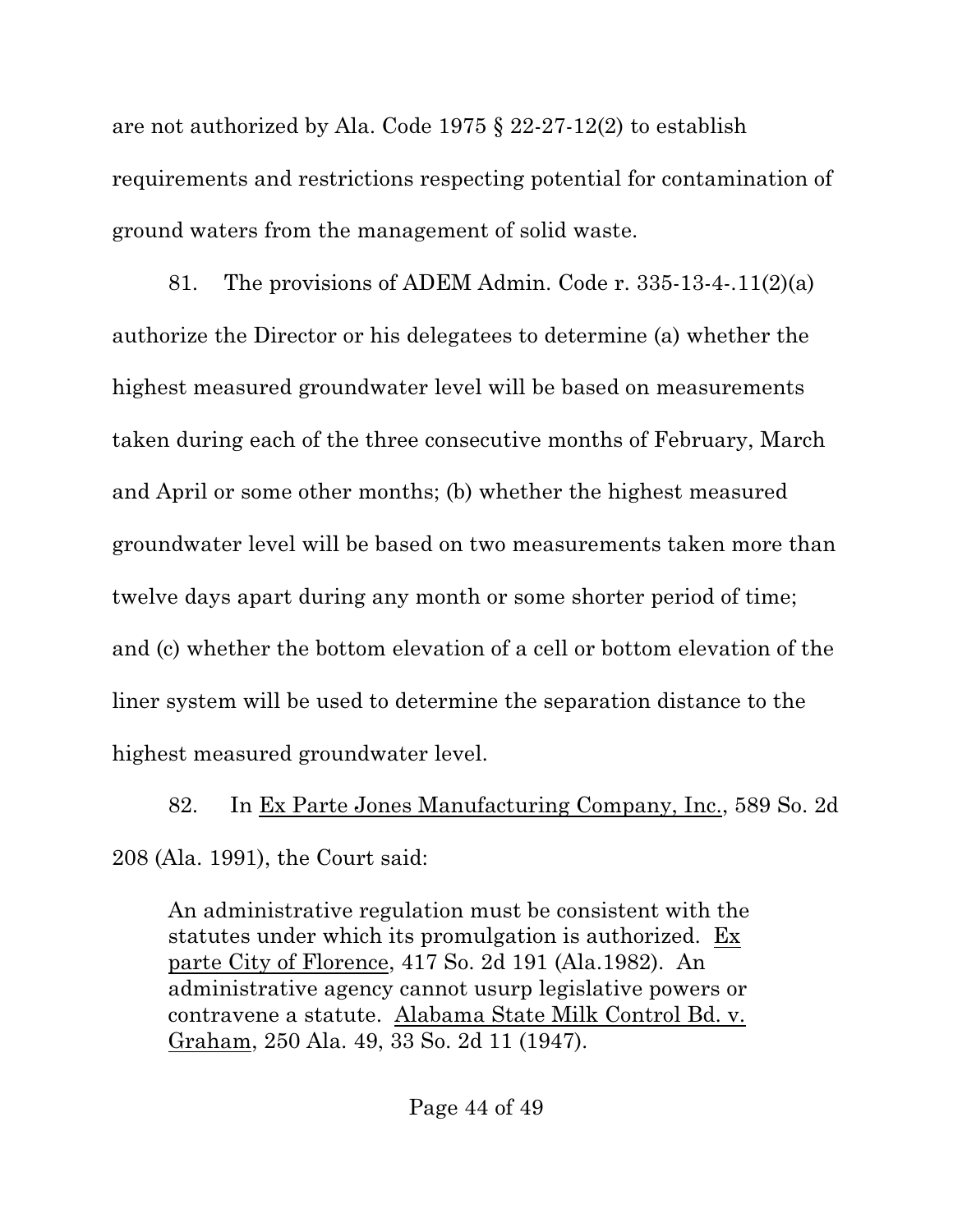are not authorized by Ala. Code 1975 § 22-27-12(2) to establish requirements and restrictions respecting potential for contamination of ground waters from the management of solid waste.

81. The provisions of ADEM Admin. Code r. 335-13-4-.11(2)(a) authorize the Director or his delegatees to determine (a) whether the highest measured groundwater level will be based on measurements taken during each of the three consecutive months of February, March and April or some other months; (b) whether the highest measured groundwater level will be based on two measurements taken more than twelve days apart during any month or some shorter period of time; and (c) whether the bottom elevation of a cell or bottom elevation of the liner system will be used to determine the separation distance to the highest measured groundwater level.

82. In Ex Parte Jones Manufacturing Company, Inc., 589 So. 2d 208 (Ala. 1991), the Court said:

An administrative regulation must be consistent with the statutes under which its promulgation is authorized. Ex parte City of Florence, 417 So. 2d 191 (Ala.1982). An administrative agency cannot usurp legislative powers or contravene a statute. Alabama State Milk Control Bd. v. Graham, 250 Ala. 49, 33 So. 2d 11 (1947).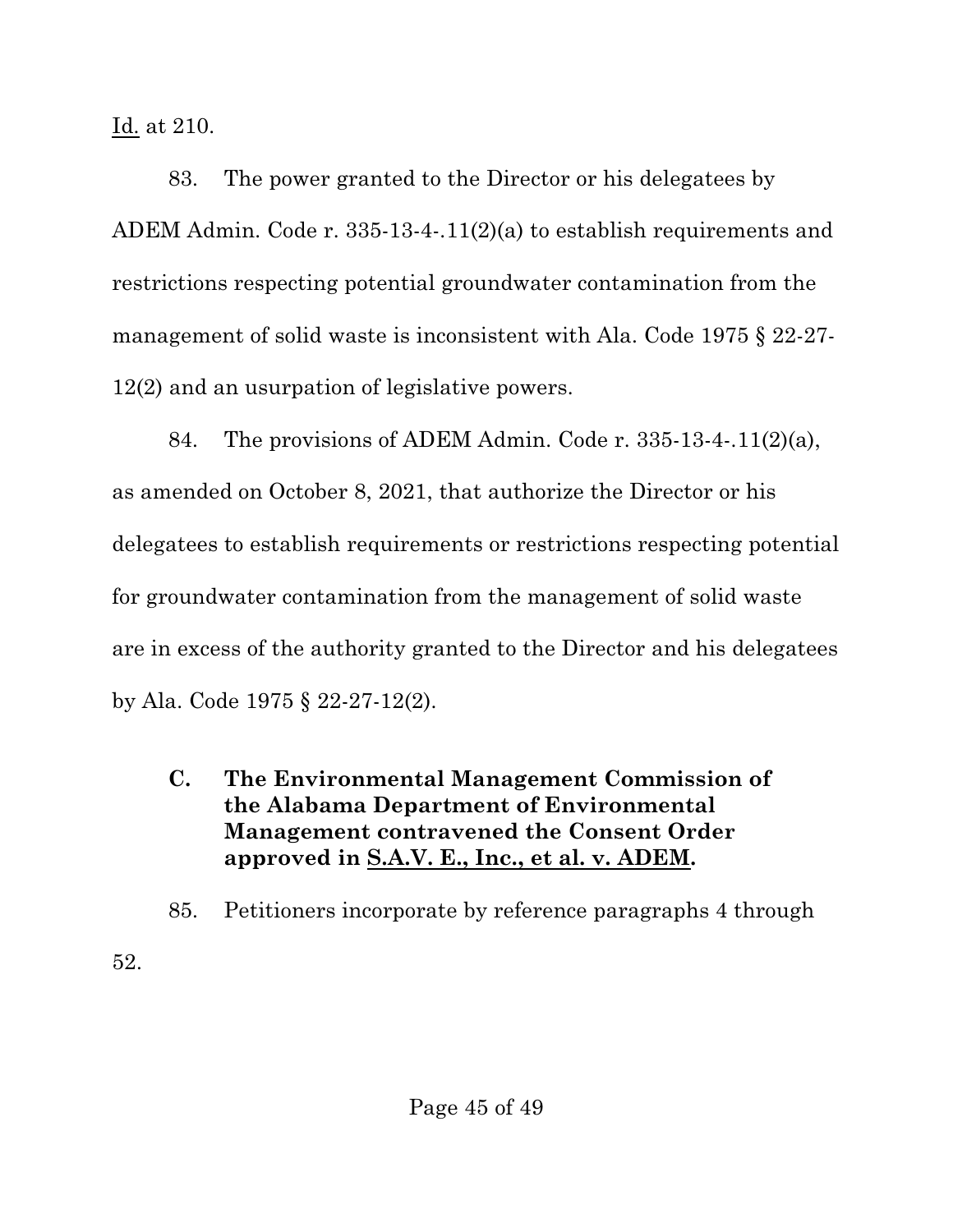Id. at 210.

52.

83. The power granted to the Director or his delegatees by ADEM Admin. Code r. 335-13-4-.11(2)(a) to establish requirements and restrictions respecting potential groundwater contamination from the management of solid waste is inconsistent with Ala. Code 1975 § 22-27- 12(2) and an usurpation of legislative powers.

84. The provisions of ADEM Admin. Code r. 335-13-4-.11(2)(a), as amended on October 8, 2021, that authorize the Director or his delegatees to establish requirements or restrictions respecting potential for groundwater contamination from the management of solid waste are in excess of the authority granted to the Director and his delegatees by Ala. Code 1975 § 22-27-12(2).

**C. The Environmental Management Commission of the Alabama Department of Environmental Management contravened the Consent Order approved in S.A.V. E., Inc., et al. v. ADEM.**

85. Petitioners incorporate by reference paragraphs 4 through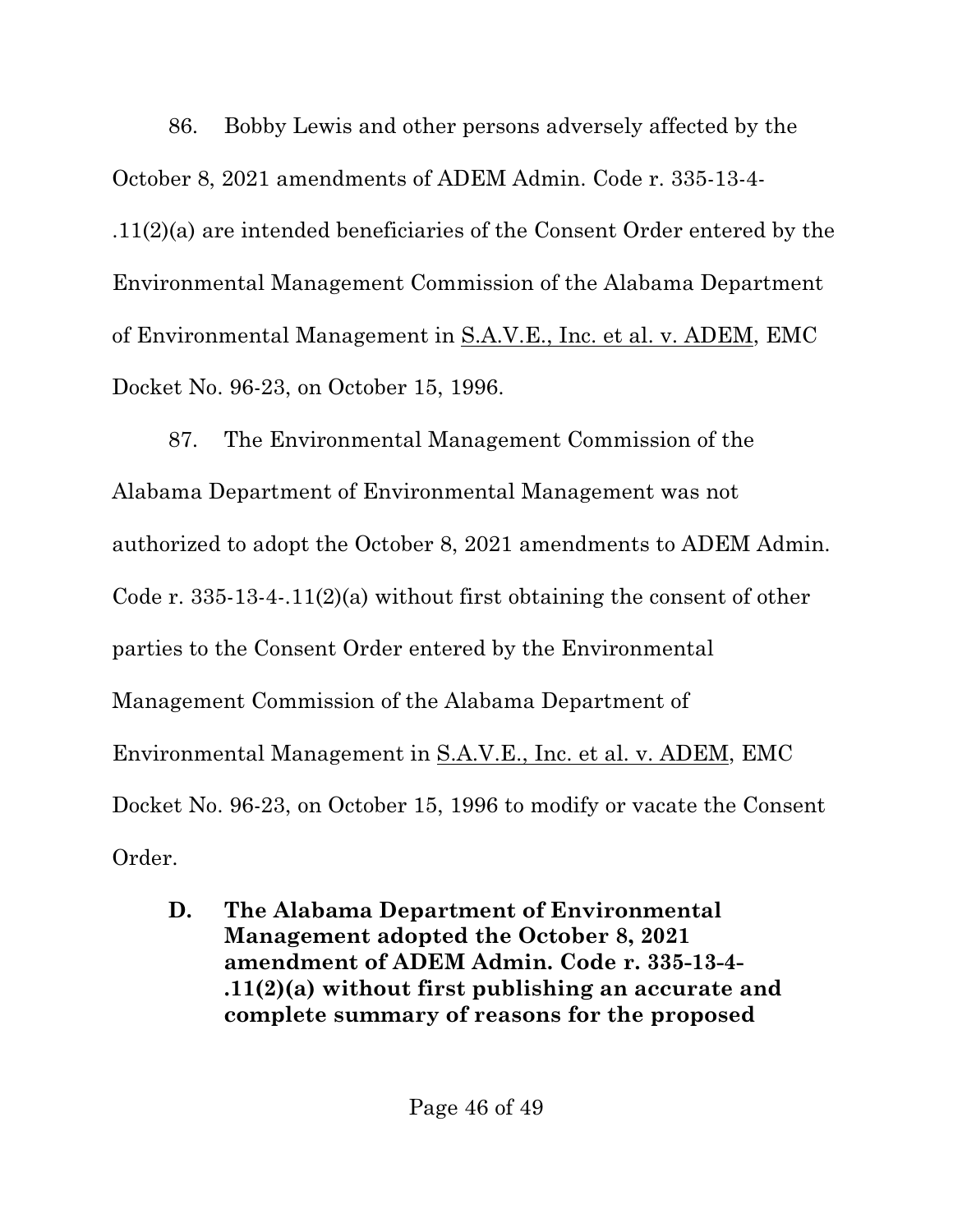86. Bobby Lewis and other persons adversely affected by the October 8, 2021 amendments of ADEM Admin. Code r. 335-13-4- .11(2)(a) are intended beneficiaries of the Consent Order entered by the Environmental Management Commission of the Alabama Department of Environmental Management in S.A.V.E., Inc. et al. v. ADEM, EMC Docket No. 96-23, on October 15, 1996.

87. The Environmental Management Commission of the Alabama Department of Environmental Management was not authorized to adopt the October 8, 2021 amendments to ADEM Admin. Code r.  $335-13-4-11(2)(a)$  without first obtaining the consent of other parties to the Consent Order entered by the Environmental Management Commission of the Alabama Department of Environmental Management in S.A.V.E., Inc. et al. v. ADEM, EMC Docket No. 96-23, on October 15, 1996 to modify or vacate the Consent Order.

**D. The Alabama Department of Environmental Management adopted the October 8, 2021 amendment of ADEM Admin. Code r. 335-13-4- .11(2)(a) without first publishing an accurate and complete summary of reasons for the proposed**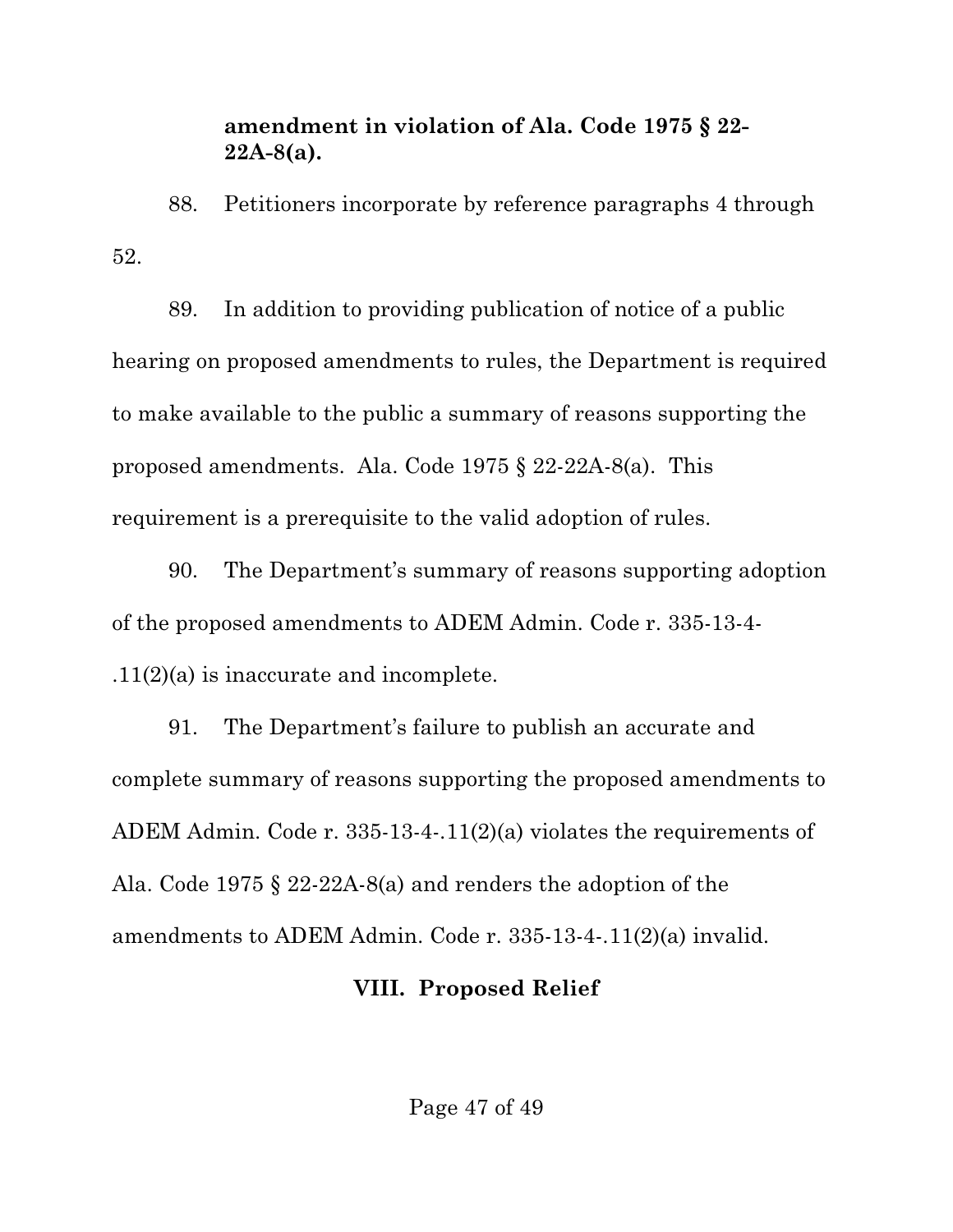#### **amendment in violation of Ala. Code 1975 § 22- 22A-8(a).**

88. Petitioners incorporate by reference paragraphs 4 through 52.

89. In addition to providing publication of notice of a public hearing on proposed amendments to rules, the Department is required to make available to the public a summary of reasons supporting the proposed amendments. Ala. Code 1975 § 22-22A-8(a). This requirement is a prerequisite to the valid adoption of rules.

90. The Department's summary of reasons supporting adoption of the proposed amendments to ADEM Admin. Code r. 335-13-4- .11(2)(a) is inaccurate and incomplete.

91. The Department's failure to publish an accurate and complete summary of reasons supporting the proposed amendments to ADEM Admin. Code r. 335-13-4-.11(2)(a) violates the requirements of Ala. Code 1975 § 22-22A-8(a) and renders the adoption of the amendments to ADEM Admin. Code r. 335-13-4-.11(2)(a) invalid.

#### **VIII. Proposed Relief**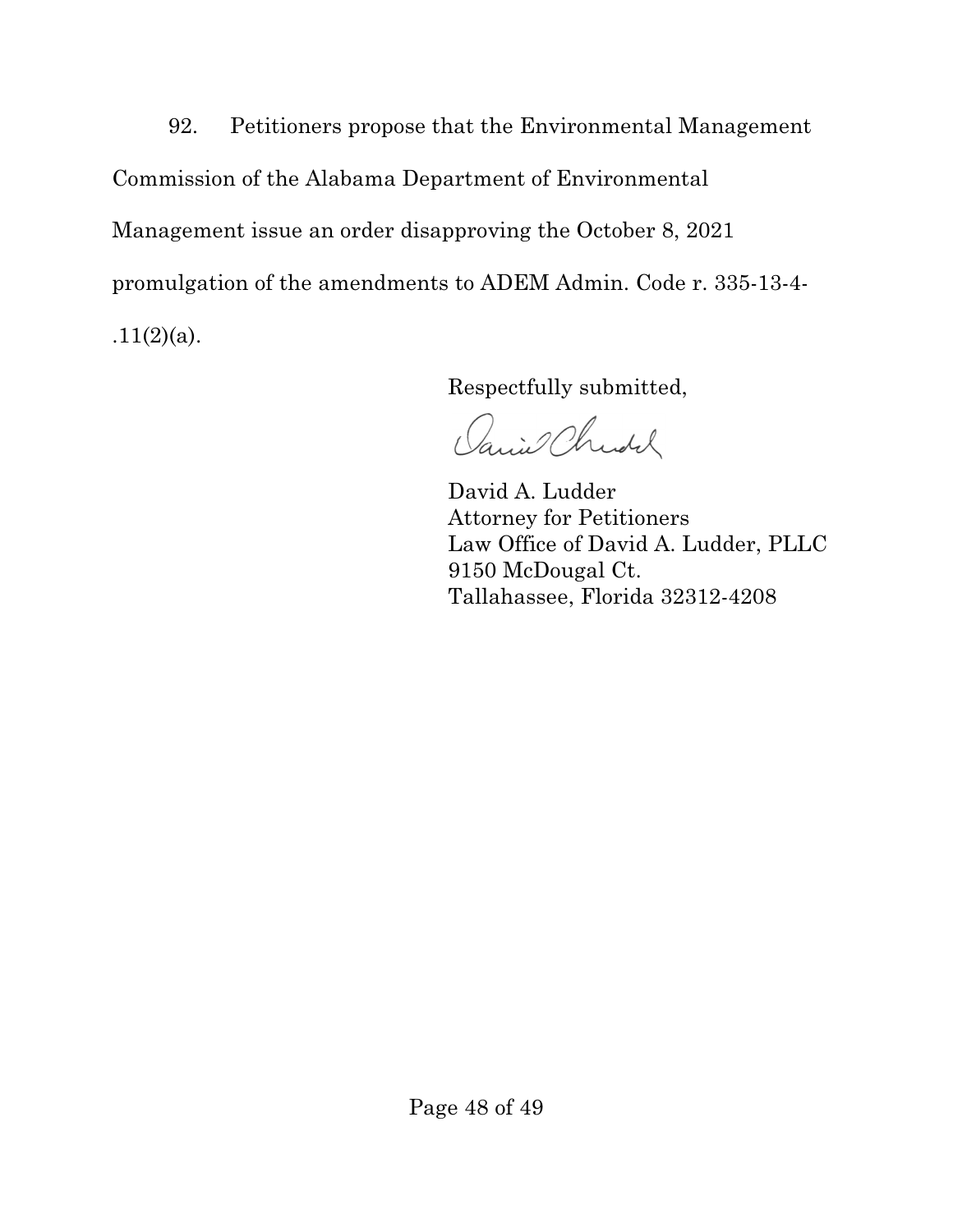92. Petitioners propose that the Environmental Management Commission of the Alabama Department of Environmental Management issue an order disapproving the October 8, 2021 promulgation of the amendments to ADEM Admin. Code r. 335-13-4-  $.11(2)(a)$ .

Respectfully submitted,

Janiel Christer

David A. Ludder Attorney for Petitioners Law Office of David A. Ludder, PLLC 9150 McDougal Ct. Tallahassee, Florida 32312-4208